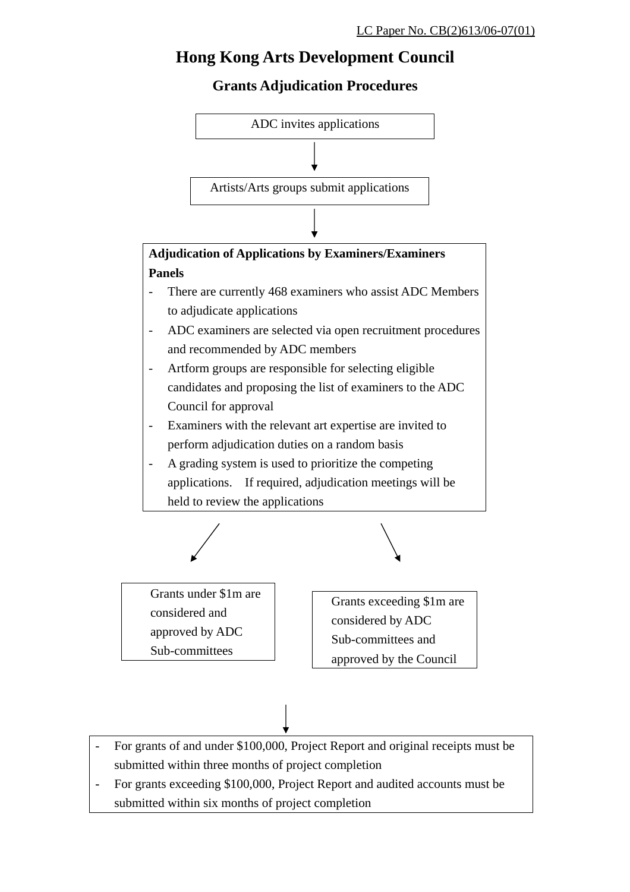### **Hong Kong Arts Development Council**

#### **Grants Adjudication Procedures**



- For grants of and under \$100,000, Project Report and original receipts must be submitted within three months of project completion
- For grants exceeding \$100,000, Project Report and audited accounts must be submitted within six months of project completion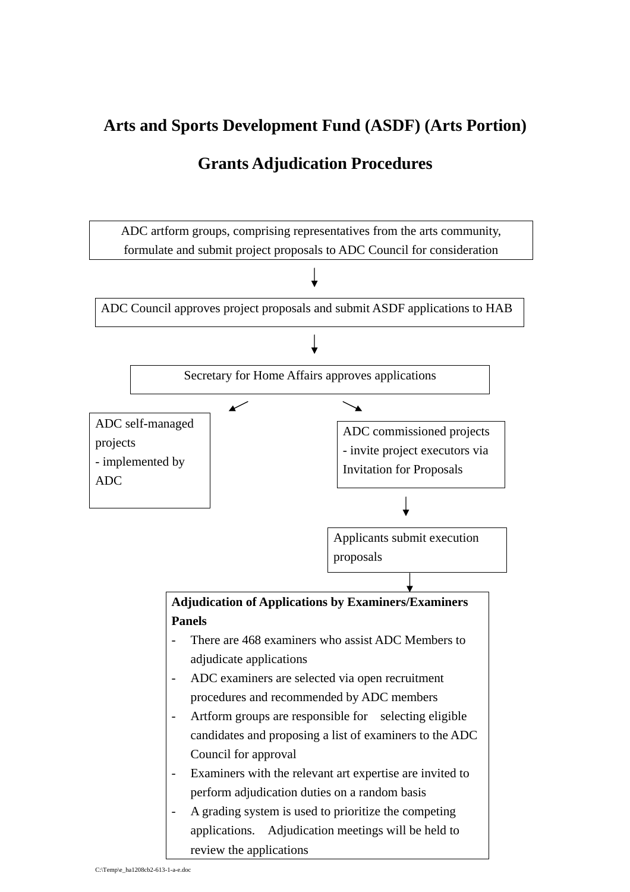# **Arts and Sports Development Fund (ASDF) (Arts Portion)**

#### **Grants Adjudication Procedures**

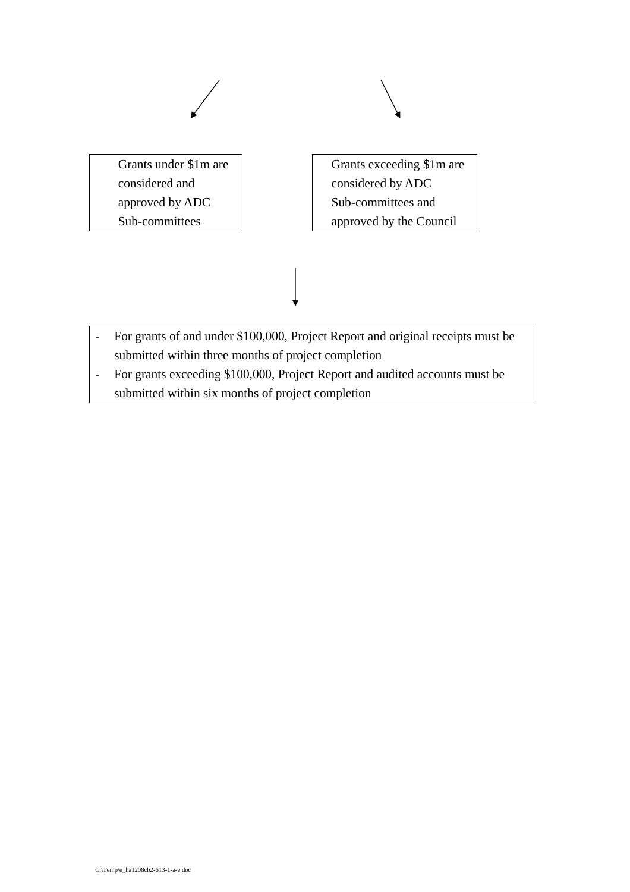

- For grants exceeding \$100,000, Project Report and audited accounts must be submitted within six months of project completion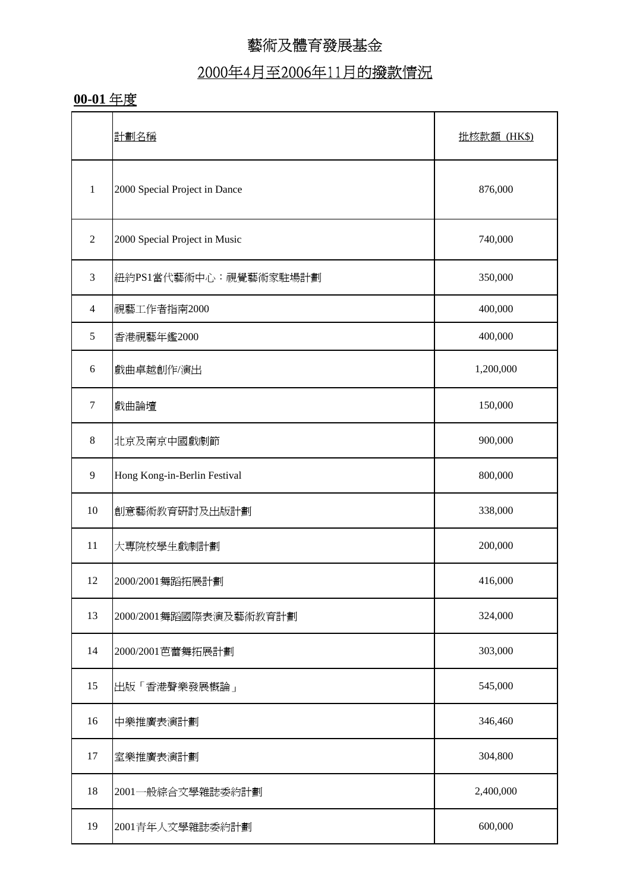# 2000年4月至2006年11月的撥款情況

#### **00-01** 年度

|                | 計劃名稱                          | 批核款額 (HK\$) |
|----------------|-------------------------------|-------------|
| $\mathbf{1}$   | 2000 Special Project in Dance | 876,000     |
| $\sqrt{2}$     | 2000 Special Project in Music | 740,000     |
| $\mathfrak{Z}$ | 紐約PS1當代藝術中心:視覺藝術家駐場計劃         | 350,000     |
| $\overline{4}$ | 視藝工作者指南2000                   | 400,000     |
| $\mathfrak s$  | 香港視藝年鑑2000                    | 400,000     |
| 6              | 戲曲卓越創作/演出                     | 1,200,000   |
| $\tau$         | 戲曲論壇                          | 150,000     |
| $\,8\,$        | 北京及南京中國戲劇節                    | 900,000     |
| 9              | Hong Kong-in-Berlin Festival  | 800,000     |
| $10\,$         | 創意藝術教育研討及出版計劃                 | 338,000     |
| 11             | 大專院校學生戲劇計劃                    | 200,000     |
| 12             | 2000/2001舞蹈拓展計劃               | 416,000     |
| 13             | 2000/2001舞蹈國際表演及藝術教育計劃        | 324,000     |
| 14             | 2000/2001芭蕾舞拓展計劃              | 303,000     |
| 15             | 出版「香港聲樂發展概論」                  | 545,000     |
| 16             | 中樂推廣表演計劃                      | 346,460     |
| 17             | 室樂推廣表演計劃                      | 304,800     |
| 18             | 2001一般綜合文學雜誌委約計劃              | 2,400,000   |
| 19             | 2001青年人文學雜誌委約計劃               | 600,000     |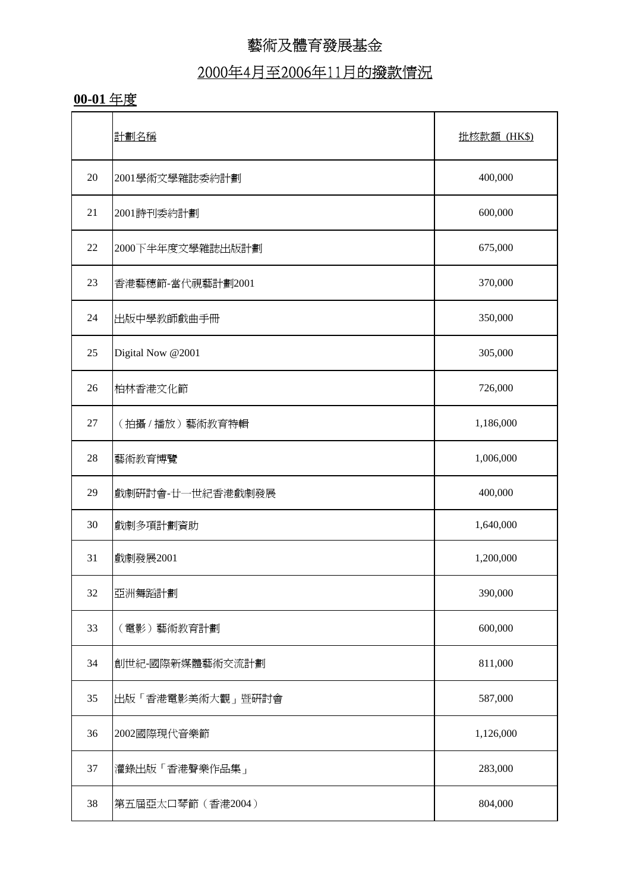# 2000年4月至2006年11月的撥款情況

#### **00-01** 年度

|    | 計劃名稱              | 批核款額 (HK\$) |
|----|-------------------|-------------|
| 20 | 2001學術文學雜誌委約計劃    | 400,000     |
| 21 | 2001詩刊委約計劃        | 600,000     |
| 22 | 2000下半年度文學雜誌出版計劃  | 675,000     |
| 23 | 香港藝穗節-當代視藝計劃2001  | 370,000     |
| 24 | 出版中學教師戲曲手冊        | 350,000     |
| 25 | Digital Now @2001 | 305,000     |
| 26 | 柏林香港文化節           | 726,000     |
| 27 | (拍攝/播放)藝術教育特輯     | 1,186,000   |
| 28 | 藝術教育博覽            | 1,006,000   |
| 29 | 戲劇研討會-廿一世紀香港戲劇發展  | 400,000     |
| 30 | 戲劇多項計劃資助          | 1,640,000   |
| 31 | 戲劇發展2001          | 1,200,000   |
| 32 | 亞洲舞蹈計劃            | 390,000     |
| 33 | (電影)藝術教育計劃        | 600,000     |
| 34 | 創世紀-國際新媒體藝術交流計劃   | 811,000     |
| 35 | 出版「香港電影美術大觀」暨硏討會  | 587,000     |
| 36 | 2002國際現代音樂節       | 1,126,000   |
| 37 | 灌錄出版「香港聲樂作品集」     | 283,000     |
| 38 | 第五屆亞太口琴節 (香港2004) | 804,000     |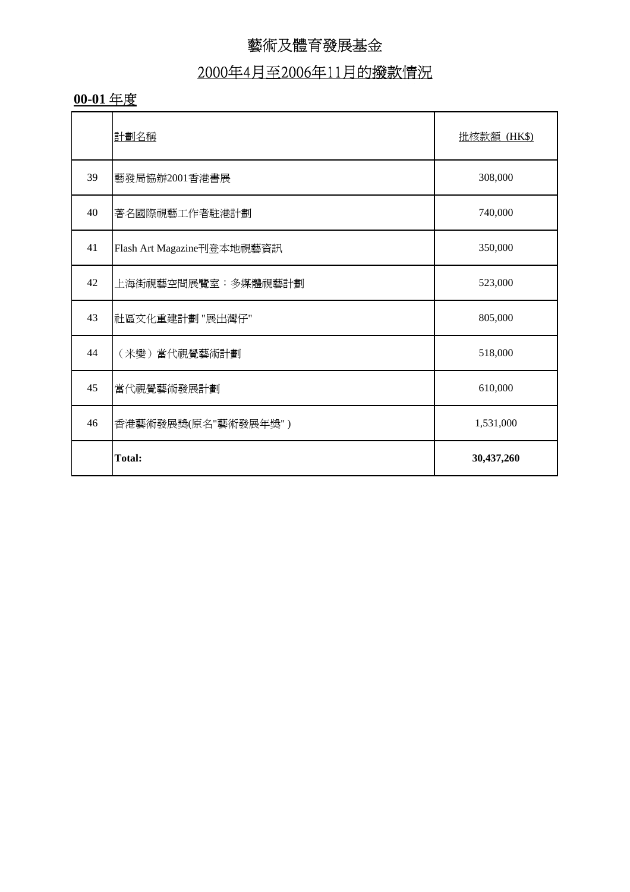# 2000年4月至2006年11月的撥款情況

#### **00-01** 年度

|    | 計劃名稱                       | 批核款額 (HK\$) |
|----|----------------------------|-------------|
| 39 | 藝發局協辦2001香港書展              | 308,000     |
| 40 | 著名國際視藝工作者駐港計劃              | 740,000     |
| 41 | Flash Art Magazine刊登本地視藝資訊 | 350,000     |
| 42 | 上海街視藝空間展覽室:多媒體視藝計劃         | 523,000     |
| 43 | 社區文化重建計劃 "展出灣仔"            | 805,000     |
| 44 | (米變)當代視覺藝術計劃               | 518,000     |
| 45 | 當代視覺藝術發展計劃                 | 610,000     |
| 46 | 香港藝術發展獎(原名"藝術發展年獎")        | 1,531,000   |
|    | <b>Total:</b>              | 30,437,260  |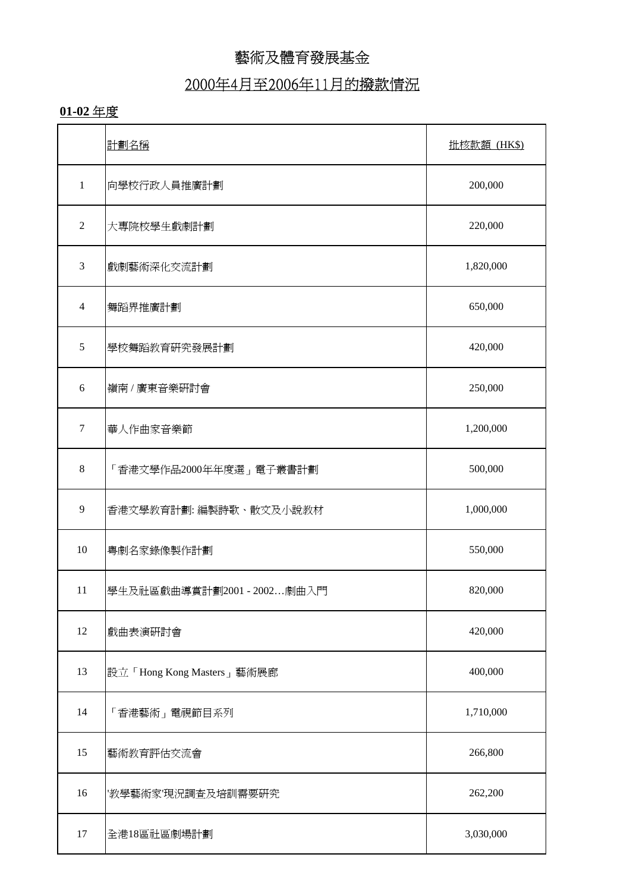#### 2000年4月至2006年11月的撥款情況

#### **01-02** 年度

|                | 計劃名稱                       | 批核款額 (HK\$) |
|----------------|----------------------------|-------------|
| $\mathbf{1}$   | 向學校行政人員推廣計劃                | 200,000     |
| $\overline{2}$ | 大專院校學生戲劇計劃                 | 220,000     |
| 3              | 戲劇藝術深化交流計劃                 | 1,820,000   |
| $\overline{4}$ | 舞蹈界推廣計劃                    | 650,000     |
| 5              | 學校舞蹈教育研究發展計劃               | 420,000     |
| 6              | 嶺南 / 廣東音樂研討會               | 250,000     |
| $\tau$         | 華人作曲家音樂節                   | 1,200,000   |
| 8              | 「香港文學作品2000年年度選」電子叢書計劃     | 500,000     |
| 9              | 香港文學教育計劃: 編製詩歌、散文及小說教材     | 1,000,000   |
| 10             | 粤劇名家錄像製作計劃                 | 550,000     |
| 11             | 學生及社區戲曲導賞計劃2001 - 2002劇曲入門 | 820,000     |
| 12             | 戲曲表演研討會                    | 420,000     |
| 13             | 設立「Hong Kong Masters」藝術展廊  | 400,000     |
| 14             | 「香港藝術」電視節目系列               | 1,710,000   |
| 15             | 藝術教育評估交流會                  | 266,800     |
| 16             | '教學藝術家'現況調査及培訓需要研究         | 262,200     |
| 17             | 全港18區社區劇場計劃                | 3,030,000   |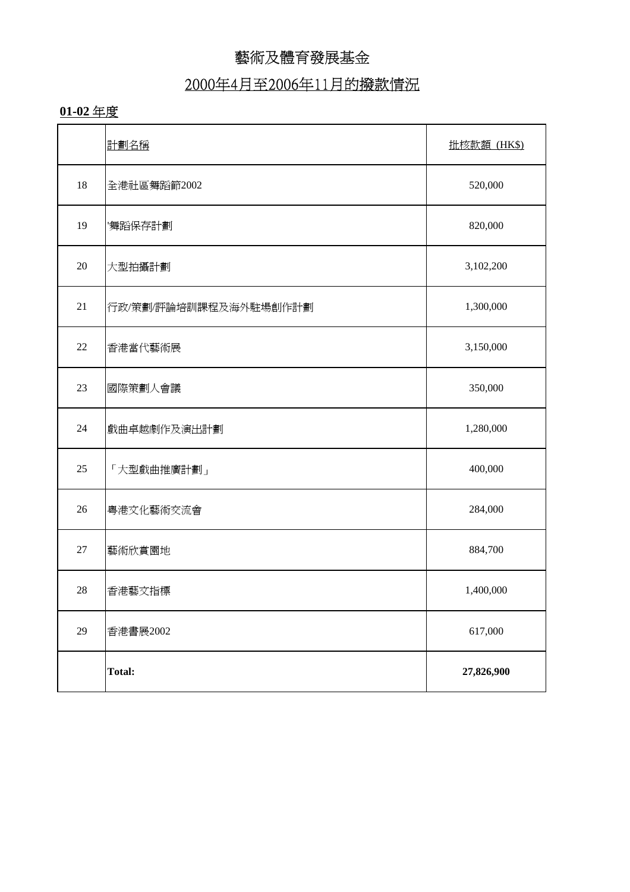#### 2000年4月至2006年11月的撥款情況

#### **01-02** 年度

|        | 計劃名稱                  | 批核款額 (HK\$) |
|--------|-----------------------|-------------|
| 18     | 全港社區舞蹈節2002           | 520,000     |
| 19     | 舞蹈保存計劃                | 820,000     |
| 20     | 大型拍攝計劃                | 3,102,200   |
| 21     | 行政/策劃/評論培訓課程及海外駐場創作計劃 | 1,300,000   |
| $22\,$ | 香港當代藝術展               | 3,150,000   |
| 23     | 國際策劃人會議               | 350,000     |
| 24     | 戲曲卓越劇作及演出計劃           | 1,280,000   |
| 25     | 「大型戲曲推廣計劃」            | 400,000     |
| 26     | 粤港文化藝術交流會             | 284,000     |
| 27     | 藝術欣賞園地                | 884,700     |
| 28     | 香港藝文指標                | 1,400,000   |
| 29     | 香港書展2002              | 617,000     |
|        | <b>Total:</b>         | 27,826,900  |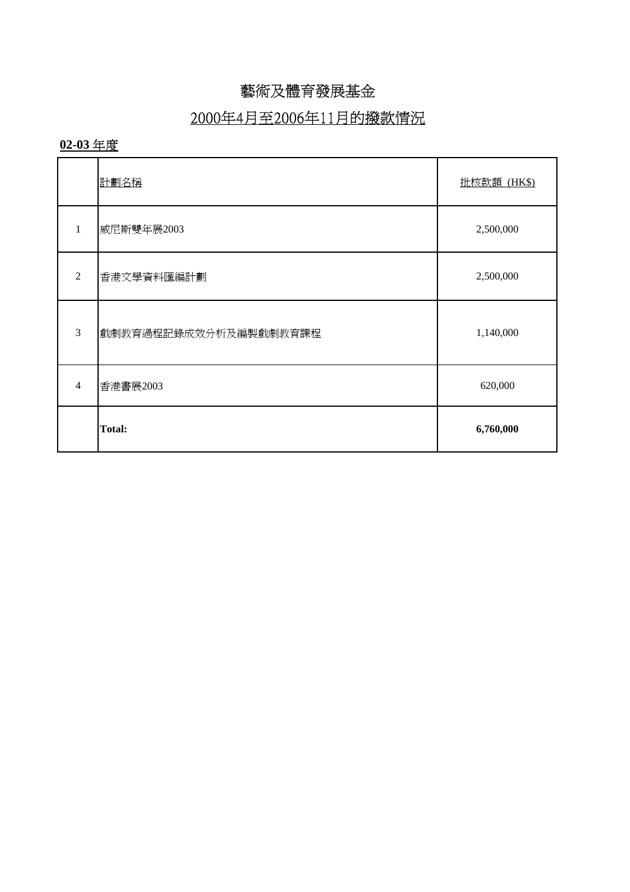## 2000年4月至2006年11月的撥款情況

#### **02-03** 年度

|                | 計劃名稱                  | 批核款額 (HK\$) |
|----------------|-----------------------|-------------|
| 1              | 威尼斯雙年展2003            | 2,500,000   |
| $\mathfrak{D}$ | 香港文學資料匯編計劃            | 2,500,000   |
| 3              | 戲劇教育過程記錄成效分析及編製戲劇教育課程 | 1,140,000   |
| $\overline{4}$ | 香港書展2003              | 620,000     |
|                | <b>Total:</b>         | 6,760,000   |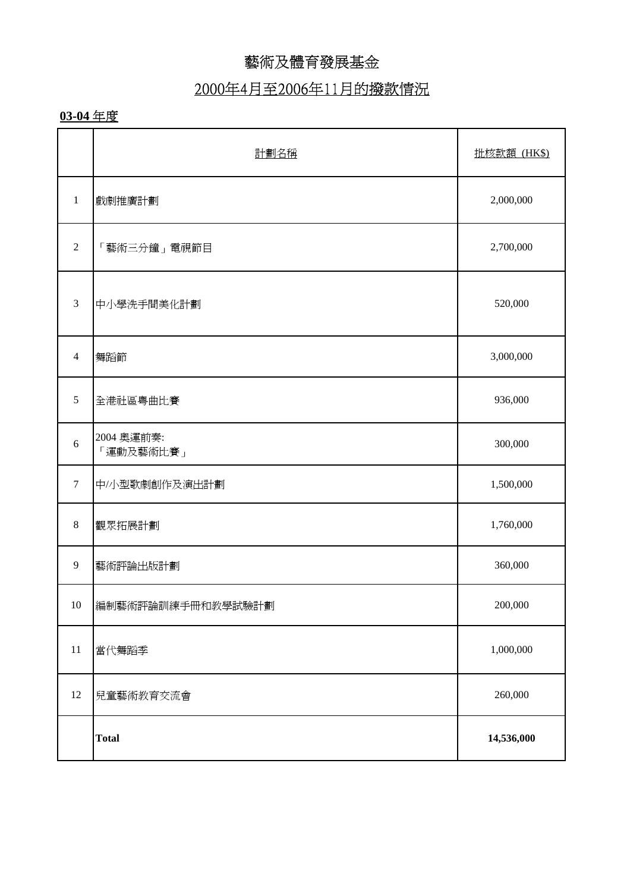## 2000年4月至2006年11月的撥款情況

#### **03-04** 年度

|                | 計劃名稱                    | 批核款額 (HK\$) |
|----------------|-------------------------|-------------|
| $\mathbf{1}$   | 戲劇推廣計劃                  | 2,000,000   |
| $\overline{2}$ | 「藝術三分鐘」電視節目             | 2,700,000   |
| 3              | 中小學洗手間美化計劃              | 520,000     |
| 4              | 舞蹈節                     | 3,000,000   |
| $\mathfrak{S}$ | 全港社區粤曲比賽                | 936,000     |
| $6\,$          | 2004 奧運前奏:<br>「運動及藝術比賽」 | 300,000     |
| $\tau$         | 中/小型歌劇創作及演出計劃           | 1,500,000   |
| $\,8\,$        | 觀眾拓展計劃                  | 1,760,000   |
| 9              | 藝術評論出版計劃                | 360,000     |
| 10             | 編制藝術評論訓練手冊和教學試驗計劃       | 200,000     |
| 11             | 當代舞蹈季                   | 1,000,000   |
| 12             | 兒童藝術教育交流會               | 260,000     |
|                | <b>Total</b>            | 14,536,000  |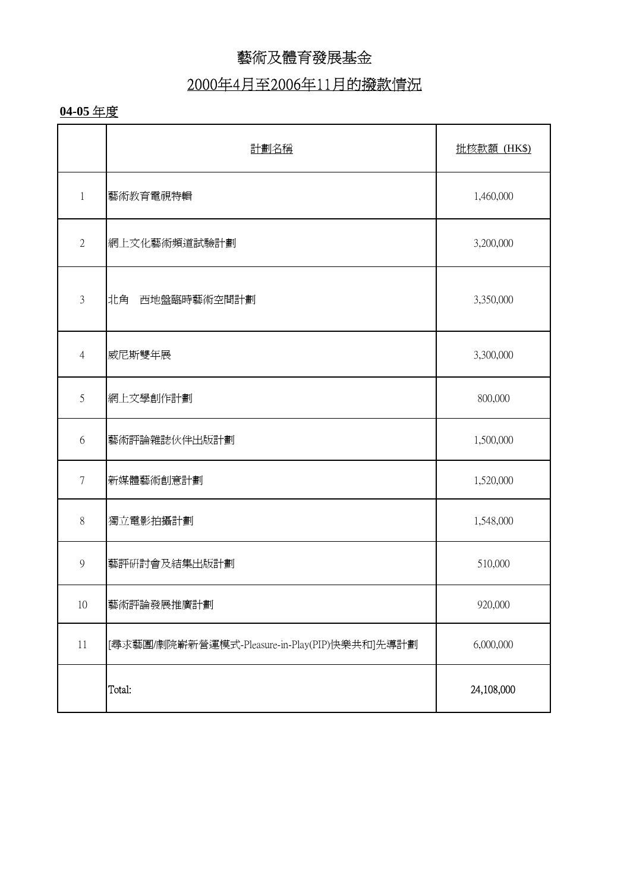### 2000年4月至2006年11月的撥款情況

#### **04-05** 年度

|                  | 計劃名稱                                          | 批核款額 (HK\$) |
|------------------|-----------------------------------------------|-------------|
| 1                | 藝術教育電視特輯                                      | 1,460,000   |
| $\overline{2}$   | 網上文化藝術頻道試驗計劃                                  | 3,200,000   |
| $\mathfrak{Z}$   | 西地盤臨時藝術空間計劃<br>北角                             | 3,350,000   |
| $\overline{4}$   | 威尼斯雙年展                                        | 3,300,000   |
| 5                | 網上文學創作計劃                                      | 800,000     |
| 6                | 藝術評論雜誌伙伴出版計劃                                  | 1,500,000   |
| $\boldsymbol{7}$ | 新媒體藝術創意計劃                                     | 1,520,000   |
| 8                | 獨立電影拍攝計劃                                      | 1,548,000   |
| 9                | 藝評研討會及結集出版計劃                                  | 510,000     |
| $10\,$           | 藝術評論發展推廣計劃                                    | 920,000     |
| 11               | [尋求藝團/劇院嶄新營運模式-Pleasure-in-Play(PIP)快樂共和]先導計劃 | 6,000,000   |
|                  | Total:                                        | 24,108,000  |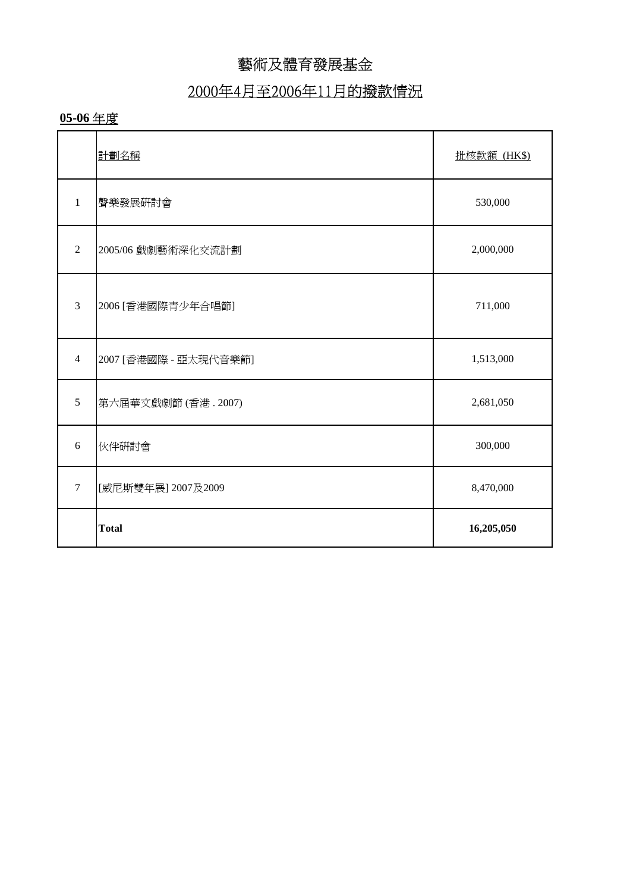## 2000年4月至2006年11月的撥款情況

#### **05-06** 年度

|                | 計劃名稱                  | 批核款額 (HK\$) |
|----------------|-----------------------|-------------|
| $\mathbf{1}$   | 聲樂發展硏討會               | 530,000     |
| $\overline{2}$ | 2005/06 戲劇藝術深化交流計劃    | 2,000,000   |
| 3              | 2006 [香港國際青少年合唱節]     | 711,000     |
| $\overline{4}$ | 2007 [香港國際 - 亞太現代音樂節] | 1,513,000   |
| 5              | 第六屆華文戲劇節(香港. 2007)    | 2,681,050   |
| 6              | 伙伴研討會                 | 300,000     |
| $\tau$         | [威尼斯雙年展] 2007及2009    | 8,470,000   |
|                | <b>Total</b>          | 16,205,050  |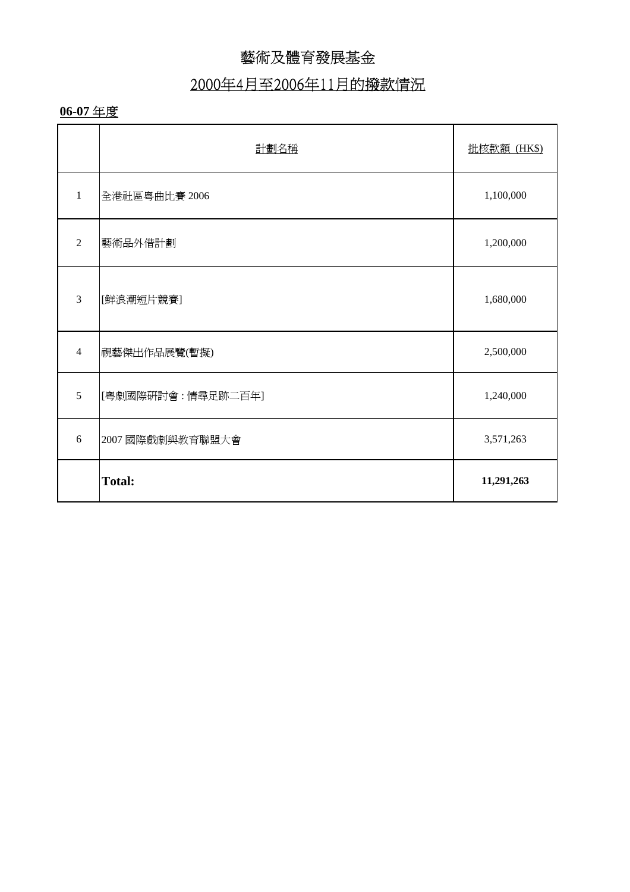### 2000年4月至2006年11月的撥款情況

#### **06-07** 年度

|                | 計劃名稱              | 批核款額 (HK\$) |
|----------------|-------------------|-------------|
| $\mathbf{1}$   | 全港社區粵曲比賽 2006     | 1,100,000   |
| $\overline{2}$ | 藝術品外借計劃           | 1,200,000   |
| 3              | [鮮浪潮短片競賽]         | 1,680,000   |
| $\overline{4}$ | 視藝傑出作品展覽(暫擬)      | 2,500,000   |
| 5              | [粤劇國際研討會:情尋足跡二百年] | 1,240,000   |
| 6              | 2007 國際戲劇與教育聯盟大會  | 3,571,263   |
|                | <b>Total:</b>     | 11,291,263  |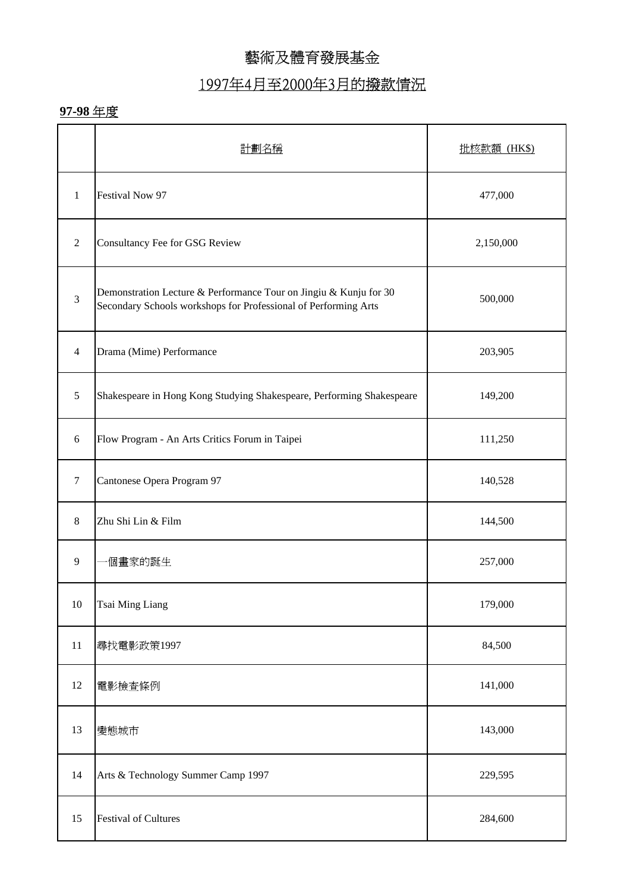### 1997年4月至2000年3月的撥款情況

|                | 計劃名稱                                                                                                                                 | 批核款額 (HK\$) |
|----------------|--------------------------------------------------------------------------------------------------------------------------------------|-------------|
| $\mathbf{1}$   | Festival Now 97                                                                                                                      | 477,000     |
| 2              | Consultancy Fee for GSG Review                                                                                                       | 2,150,000   |
| $\mathfrak{Z}$ | Demonstration Lecture & Performance Tour on Jingiu & Kunju for 30<br>Secondary Schools workshops for Professional of Performing Arts | 500,000     |
| $\overline{4}$ | Drama (Mime) Performance                                                                                                             | 203,905     |
| 5              | Shakespeare in Hong Kong Studying Shakespeare, Performing Shakespeare                                                                | 149,200     |
| 6              | Flow Program - An Arts Critics Forum in Taipei                                                                                       | 111,250     |
| 7              | Cantonese Opera Program 97                                                                                                           | 140,528     |
| 8              | Zhu Shi Lin & Film                                                                                                                   | 144,500     |
| 9              | 個畫家的誕生                                                                                                                               | 257,000     |
| 10             | Tsai Ming Liang                                                                                                                      | 179,000     |
| 11             | 尋找電影政策1997                                                                                                                           | 84,500      |
| 12             | 電影檢查條例                                                                                                                               | 141,000     |
| 13             | 變態城市                                                                                                                                 | 143,000     |
| 14             | Arts & Technology Summer Camp 1997                                                                                                   | 229,595     |
| 15             | <b>Festival of Cultures</b>                                                                                                          | 284,600     |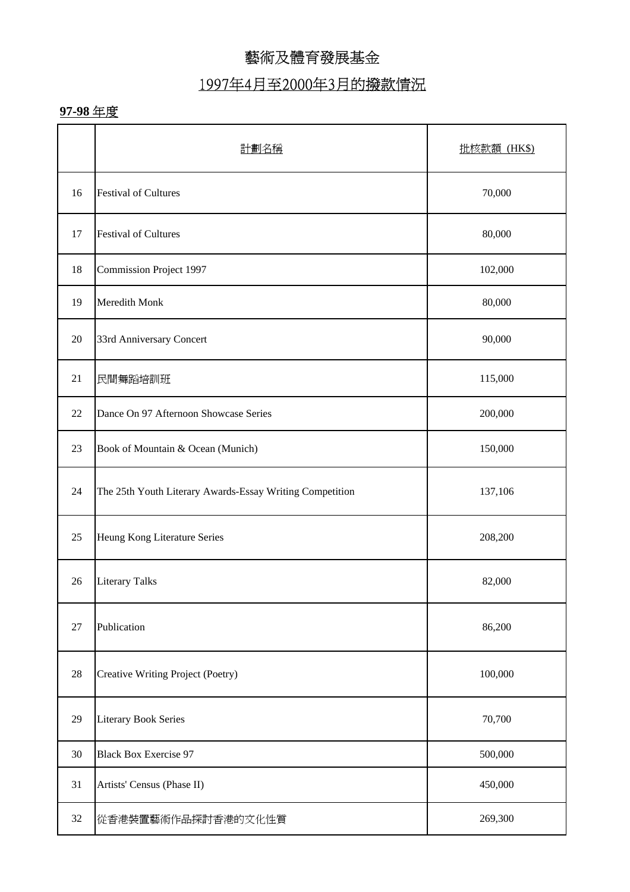### 1997年4月至2000年3月的撥款情況

|    | 計劃名稱                                                     | 批核款額 (HK\$) |
|----|----------------------------------------------------------|-------------|
| 16 | <b>Festival of Cultures</b>                              | 70,000      |
| 17 | <b>Festival of Cultures</b>                              | 80,000      |
| 18 | <b>Commission Project 1997</b>                           | 102,000     |
| 19 | Meredith Monk                                            | 80,000      |
| 20 | 33rd Anniversary Concert                                 | 90,000      |
| 21 | 民間舞蹈培訓班                                                  | 115,000     |
| 22 | Dance On 97 Afternoon Showcase Series                    | 200,000     |
| 23 | Book of Mountain & Ocean (Munich)                        | 150,000     |
| 24 | The 25th Youth Literary Awards-Essay Writing Competition | 137,106     |
| 25 | Heung Kong Literature Series                             | 208,200     |
| 26 | <b>Literary Talks</b>                                    | 82,000      |
| 27 | Publication                                              | 86,200      |
| 28 | Creative Writing Project (Poetry)                        | 100,000     |
| 29 | <b>Literary Book Series</b>                              | 70,700      |
| 30 | <b>Black Box Exercise 97</b>                             | 500,000     |
| 31 | Artists' Census (Phase II)                               | 450,000     |
| 32 | 從香港裝置藝術作品探討香港的文化性質                                       | 269,300     |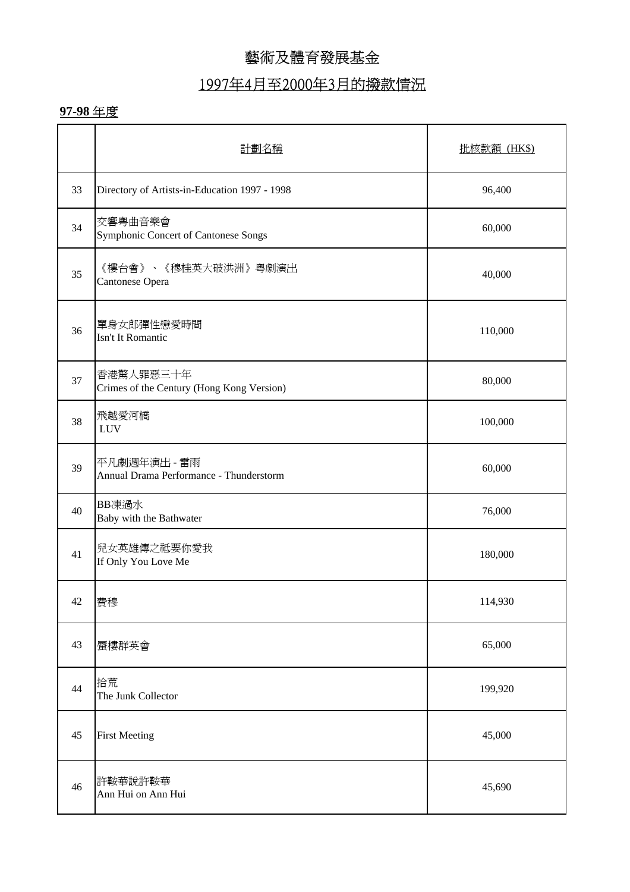### 1997年4月至2000年3月的撥款情況

|    | 計劃名稱                                                    | 批核款額 (HK\$) |
|----|---------------------------------------------------------|-------------|
| 33 | Directory of Artists-in-Education 1997 - 1998           | 96,400      |
| 34 | 交響粤曲音樂會<br>Symphonic Concert of Cantonese Songs         | 60,000      |
| 35 | 《樓台會》、《穆桂英大破洪洲》粤劇演出<br>Cantonese Opera                  | 40,000      |
| 36 | 單身女郎彈性戀愛時間<br>Isn't It Romantic                         | 110,000     |
| 37 | 香港驚人罪惡三十年<br>Crimes of the Century (Hong Kong Version)  | 80,000      |
| 38 | 飛越愛河橋<br><b>LUV</b>                                     | 100,000     |
| 39 | 平凡劇週年演出 - 雷雨<br>Annual Drama Performance - Thunderstorm | 60,000      |
| 40 | BB凍過水<br>Baby with the Bathwater                        | 76,000      |
| 41 | 兒女英雄傳之祗要你愛我<br>If Only You Love Me                      | 180,000     |
| 42 | 費穆                                                      | 114,930     |
| 43 | 蜃樓群英會                                                   | 65,000      |
| 44 | 拾荒<br>The Junk Collector                                | 199,920     |
| 45 | <b>First Meeting</b>                                    | 45,000      |
| 46 | 許鞍華說許鞍華<br>Ann Hui on Ann Hui                           | 45,690      |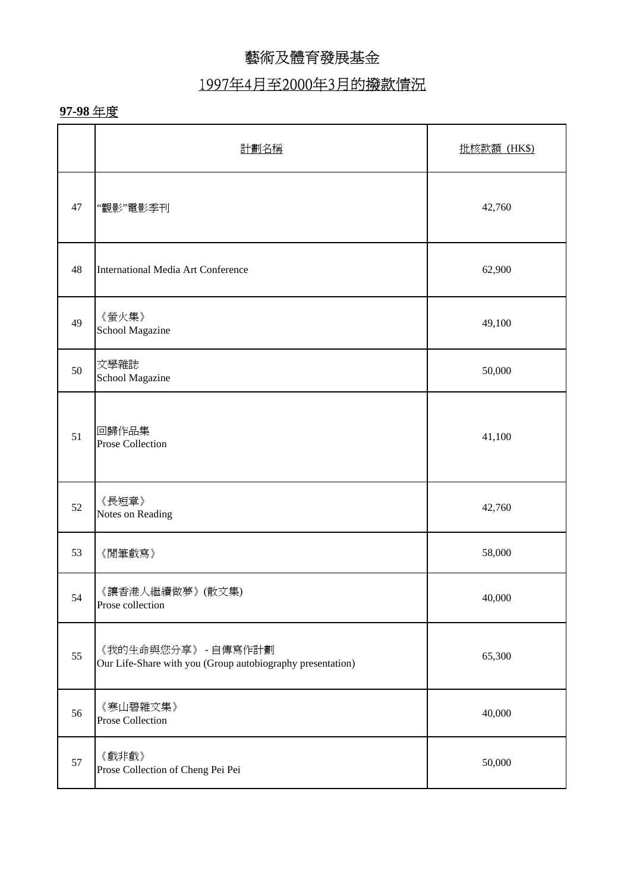# 1997年4月至2000年3月的撥款情況

|    | 計劃名稱                                                                              | 批核款額 (HK\$) |
|----|-----------------------------------------------------------------------------------|-------------|
| 47 | "觀影"電影季刊                                                                          | 42,760      |
| 48 | International Media Art Conference                                                | 62,900      |
| 49 | 《螢火集》<br>School Magazine                                                          | 49,100      |
| 50 | 文學雜誌<br>School Magazine                                                           | 50,000      |
| 51 | 回歸作品集<br><b>Prose Collection</b>                                                  | 41,100      |
| 52 | 《長短章》<br>Notes on Reading                                                         | 42,760      |
| 53 | 《閒筆戲寫》                                                                            | 58,000      |
| 54 | 《讓香港人繼續做夢》(散文集)<br>Prose collection                                               | 40,000      |
| 55 | 《我的生命與您分享》 - 自傳寫作計劃<br>Our Life-Share with you (Group autobiography presentation) | 65,300      |
| 56 | 《寒山碧雜文集》<br>Prose Collection                                                      | 40,000      |
| 57 | 《戲非戲》<br>Prose Collection of Cheng Pei Pei                                        | 50,000      |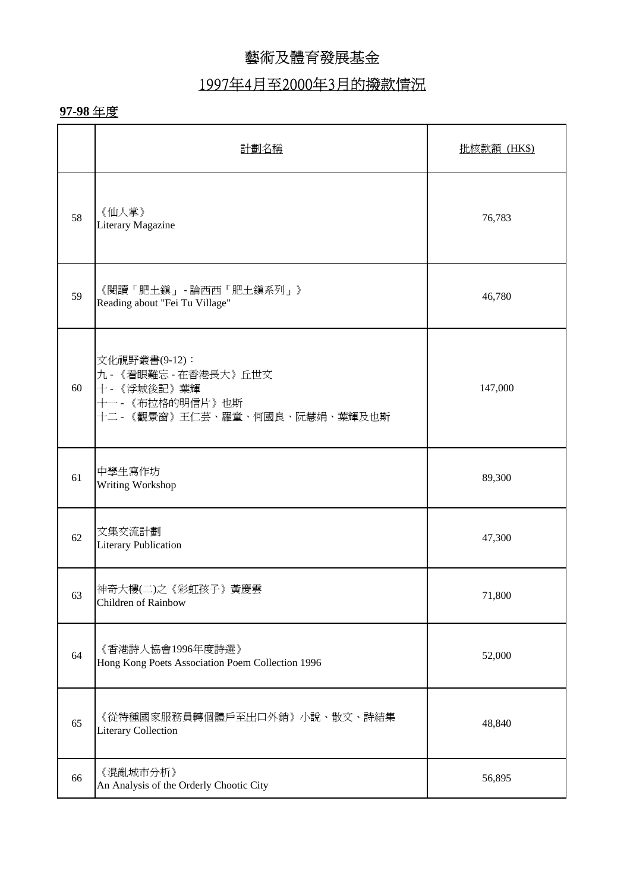## 1997年4月至2000年3月的撥款情況

|    | 計劃名稱                                                                                                         | <b>批核款額 (HK\$)</b> |
|----|--------------------------------------------------------------------------------------------------------------|--------------------|
| 58 | 《仙人掌》<br>Literary Magazine                                                                                   | 76,783             |
| 59 | 《閱讀「肥土鎭」 - 論西西「肥土鎭系列」》<br>Reading about "Fei Tu Village"                                                     | 46,780             |
| 60 | 文化視野叢書(9-12):<br>九 - 《看眼難忘 - 在香港長大》丘世文<br>十 - 《浮城後記》葉輝<br>十一 - 《布拉格的明信片》也斯<br>十二 - 《觀景窗》王仁芸、羅童、何國良、阮慧娟、葉輝及也斯 | 147,000            |
| 61 | 中學生寫作坊<br>Writing Workshop                                                                                   | 89,300             |
| 62 | 文集交流計劃<br><b>Literary Publication</b>                                                                        | 47,300             |
| 63 | 神奇大樓(二)之《彩虹孩子》黃慶雲<br>Children of Rainbow                                                                     | 71,800             |
| 64 | 《香港詩人協會1996年度詩選》<br>Hong Kong Poets Association Poem Collection 1996                                         | 52,000             |
| 65 | 《從特種國家服務員轉個體戶至出口外銷》小說、散文、詩結集<br><b>Literary Collection</b>                                                   | 48,840             |
| 66 | 《混亂城市分析》<br>An Analysis of the Orderly Chootic City                                                          | 56,895             |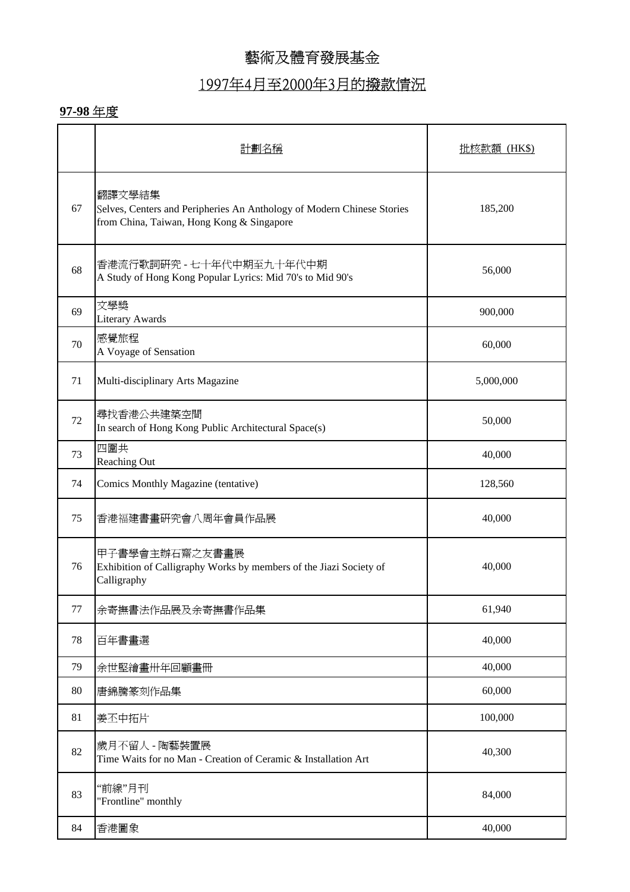#### 1997年4月至2000年3月的撥款情況

|    | 計劃名稱                                                                                                                          | 批核款額 (HK\$) |
|----|-------------------------------------------------------------------------------------------------------------------------------|-------------|
| 67 | 翻譯文學結集<br>Selves, Centers and Peripheries An Anthology of Modern Chinese Stories<br>from China, Taiwan, Hong Kong & Singapore | 185,200     |
| 68 | 香港流行歌詞研究 - 七十年代中期至九十年代中期<br>A Study of Hong Kong Popular Lyrics: Mid 70's to Mid 90's                                         | 56,000      |
| 69 | 文學獎<br><b>Literary Awards</b>                                                                                                 | 900,000     |
| 70 | 感覺旅程<br>A Voyage of Sensation                                                                                                 | 60,000      |
| 71 | Multi-disciplinary Arts Magazine                                                                                              | 5,000,000   |
| 72 | 尋找香港公共建築空間<br>In search of Hong Kong Public Architectural Space(s)                                                            | 50,000      |
| 73 | 四圍共<br>Reaching Out                                                                                                           | 40,000      |
| 74 | <b>Comics Monthly Magazine (tentative)</b>                                                                                    | 128,560     |
| 75 | 香港福建書畫研究會八周年會員作品展                                                                                                             | 40,000      |
| 76 | 甲子書學會主辦石齋之友書畫展<br>Exhibition of Calligraphy Works by members of the Jiazi Society of<br>Calligraphy                           | 40,000      |
| 77 | 余寄撫書法作品展及余寄撫書作品集                                                                                                              | 61,940      |
| 78 | 百年書畫選                                                                                                                         | 40,000      |
| 79 | 余世堅繪畫卅年回顧畫冊                                                                                                                   | 40,000      |
| 80 | 唐錦騰篆刻作品集                                                                                                                      | 60,000      |
| 81 | 姜丕中拓片                                                                                                                         | 100,000     |
| 82 | 歲月不留人 - 陶藝裝置展<br>Time Waits for no Man - Creation of Ceramic & Installation Art                                               | 40,300      |
| 83 | "前線"月刊<br>"Frontline" monthly                                                                                                 | 84,000      |
| 84 | 香港圖象                                                                                                                          | 40,000      |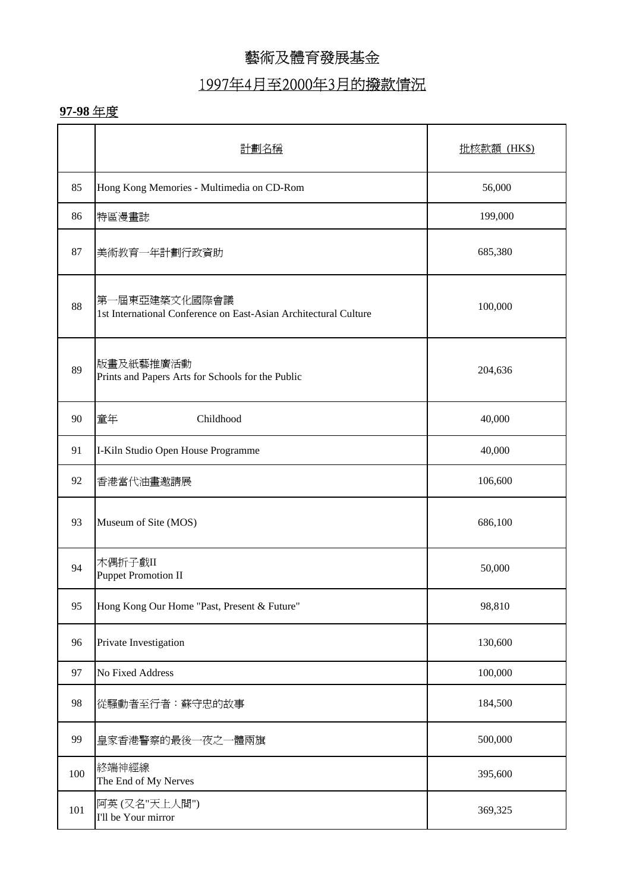### 1997年4月至2000年3月的撥款情況

|     | 計劃名稱                                                                              | 批核款額 (HK\$) |
|-----|-----------------------------------------------------------------------------------|-------------|
| 85  | Hong Kong Memories - Multimedia on CD-Rom                                         | 56,000      |
| 86  | 特區漫畫誌                                                                             | 199,000     |
| 87  | 美術教育一年計劃行政資助                                                                      | 685,380     |
| 88  | 第一屆東亞建築文化國際會議<br>1st International Conference on East-Asian Architectural Culture | 100,000     |
| 89  | 版畫及紙藝推廣活動<br>Prints and Papers Arts for Schools for the Public                    | 204,636     |
| 90  | 童年<br>Childhood                                                                   | 40,000      |
| 91  | I-Kiln Studio Open House Programme                                                | 40,000      |
| 92  | 香港當代油畫邀請展                                                                         | 106,600     |
| 93  | Museum of Site (MOS)                                                              | 686,100     |
| 94  | 木偶折子戲II<br><b>Puppet Promotion II</b>                                             | 50,000      |
| 95  | Hong Kong Our Home "Past, Present & Future"                                       | 98,810      |
| 96  | Private Investigation                                                             | 130,600     |
| 97  | No Fixed Address                                                                  | 100,000     |
| 98  | 從騷動者至行者:蘇守忠的故事                                                                    | 184,500     |
| 99  | 皇家香港警察的最後一夜之一體兩旗                                                                  | 500,000     |
| 100 | 終端神經線<br>The End of My Nerves                                                     | 395,600     |
| 101 | 阿英(又名"天上人間")<br>I'll be Your mirror                                               | 369,325     |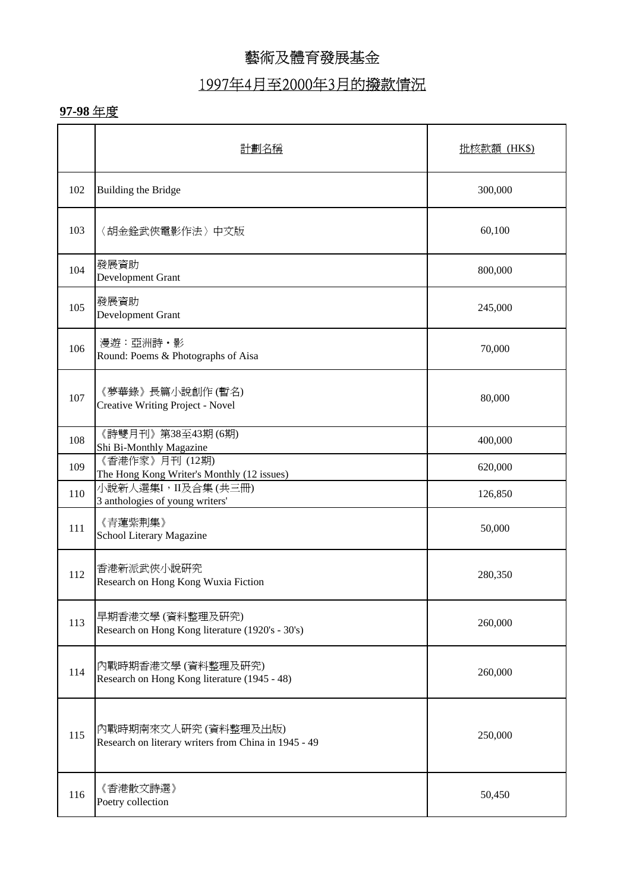### 1997年4月至2000年3月的撥款情況

|     | 計劃名稱                                                                         | 批核款額 (HK\$) |
|-----|------------------------------------------------------------------------------|-------------|
| 102 | Building the Bridge                                                          | 300,000     |
| 103 | 〈胡金銓武俠電影作法〉中文版                                                               | 60,100      |
| 104 | 發展資助<br>Development Grant                                                    | 800,000     |
| 105 | 發展資助<br>Development Grant                                                    | 245,000     |
| 106 | 漫遊:亞洲詩·影<br>Round: Poems & Photographs of Aisa                               | 70,000      |
| 107 | 《夢華錄》長篇小說創作(暫名)<br>Creative Writing Project - Novel                          | 80,000      |
| 108 | 《詩雙月刊》第38至43期 (6期)<br>Shi Bi-Monthly Magazine                                | 400,000     |
| 109 | 《香港作家》月刊 (12期)<br>The Hong Kong Writer's Monthly (12 issues)                 | 620,000     |
| 110 | 小說新人選集I,II及合集(共三冊)<br>3 anthologies of young writers'                        | 126,850     |
| 111 | 《青蓮紫荆集》<br>School Literary Magazine                                          | 50,000      |
| 112 | 香港新派武俠小說研究<br>Research on Hong Kong Wuxia Fiction                            | 280,350     |
| 113 | 早期香港文學 (資料整理及研究)<br>Research on Hong Kong literature (1920's - 30's)         | 260,000     |
| 114 | 內戰時期香港文學 (資料整理及研究)<br>Research on Hong Kong literature (1945 - 48)           | 260,000     |
| 115 | 內戰時期南來文人硏究 (資料整理及出版)<br>Research on literary writers from China in 1945 - 49 | 250,000     |
| 116 | 《香港散文詩選》<br>Poetry collection                                                | 50,450      |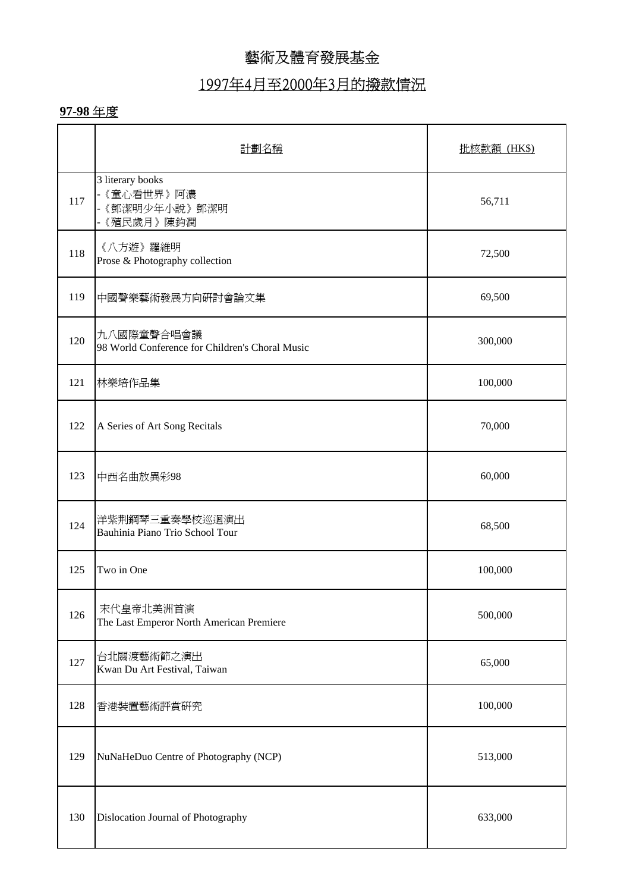### 1997年4月至2000年3月的撥款情況

|     | 計劃名稱                                                           | 批核款額 (HK\$) |
|-----|----------------------------------------------------------------|-------------|
| 117 | 3 literary books<br>- 《童心看世界》 阿濃<br>-《鄧潔明少年小說》鄧潔明<br>《殖民歲月》陳鈞潤 | 56,711      |
| 118 | 《八方遊》羅維明<br>Prose & Photography collection                     | 72,500      |
| 119 | 中國聲樂藝術發展方向研討會論文集                                               | 69,500      |
| 120 | 九八國際童聲合唱會議<br>98 World Conference for Children's Choral Music  | 300,000     |
| 121 | 林樂培作品集                                                         | 100,000     |
| 122 | A Series of Art Song Recitals                                  | 70,000      |
| 123 | 中西名曲放異彩98                                                      | 60,000      |
| 124 | 洋紫荆鋼琴三重奏學校巡迴演出<br>Bauhinia Piano Trio School Tour              | 68,500      |
| 125 | Two in One                                                     | 100,000     |
| 126 | 末代皇帝北美洲首演<br>The Last Emperor North American Premiere          | 500,000     |
| 127 | 台北關渡藝術節之演出<br>Kwan Du Art Festival, Taiwan                     | 65,000      |
| 128 | 香港裝置藝術評賞研究                                                     | 100,000     |
| 129 | NuNaHeDuo Centre of Photography (NCP)                          | 513,000     |
| 130 | Dislocation Journal of Photography                             | 633,000     |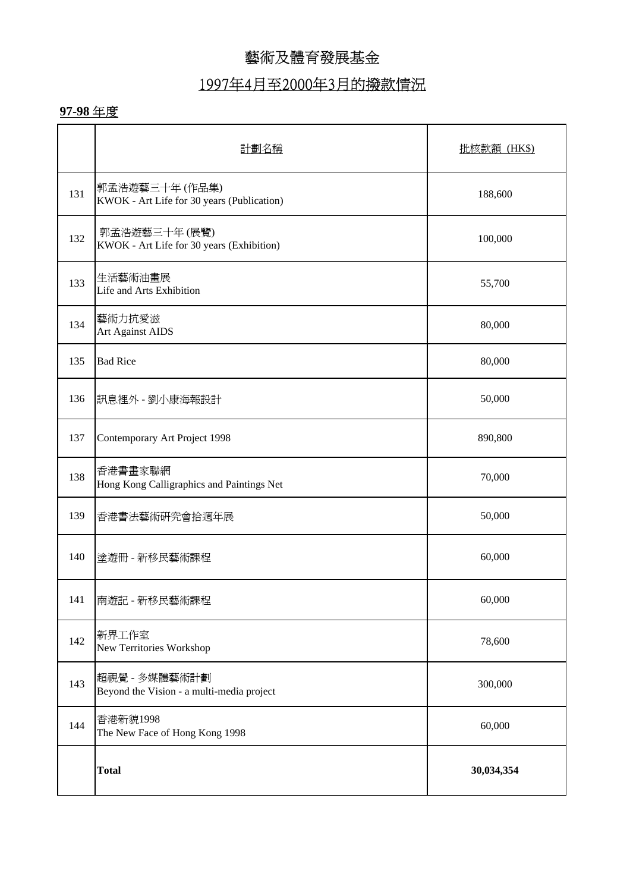# 1997年4月至2000年3月的撥款情況

|     | 計劃名稱                                                         | 批核款額 (HK\$) |
|-----|--------------------------------------------------------------|-------------|
| 131 | 郭孟浩遊藝三十年 (作品集)<br>KWOK - Art Life for 30 years (Publication) | 188,600     |
| 132 | 郭孟浩遊藝三十年 (展覽)<br>KWOK - Art Life for 30 years (Exhibition)   | 100,000     |
| 133 | 生活藝術油畫展<br>Life and Arts Exhibition                          | 55,700      |
| 134 | 藝術力抗愛滋<br>Art Against AIDS                                   | 80,000      |
| 135 | <b>Bad Rice</b>                                              | 80,000      |
| 136 | 訊息裡外 - 劉小康海報設計                                               | 50,000      |
| 137 | Contemporary Art Project 1998                                | 890,800     |
| 138 | 香港書畫家聯網<br>Hong Kong Calligraphics and Paintings Net         | 70,000      |
| 139 | 香港書法藝術研究會拾週年展                                                | 50,000      |
| 140 | 塗遊冊 - 新移民藝術課程                                                | 60,000      |
| 141 | 南遊記 - 新移民藝術課程                                                | 60,000      |
| 142 | 新界工作室<br>New Territories Workshop                            | 78,600      |
| 143 | 超視覺 - 多媒體藝術計劃<br>Beyond the Vision - a multi-media project   | 300,000     |
| 144 | 香港新貌1998<br>The New Face of Hong Kong 1998                   | 60,000      |
|     | <b>Total</b>                                                 | 30,034,354  |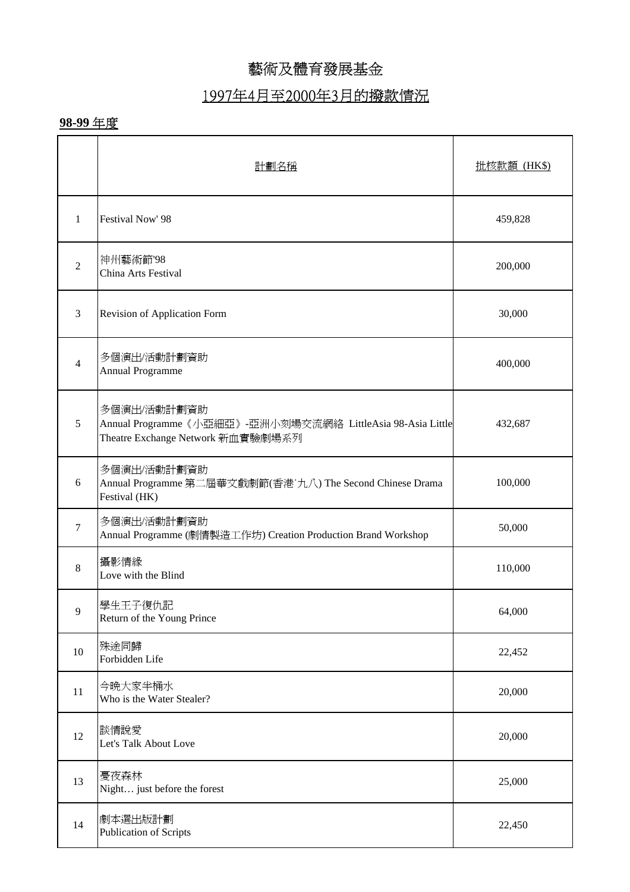## 1997年4月至2000年3月的撥款情況

|                | 計劃名稱                                                                                                           | 批核款額 (HK\$) |
|----------------|----------------------------------------------------------------------------------------------------------------|-------------|
| $\mathbf{1}$   | Festival Now' 98                                                                                               | 459,828     |
| $\overline{2}$ | 神州藝術節'98<br>China Arts Festival                                                                                | 200,000     |
| $\mathfrak{Z}$ | Revision of Application Form                                                                                   | 30,000      |
| $\overline{4}$ | 多個演出/活動計劃資助<br><b>Annual Programme</b>                                                                         | 400,000     |
| 5              | 多個演出/活動計劃資助<br>Annual Programme《小亞細亞》-亞洲小刻場交流網絡 LittleAsia 98-Asia Little<br>Theatre Exchange Network 新血實驗劇場系列 | 432,687     |
| 6              | 多個演出/活動計劃資助<br>Annual Programme 第二屆華文戲劇節(香港 九八) The Second Chinese Drama<br>Festival (HK)                      | 100,000     |
| $\tau$         | 多個演出/活動計劃資助<br>Annual Programme (劇情製造工作坊) Creation Production Brand Workshop                                   | 50,000      |
| $\,8\,$        | 攝影情緣<br>Love with the Blind                                                                                    | 110,000     |
| 9              | 學生王子復仇記<br>Return of the Young Prince                                                                          | 64,000      |
| 10             | 殊途同歸<br>Forbidden Life                                                                                         | 22,452      |
| 11             | 今晚大家半桶水<br>Who is the Water Stealer?                                                                           | 20,000      |
| 12             | 談情說愛<br>Let's Talk About Love                                                                                  | 20,000      |
| 13             | 憂夜森林<br>Night just before the forest                                                                           | 25,000      |
| 14             | 劇本選出版計劃<br><b>Publication of Scripts</b>                                                                       | 22,450      |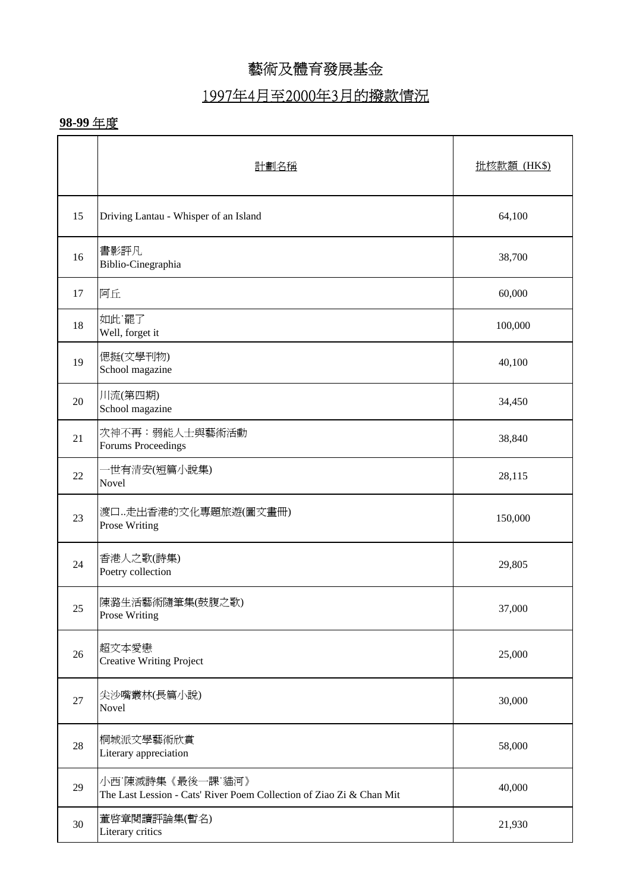## 1997年4月至2000年3月的撥款情況

|    | 計劃名稱                                                                                     | 批核款額 (HK\$) |
|----|------------------------------------------------------------------------------------------|-------------|
| 15 | Driving Lantau - Whisper of an Island                                                    | 64,100      |
| 16 | 書影評凡<br>Biblio-Cinegraphia                                                               | 38,700      |
| 17 | 阿丘                                                                                       | 60,000      |
| 18 | 如此 罷了<br>Well, forget it                                                                 | 100,000     |
| 19 | 偲挺(文學刊物)<br>School magazine                                                              | 40,100      |
| 20 | 川流(第四期)<br>School magazine                                                               | 34,450      |
| 21 | 次神不再:弱能人士與藝術活動<br>Forums Proceedings                                                     | 38,840      |
| 22 | ·世有清安(短篇小說集)<br>Novel                                                                    | 28,115      |
| 23 | 渡口…走出香港的文化專題旅遊(圖文畫冊)<br>Prose Writing                                                    | 150,000     |
| 24 | 香港人之歌(詩集)<br>Poetry collection                                                           | 29,805      |
| 25 | 陳潞生活藝術隨筆集(鼓腹之歌)<br>Prose Writing                                                         | 37,000      |
| 26 | 超文本愛戀<br><b>Creative Writing Project</b>                                                 | 25,000      |
| 27 | 尖沙嘴叢林(長篇小說)<br>Novel                                                                     | 30,000      |
| 28 | 桐城派文學藝術欣賞<br>Literary appreciation                                                       | 58,000      |
| 29 | 小西 陳滅詩集《最後一課 貓河》<br>The Last Lession - Cats' River Poem Collection of Ziao Zi & Chan Mit | 40,000      |
| 30 | 董啓章閱讀評論集(暫名)<br>Literary critics                                                         | 21,930      |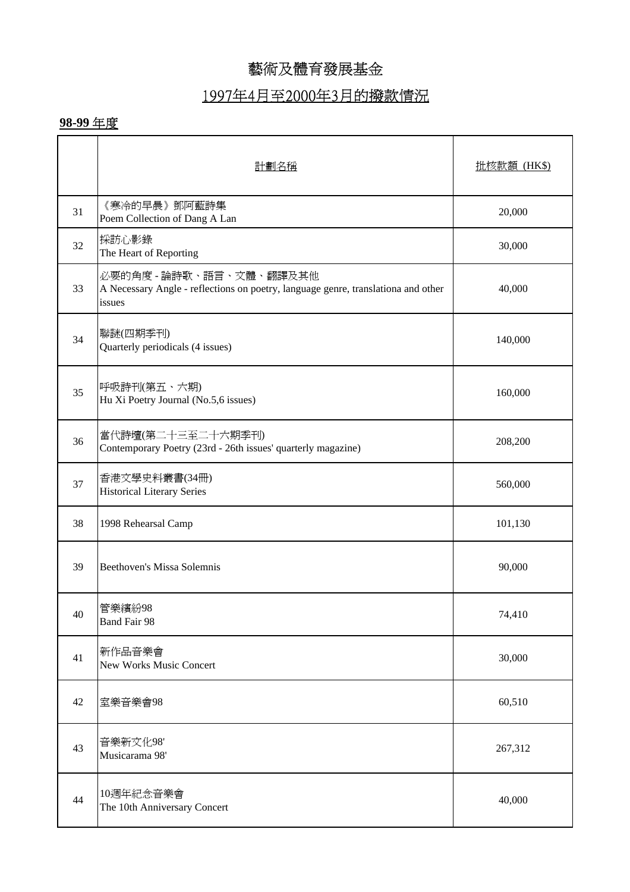## 1997年4月至2000年3月的撥款情況

|    | 計劃名稱                                                                                                                   | 批核款額 (HK\$) |
|----|------------------------------------------------------------------------------------------------------------------------|-------------|
| 31 | 《寒冷的早晨》鄧阿藍詩集<br>Poem Collection of Dang A Lan                                                                          | 20,000      |
| 32 | 採訪心影錄<br>The Heart of Reporting                                                                                        | 30,000      |
| 33 | 必要的角度 - 論詩歌、語言、文體、翻譯及其他<br>A Necessary Angle - reflections on poetry, language genre, translationa and other<br>issues | 40,000      |
| 34 | 聯謎(四期季刊)<br>Quarterly periodicals (4 issues)                                                                           | 140,000     |
| 35 | 呼吸詩刊(第五、六期)<br>Hu Xi Poetry Journal (No.5,6 issues)                                                                    | 160,000     |
| 36 | 當代詩壇(第二十三至二十六期季刊)<br>Contemporary Poetry (23rd - 26th issues' quarterly magazine)                                      | 208,200     |
| 37 | 香港文學史料叢書(34冊)<br><b>Historical Literary Series</b>                                                                     | 560,000     |
| 38 | 1998 Rehearsal Camp                                                                                                    | 101,130     |
| 39 | <b>Beethoven's Missa Solemnis</b>                                                                                      | 90,000      |
| 40 | 管樂繽紛98<br><b>Band Fair 98</b>                                                                                          | 74,410      |
| 41 | 新作品音樂會<br><b>New Works Music Concert</b>                                                                               | 30,000      |
| 42 | 室樂音樂會98                                                                                                                | 60,510      |
| 43 | 音樂新文化98'<br>Musicarama 98'                                                                                             | 267,312     |
| 44 | 10週年紀念音樂會<br>The 10th Anniversary Concert                                                                              | 40,000      |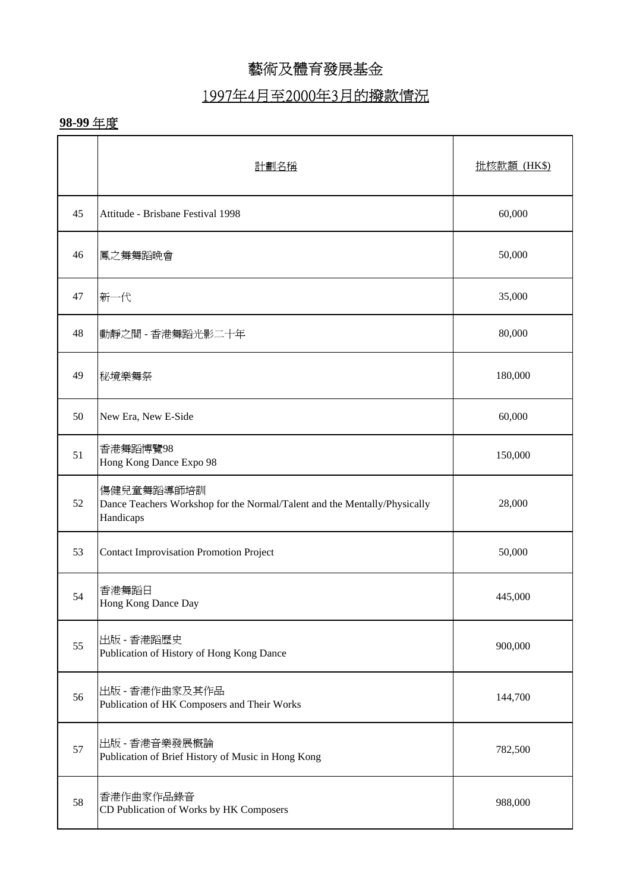## 1997年4月至2000年3月的撥款情況

|    | 計劃名稱                                                                                                 | 批核款額 (HK\$) |
|----|------------------------------------------------------------------------------------------------------|-------------|
| 45 | Attitude - Brisbane Festival 1998                                                                    | 60,000      |
| 46 | 鳳之舞舞蹈晩會                                                                                              | 50,000      |
| 47 | 新一代                                                                                                  | 35,000      |
| 48 | 動靜之間 - 香港舞蹈光影二十年                                                                                     | 80,000      |
| 49 | 秘境樂舞祭                                                                                                | 180,000     |
| 50 | New Era, New E-Side                                                                                  | 60,000      |
| 51 | 香港舞蹈博覽98<br>Hong Kong Dance Expo 98                                                                  | 150,000     |
| 52 | 傷健兒童舞蹈導師培訓<br>Dance Teachers Workshop for the Normal/Talent and the Mentally/Physically<br>Handicaps | 28,000      |
| 53 | <b>Contact Improvisation Promotion Project</b>                                                       | 50,000      |
| 54 | 香港舞蹈日<br>Hong Kong Dance Day                                                                         | 445,000     |
| 55 | 出版 - 香港蹈歷史<br>Publication of History of Hong Kong Dance                                              | 900,000     |
| 56 | 出版 - 香港作曲家及其作品<br>Publication of HK Composers and Their Works                                        | 144,700     |
| 57 | 出版 - 香港音樂發展概論<br>Publication of Brief History of Music in Hong Kong                                  | 782,500     |
| 58 | 香港作曲家作品錄音<br>CD Publication of Works by HK Composers                                                 | 988,000     |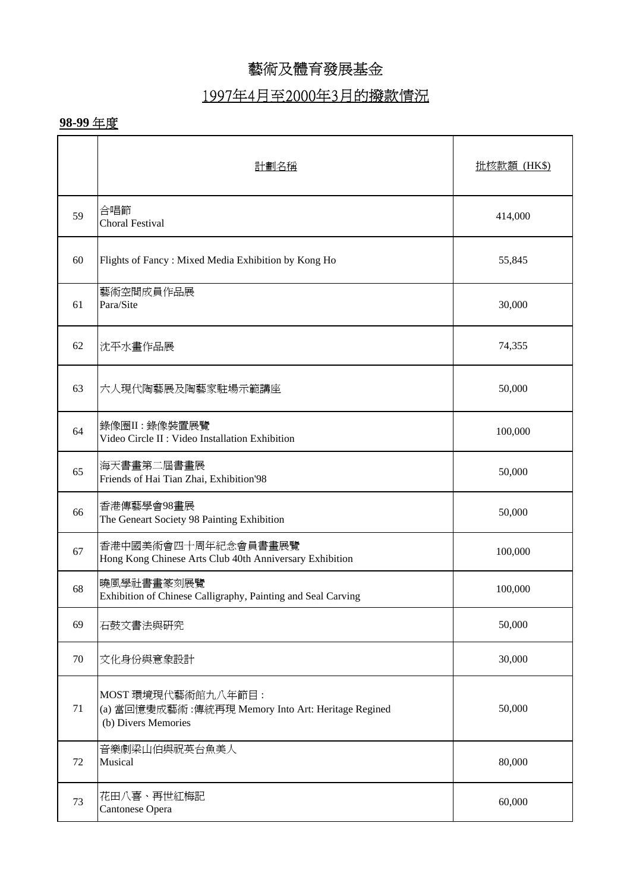## 1997年4月至2000年3月的撥款情況

|    | 計劃名稱                                                                                            | 批核款額 (HK\$) |
|----|-------------------------------------------------------------------------------------------------|-------------|
| 59 | 合唱節<br><b>Choral Festival</b>                                                                   | 414,000     |
| 60 | Flights of Fancy: Mixed Media Exhibition by Kong Ho                                             | 55,845      |
| 61 | 藝術空間成員作品展<br>Para/Site                                                                          | 30,000      |
| 62 | 沈平水畫作品展                                                                                         | 74,355      |
| 63 | 六人現代陶藝展及陶藝家駐場示範講座                                                                               | 50,000      |
| 64 | 錄像圈II:錄像裝置展覽<br>Video Circle II : Video Installation Exhibition                                 | 100,000     |
| 65 | 海天書畫第二屆書畫展<br>Friends of Hai Tian Zhai, Exhibition'98                                           | 50,000      |
| 66 | 香港傳藝學會98畫展<br>The Geneart Society 98 Painting Exhibition                                        | 50,000      |
| 67 | 香港中國美術會四十周年紀念會員書畫展覽<br>Hong Kong Chinese Arts Club 40th Anniversary Exhibition                  | 100,000     |
| 68 | 曉風學社書畫篆刻展覽<br>Exhibition of Chinese Calligraphy, Painting and Seal Carving                      | 100,000     |
| 69 | 石鼓文書法與研究                                                                                        | 50,000      |
| 70 | 文化身份與意象設計                                                                                       | 30,000      |
| 71 | MOST 環境現代藝術館九八年節目:<br>(a) 當回憶變成藝術:傳統再現 Memory Into Art: Heritage Regined<br>(b) Divers Memories | 50,000      |
| 72 | 音樂劇梁山伯與祝英台魚美人<br>Musical                                                                        | 80,000      |
| 73 | 花田八喜、再世紅梅記<br>Cantonese Opera                                                                   | 60,000      |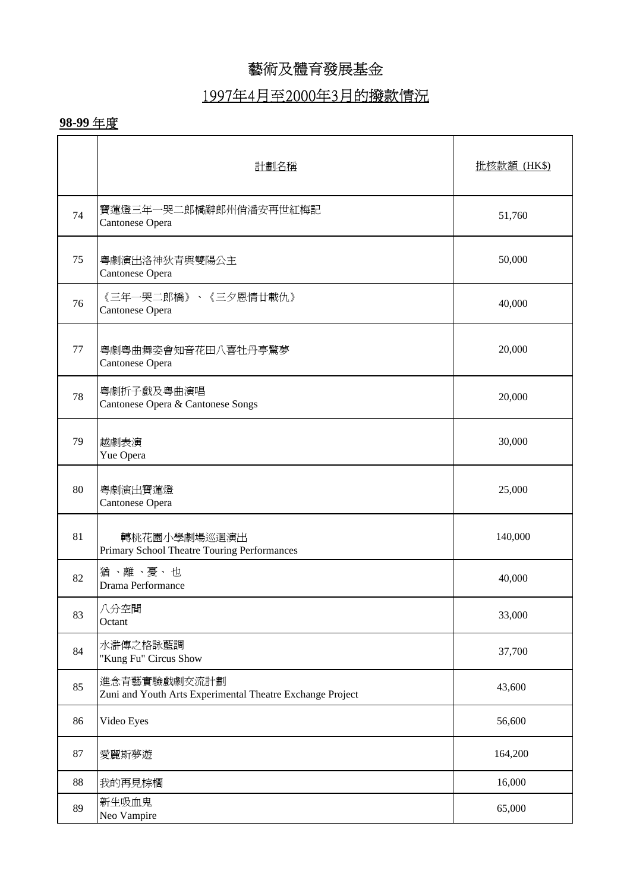## 1997年4月至2000年3月的撥款情況

|    | 計劃名稱                                                                      | 批核款額 (HK\$) |
|----|---------------------------------------------------------------------------|-------------|
| 74 | 寶蓮燈三年一哭二郎橋辭郎州俏潘安再世紅梅記<br>Cantonese Opera                                  | 51,760      |
| 75 | 粵劇演出洛神狄青與雙陽公主<br>Cantonese Opera                                          | 50,000      |
| 76 | 《三年一哭二郎橋》、《三夕恩情廿載仇》<br>Cantonese Opera                                    | 40,000      |
| 77 | 粤劇粤曲舞姿會知音花田八喜牡丹亭驚夢<br>Cantonese Opera                                     | 20,000      |
| 78 | 粵劇折子戲及粵曲演唱<br>Cantonese Opera & Cantonese Songs                           | 20,000      |
| 79 | 越劇表演<br>Yue Opera                                                         | 30,000      |
| 80 | 粵劇演出寶蓮燈<br>Cantonese Opera                                                | 25,000      |
| 81 | 轉桃花園小學劇場巡迴演出<br>Primary School Theatre Touring Performances               | 140,000     |
| 82 | 猶、離、憂、也<br>Drama Performance                                              | 40,000      |
| 83 | 八分空間<br>Octant                                                            | 33,000      |
| 84 | 水滸傳之格詠藍調<br>"Kung Fu" Circus Show                                         | 37,700      |
| 85 | 進念青藝實驗戲劇交流計劃<br>Zuni and Youth Arts Experimental Theatre Exchange Project | 43,600      |
| 86 | Video Eyes                                                                | 56,600      |
| 87 | 愛麗斯夢遊                                                                     | 164,200     |
| 88 | 我的再見棕櫚                                                                    | 16,000      |
| 89 | 新生吸血鬼<br>Neo Vampire                                                      | 65,000      |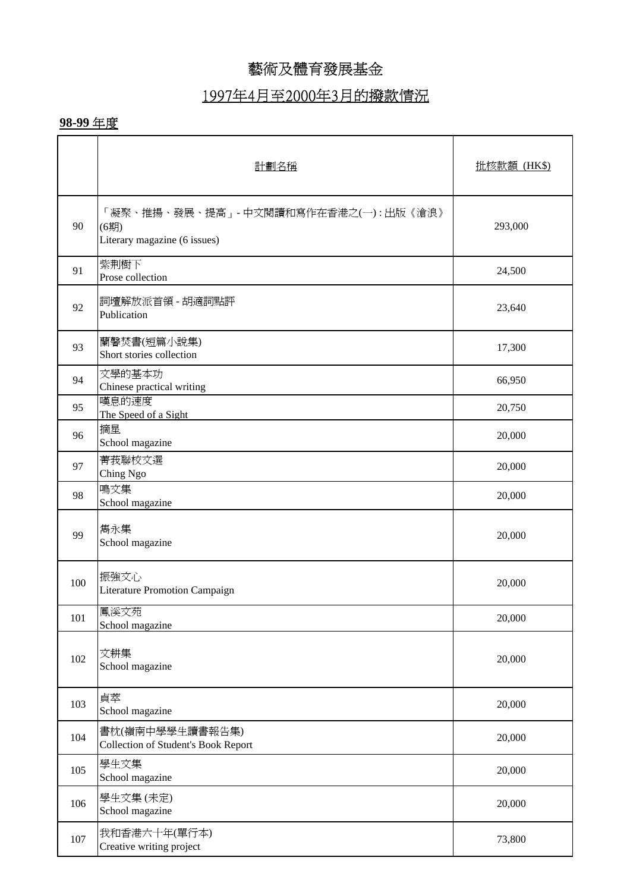#### 1997年4月至2000年3月的撥款情況

|     | 計劃名稱                                                                           | 批核款額 (HK\$) |
|-----|--------------------------------------------------------------------------------|-------------|
| 90  | 「凝聚、推揚、發展、提高」- 中文閱讀和寫作在香港之(一) : 出版《滄浪》<br>(6期)<br>Literary magazine (6 issues) | 293,000     |
| 91  | 紫荆樹下<br>Prose collection                                                       | 24,500      |
| 92  | 詞壇解放派首領 - 胡適詞點評<br>Publication                                                 | 23,640      |
| 93  | 蘭馨焚書(短篇小說集)<br>Short stories collection                                        | 17,300      |
| 94  | 文學的基本功<br>Chinese practical writing                                            | 66,950      |
| 95  | 嘆息的速度<br>The Speed of a Sight                                                  | 20,750      |
| 96  | 摘星<br>School magazine                                                          | 20,000      |
| 97  | 菁莪聯校文選<br>Ching Ngo                                                            | 20,000      |
| 98  | 鳴文集<br>School magazine                                                         | 20,000      |
| 99  | 雋永集<br>School magazine                                                         | 20,000      |
| 100 | 振強文心<br>Literature Promotion Campaign                                          | 20,000      |
| 101 | 鳳溪文苑<br>School magazine                                                        | 20,000      |
| 102 | 文耕集<br>School magazine                                                         | 20,000      |
| 103 | 貞萃<br>School magazine                                                          | 20,000      |
| 104 | 書枕(嶺南中學學生讀書報告集)<br><b>Collection of Student's Book Report</b>                  | 20,000      |
| 105 | 學生文集<br>School magazine                                                        | 20,000      |
| 106 | 學生文集(未定)<br>School magazine                                                    | 20,000      |
| 107 | 我和香港六十年(單行本)<br>Creative writing project                                       | 73,800      |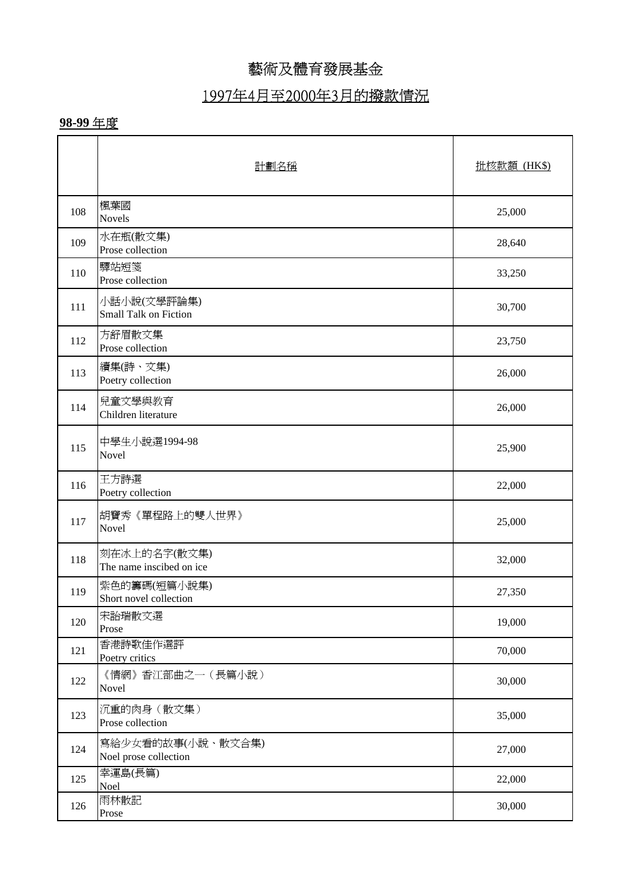# 1997年4月至2000年3月的撥款情況

|     | 計劃名稱                                       | 批核款額 (HK\$) |
|-----|--------------------------------------------|-------------|
| 108 | 楓葉國<br><b>Novels</b>                       | 25,000      |
| 109 | 水在瓶(散文集)<br>Prose collection               | 28,640      |
| 110 | 驛站短箋<br>Prose collection                   | 33,250      |
| 111 | 小話小說(文學評論集)<br>Small Talk on Fiction       | 30,700      |
| 112 | 方舒眉散文集<br>Prose collection                 | 23,750      |
| 113 | 續集(詩、文集)<br>Poetry collection              | 26,000      |
| 114 | 兒童文學與教育<br>Children literature             | 26,000      |
| 115 | 中學生小說選1994-98<br>Novel                     | 25,900      |
| 116 | 王方詩選<br>Poetry collection                  | 22,000      |
| 117 | 胡寶秀《單程路上的雙人世界》<br>Novel                    | 25,000      |
| 118 | 刻在冰上的名字(散文集)<br>The name inscibed on ice   | 32,000      |
| 119 | 紫色的籌碼(短篇小說集)<br>Short novel collection     | 27,350      |
| 120 | 宋詒瑞散文選<br>Prose                            | 19,000      |
| 121 | 香港詩歌佳作選評<br>Poetry critics                 | 70,000      |
| 122 | 《情網》香江部曲之一(長篇小說)<br>Novel                  | 30,000      |
| 123 | 沉重的肉身 (散文集)<br>Prose collection            | 35,000      |
| 124 | 寫給少女看的故事(小說、散文合集)<br>Noel prose collection | 27,000      |
| 125 | 幸運島(長篇)<br>Noel                            | 22,000      |
| 126 | 雨林散記<br>Prose                              | 30,000      |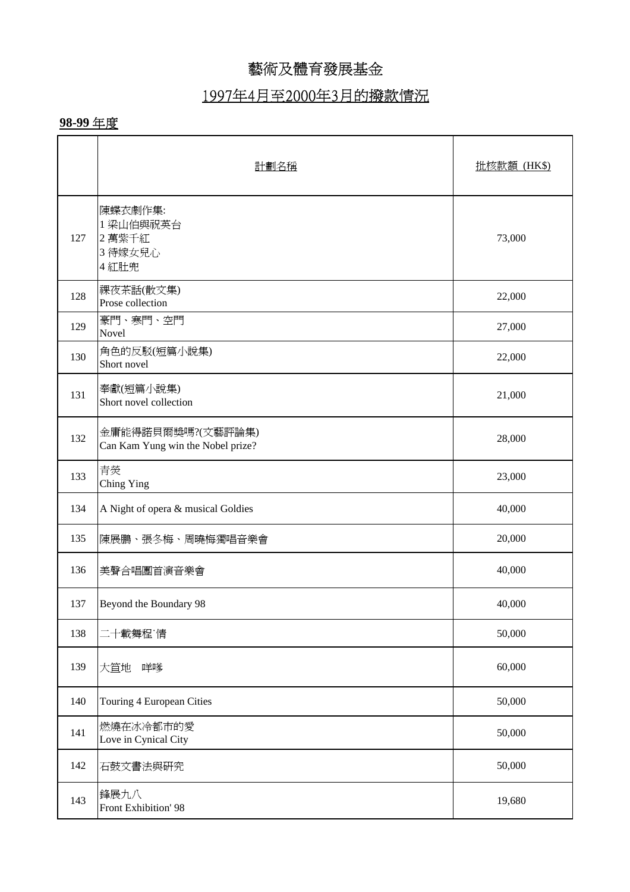#### 1997年4月至2000年3月的撥款情況

|     | 計劃名稱                                                   | 批核款額 (HK\$) |
|-----|--------------------------------------------------------|-------------|
| 127 | 陳蝶衣劇作集:<br>1 梁山伯與祝英台<br>2萬紫千紅<br>3 待嫁女兒心<br>4紅肚兜       | 73,000      |
| 128 | 裸夜茶話(散文集)<br>Prose collection                          | 22,000      |
| 129 | 豪門、寒門、空門<br>Novel                                      | 27,000      |
| 130 | 角色的反駁(短篇小說集)<br>Short novel                            | 22,000      |
| 131 | 奉獻(短篇小說集)<br>Short novel collection                    | 21,000      |
| 132 | 金庸能得諾貝爾獎嗎?(文藝評論集)<br>Can Kam Yung win the Nobel prize? | 28,000      |
| 133 | 青熒<br>Ching Ying                                       | 23,000      |
| 134 | A Night of opera & musical Goldies                     | 40,000      |
| 135 | 陳展鵬、張冬梅、周曉梅獨唱音樂會                                       | 20,000      |
| 136 | 美聲合唱團首演音樂會                                             | 40,000      |
| 137 | Beyond the Boundary 98                                 | 40,000      |
| 138 | 二十載舞程 情                                                | 50,000      |
| 139 | 大笪地<br>咩嗲                                              | 60,000      |
| 140 | Touring 4 European Cities                              | 50,000      |
| 141 | 燃燒在冰冷都市的愛<br>Love in Cynical City                      | 50,000      |
| 142 | 石鼓文書法與研究                                               | 50,000      |
| 143 | 鋒展九八<br>Front Exhibition' 98                           | 19,680      |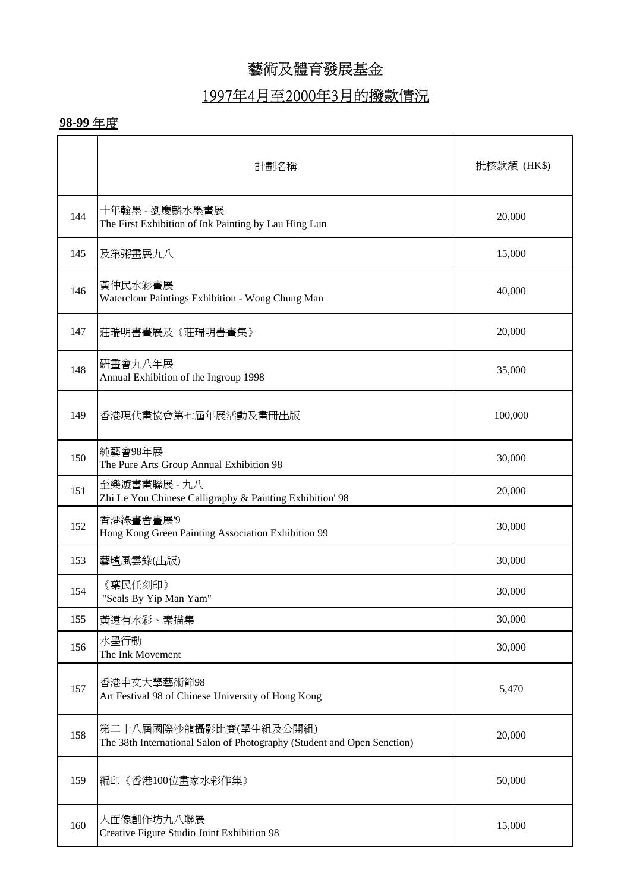## 1997年4月至2000年3月的撥款情況

|     | 計劃名稱                                                                                              | <u> 批核款額 (HK\$)</u> |
|-----|---------------------------------------------------------------------------------------------------|---------------------|
| 144 | 十年翰墨 - 劉慶麟水墨畫展<br>The First Exhibition of Ink Painting by Lau Hing Lun                            | 20,000              |
| 145 | 及第粥畫展九八                                                                                           | 15,000              |
| 146 | 黃仲民水彩畫展<br>Waterclour Paintings Exhibition - Wong Chung Man                                       | 40,000              |
| 147 | 莊瑞明書畫展及《莊瑞明書畫集》                                                                                   | 20,000              |
| 148 | 研畫會九八年展<br>Annual Exhibition of the Ingroup 1998                                                  | 35,000              |
| 149 | 香港現代畫協會第七屆年展活動及畫冊出版                                                                               | 100,000             |
| 150 | 純藝會98年展<br>The Pure Arts Group Annual Exhibition 98                                               | 30,000              |
| 151 | 至樂遊書畫聯展 - 九八<br>Zhi Le You Chinese Calligraphy & Painting Exhibition' 98                          | 20,000              |
| 152 | 香港綠畫會畫展'9<br>Hong Kong Green Painting Association Exhibition 99                                   | 30,000              |
| 153 | 藝壇風雲錄(出版)                                                                                         | 30,000              |
| 154 | 《葉民任刻印》<br>"Seals By Yip Man Yam"                                                                 | 30,000              |
| 155 | 黃遠有水彩、素描集                                                                                         | 30,000              |
| 156 | 水墨行動<br>The Ink Movement                                                                          | 30,000              |
| 157 | 香港中文大學藝術節98<br>Art Festival 98 of Chinese University of Hong Kong                                 | 5,470               |
| 158 | 第二十八屆國際沙龍攝影比賽(學生組及公開組)<br>The 38th International Salon of Photography (Student and Open Senction) | 20,000              |
| 159 | 編印《香港100位畫家水彩作集》                                                                                  | 50,000              |
| 160 | 人面像創作坊九八聯展<br>Creative Figure Studio Joint Exhibition 98                                          | 15,000              |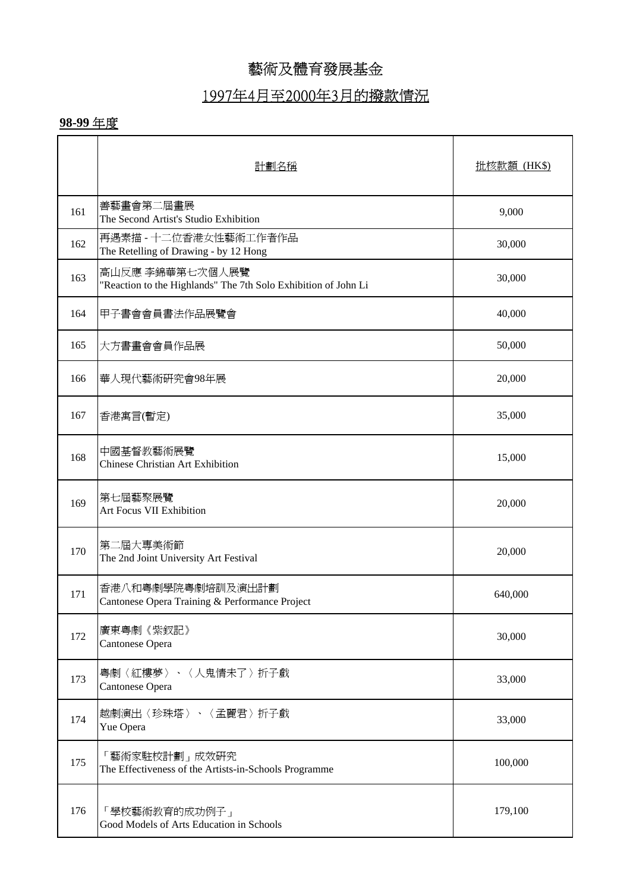#### 1997年4月至2000年3月的撥款情況

|     | 計劃名稱                                                                              | <u> 批核款額 (HK\$)</u> |
|-----|-----------------------------------------------------------------------------------|---------------------|
| 161 | 善藝畫會第二屆畫展<br>The Second Artist's Studio Exhibition                                | 9,000               |
| 162 | 再遇素描 - 十二位香港女性藝術工作者作品<br>The Retelling of Drawing - by 12 Hong                    | 30,000              |
| 163 | 高山反應 李錦華第七次個人展覽<br>"Reaction to the Highlands" The 7th Solo Exhibition of John Li | 30,000              |
| 164 | 甲子書會會員書法作品展覽會                                                                     | 40,000              |
| 165 | 大方書畫會會員作品展                                                                        | 50,000              |
| 166 | 華人現代藝術研究會98年展                                                                     | 20,000              |
| 167 | 香港寓言(暫定)                                                                          | 35,000              |
| 168 | 中國基督教藝術展覽<br><b>Chinese Christian Art Exhibition</b>                              | 15,000              |
| 169 | 第七屆藝聚展覽<br>Art Focus VII Exhibition                                               | 20,000              |
| 170 | 第二屆大專美術節<br>The 2nd Joint University Art Festival                                 | 20,000              |
| 171 | 香港八和粵劇學院粵劇培訓及演出計劃<br>Cantonese Opera Training & Performance Project               | 640,000             |
| 172 | 廣東粵劇《紫釵記》<br>Cantonese Opera                                                      | 30,000              |
| 173 | 粤劇〈紅樓夢〉、〈人鬼情未了〉折子戲<br>Cantonese Opera                                             | 33,000              |
| 174 | 越劇演出〈珍珠塔〉、〈孟麗君〉折子戲<br>Yue Opera                                                   | 33,000              |
| 175 | 「藝術家駐校計劃」成效研究<br>The Effectiveness of the Artists-in-Schools Programme            | 100,000             |
| 176 | 「學校藝術教育的成功例子」<br>Good Models of Arts Education in Schools                         | 179,100             |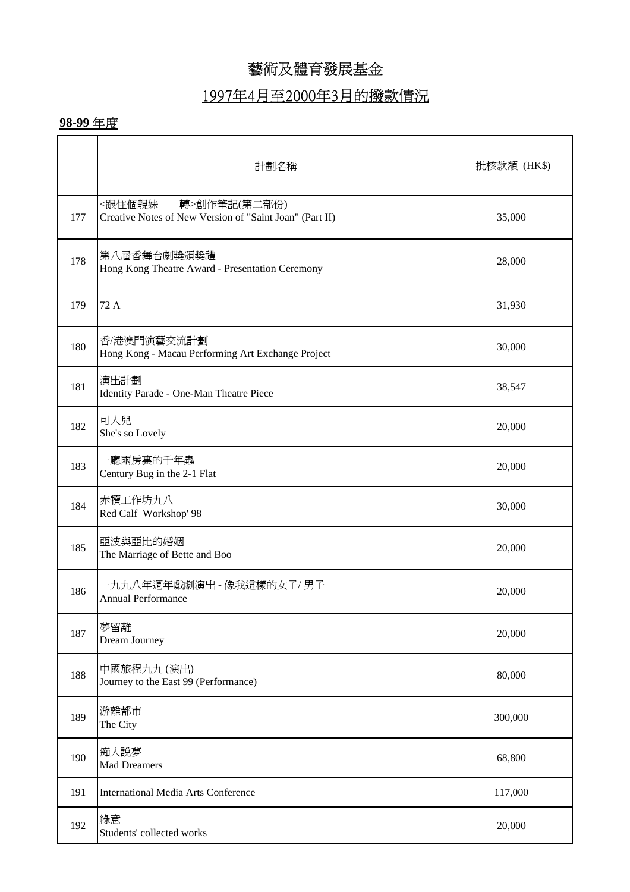## 1997年4月至2000年3月的撥款情況

|     | 計劃名稱                                                                              | 批核款額 (HK\$) |
|-----|-----------------------------------------------------------------------------------|-------------|
| 177 | <跟住個靚妹<br>轉>創作筆記(第二部份)<br>Creative Notes of New Version of "Saint Joan" (Part II) | 35,000      |
| 178 | 第八屆香舞台劇獎頒獎禮<br>Hong Kong Theatre Award - Presentation Ceremony                    | 28,000      |
| 179 | 72 A                                                                              | 31,930      |
| 180 | 香/港澳門演藝交流計劃<br>Hong Kong - Macau Performing Art Exchange Project                  | 30,000      |
| 181 | 演出計劃<br>Identity Parade - One-Man Theatre Piece                                   | 38,547      |
| 182 | 可人兒<br>She's so Lovely                                                            | 20,000      |
| 183 | ·廳兩房裏的千年蟲<br>Century Bug in the 2-1 Flat                                          | 20,000      |
| 184 | 赤犢工作坊九八<br>Red Calf Workshop' 98                                                  | 30,000      |
| 185 | 亞波與亞比的婚姻<br>The Marriage of Bette and Boo                                         | 20,000      |
| 186 | ·九九八年週年戲劇演出 - 像我這樣的女子/ 男子<br><b>Annual Performance</b>                            | 20,000      |
| 187 | 夢留離<br>Dream Journey                                                              | 20,000      |
| 188 | 中國旅程九九 (演出)<br>Journey to the East 99 (Performance)                               | 80,000      |
| 189 | 游離都市<br>The City                                                                  | 300,000     |
| 190 | 痴人說夢<br><b>Mad Dreamers</b>                                                       | 68,800      |
| 191 | <b>International Media Arts Conference</b>                                        | 117,000     |
| 192 | 綠意<br>Students' collected works                                                   | 20,000      |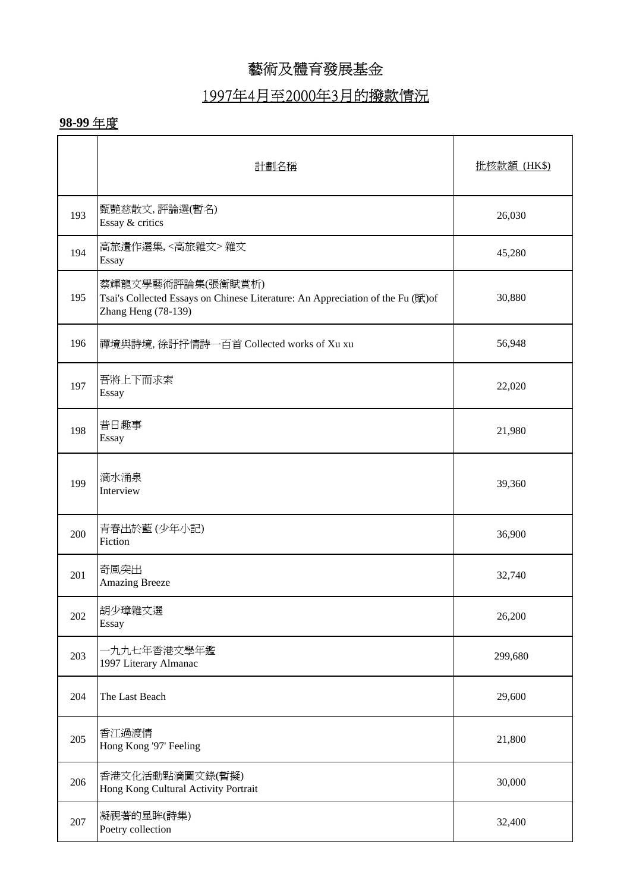## 1997年4月至2000年3月的撥款情況

|     | 計劃名稱                                                                                                                       | 批核款額 (HK\$) |
|-----|----------------------------------------------------------------------------------------------------------------------------|-------------|
| 193 | 甄艷慈散文,評論選(暫名)<br>Essay & critics                                                                                           | 26,030      |
| 194 | 高旅遺作選集,<高旅雜文>雜文<br>Essay                                                                                                   | 45,280      |
| 195 | 蔡輝龍文學藝術評論集(張衡賦賞析)<br>Tsai's Collected Essays on Chinese Literature: An Appreciation of the Fu (賦)of<br>Zhang Heng (78-139) | 30,880      |
| 196 | 禪境與詩境, 徐訏抒情詩一百首 Collected works of Xu xu                                                                                   | 56,948      |
| 197 | 吾將上下而求索<br>Essay                                                                                                           | 22,020      |
| 198 | 昔日趣事<br>Essay                                                                                                              | 21,980      |
| 199 | 滴水涌泉<br>Interview                                                                                                          | 39,360      |
| 200 | 青春出於藍(少年小記)<br>Fiction                                                                                                     | 36,900      |
| 201 | 奇風突出<br><b>Amazing Breeze</b>                                                                                              | 32,740      |
| 202 | 胡少璋雜文選<br>Essay                                                                                                            | 26,200      |
| 203 | 九九七年香港文學年鑑<br>1997 Literary Almanac                                                                                        | 299,680     |
| 204 | The Last Beach                                                                                                             | 29,600      |
| 205 | 香江過渡情<br>Hong Kong '97' Feeling                                                                                            | 21,800      |
| 206 | 香港文化活動點滴圖文錄(暫擬)<br>Hong Kong Cultural Activity Portrait                                                                    | 30,000      |
| 207 | 凝視著的星眸(詩集)<br>Poetry collection                                                                                            | 32,400      |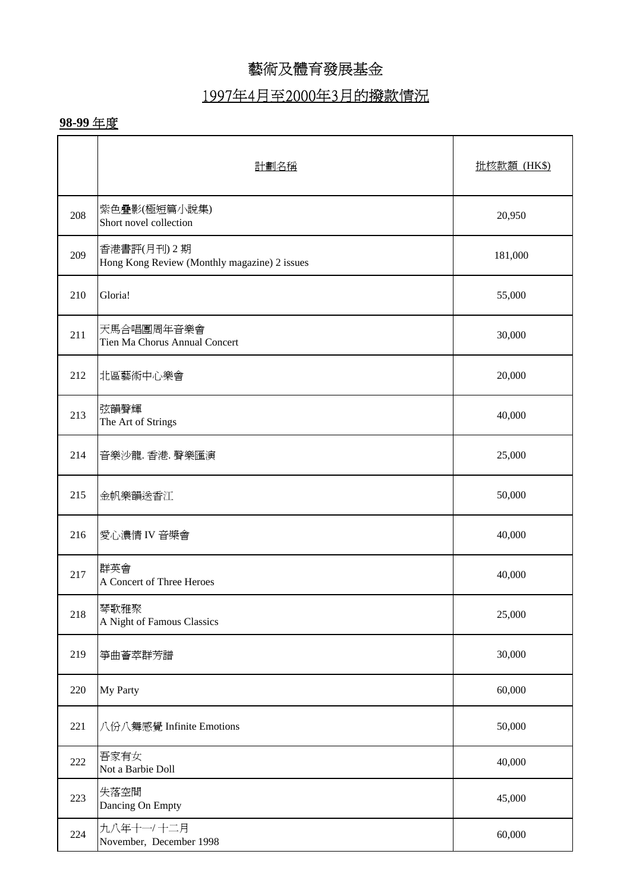# 1997年4月至2000年3月的撥款情況

|     | 計劃名稱                                                        | 批核款額 (HK\$) |
|-----|-------------------------------------------------------------|-------------|
| 208 | 紫色疊影(極短篇小說集)<br>Short novel collection                      | 20,950      |
| 209 | 香港書評(月刊) 2期<br>Hong Kong Review (Monthly magazine) 2 issues | 181,000     |
| 210 | Gloria!                                                     | 55,000      |
| 211 | 天馬合唱團周年音樂會<br>Tien Ma Chorus Annual Concert                 | 30,000      |
| 212 | 北區藝術中心樂會                                                    | 20,000      |
| 213 | 弦韻聲輝<br>The Art of Strings                                  | 40,000      |
| 214 | 音樂沙龍. 香港. 聲樂匯演                                              | 25,000      |
| 215 | 金帆樂韻送香江                                                     | 50,000      |
| 216 | 愛心濃情 IV音槳會                                                  | 40,000      |
| 217 | 群英會<br>A Concert of Three Heroes                            | 40,000      |
| 218 | 琴歌雅聚<br>A Night of Famous Classics                          | 25,000      |
| 219 | 箏曲薈萃群芳譜                                                     | 30,000      |
| 220 | My Party                                                    | 60,000      |
| 221 | 八份八舞感覺 Infinite Emotions                                    | 50,000      |
| 222 | 吾家有女<br>Not a Barbie Doll                                   | 40,000      |
| 223 | 失落空間<br>Dancing On Empty                                    | 45,000      |
| 224 | 九八年十一/十二月<br>November, December 1998                        | 60,000      |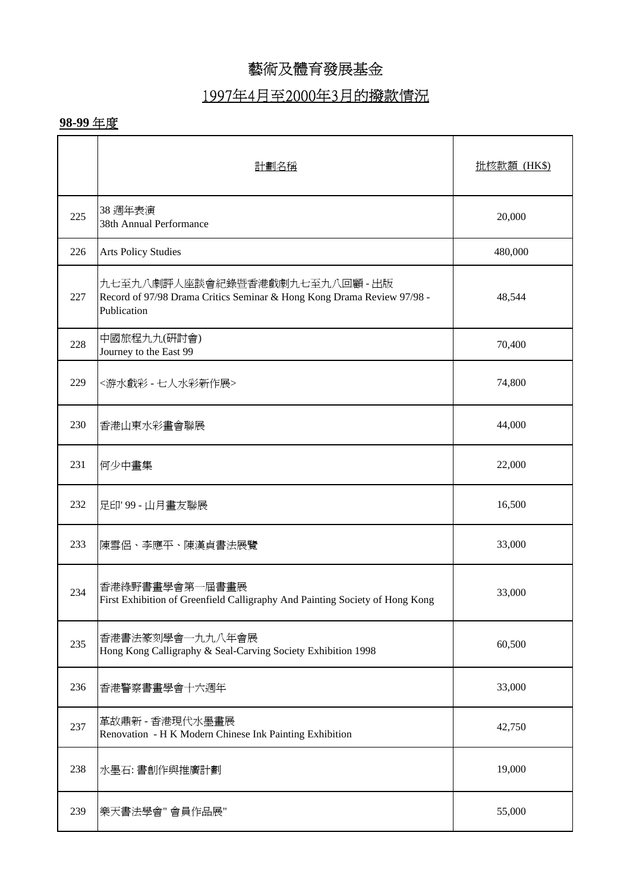# 1997年4月至2000年3月的撥款情況

|     | 計劃名稱                                                                                                                    | 批核款額 (HK\$) |
|-----|-------------------------------------------------------------------------------------------------------------------------|-------------|
| 225 | 38 週年表演<br>38th Annual Performance                                                                                      | 20,000      |
| 226 | <b>Arts Policy Studies</b>                                                                                              | 480,000     |
| 227 | 九七至九八劇評人座談會紀錄暨香港戲劇九七至九八回顧 - 出版<br>Record of 97/98 Drama Critics Seminar & Hong Kong Drama Review 97/98 -<br>Publication | 48,544      |
| 228 | 中國旅程九九(研討會)<br>Journey to the East 99                                                                                   | 70,400      |
| 229 | <游水戲彩 - 七人水彩新作展>                                                                                                        | 74,800      |
| 230 | 香港山東水彩畫會聯展                                                                                                              | 44,000      |
| 231 | 何少中畫集                                                                                                                   | 22,000      |
| 232 | 足印'99 - 山月畫友聯展                                                                                                          | 16,500      |
| 233 | 陳雪侶、李應平、陳漢貞書法展覽                                                                                                         | 33,000      |
| 234 | 香港綠野書畫學會第一屆書畫展<br>First Exhibition of Greenfield Calligraphy And Painting Society of Hong Kong                          | 33,000      |
| 235 | 香港書法篆刻學會一九九八年會展<br>Hong Kong Calligraphy & Seal-Carving Society Exhibition 1998                                         | 60,500      |
| 236 | 香港警察書畫學會十六週年                                                                                                            | 33,000      |
| 237 | 革故鼎新 - 香港現代水墨畫展<br>Renovation - H K Modern Chinese Ink Painting Exhibition                                              | 42,750      |
| 238 | 水墨石: 書創作與推廣計劃                                                                                                           | 19,000      |
| 239 | 樂天書法學會"會員作品展"                                                                                                           | 55,000      |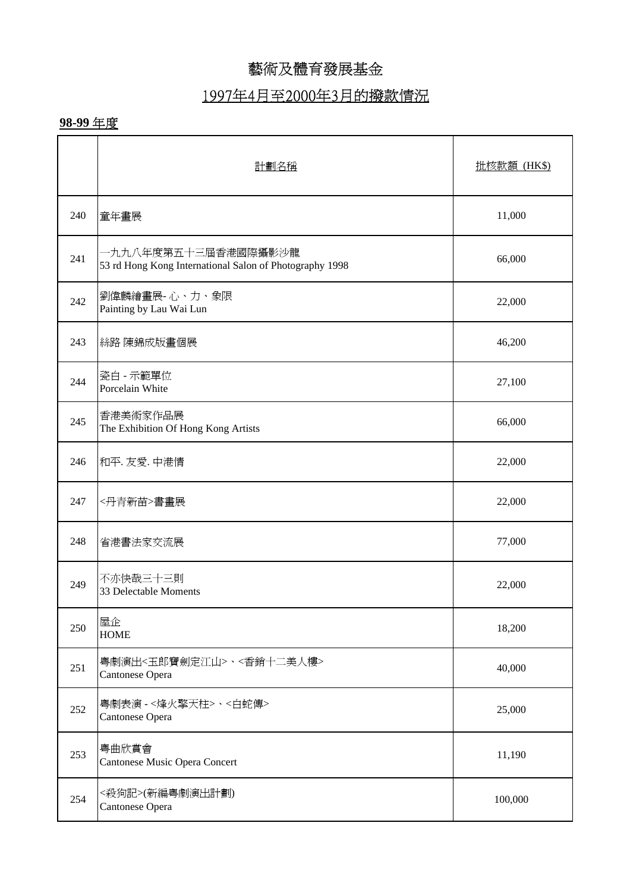# 1997年4月至2000年3月的撥款情況

|     | 計劃名稱                                                                           | 批核款額 (HK\$) |
|-----|--------------------------------------------------------------------------------|-------------|
| 240 | 童年畫展                                                                           | 11,000      |
| 241 | -九九八年度第五十三屆香港國際攝影沙龍<br>53 rd Hong Kong International Salon of Photography 1998 | 66,000      |
| 242 | 劉偉麟繪畫展-心、力、象限<br>Painting by Lau Wai Lun                                       | 22,000      |
| 243 | 絲路 陳錦成版畫個展                                                                     | 46,200      |
| 244 | 瓷白 - 示範單位<br>Porcelain White                                                   | 27,100      |
| 245 | 香港美術家作品展<br>The Exhibition Of Hong Kong Artists                                | 66,000      |
| 246 | 和平. 友愛. 中港情                                                                    | 22,000      |
| 247 | <丹青新苗>書畫展                                                                      | 22,000      |
| 248 | 省港書法家交流展                                                                       | 77,000      |
| 249 | 不亦快哉三十三則<br>33 Delectable Moments                                              | 22,000      |
| 250 | 屋企<br><b>HOME</b>                                                              | 18,200      |
| 251 | 粤劇演出<玉郎寶劍定江山>、<香銷十二美人樓><br>Cantonese Opera                                     | 40,000      |
| 252 | 粤劇表演 -<烽火擎天柱>、<白蛇傳><br>Cantonese Opera                                         | 25,000      |
| 253 | 粤曲欣賞會<br>Cantonese Music Opera Concert                                         | 11,190      |
| 254 | <殺狗記>(新編粤劇演出計劃)<br>Cantonese Opera                                             | 100,000     |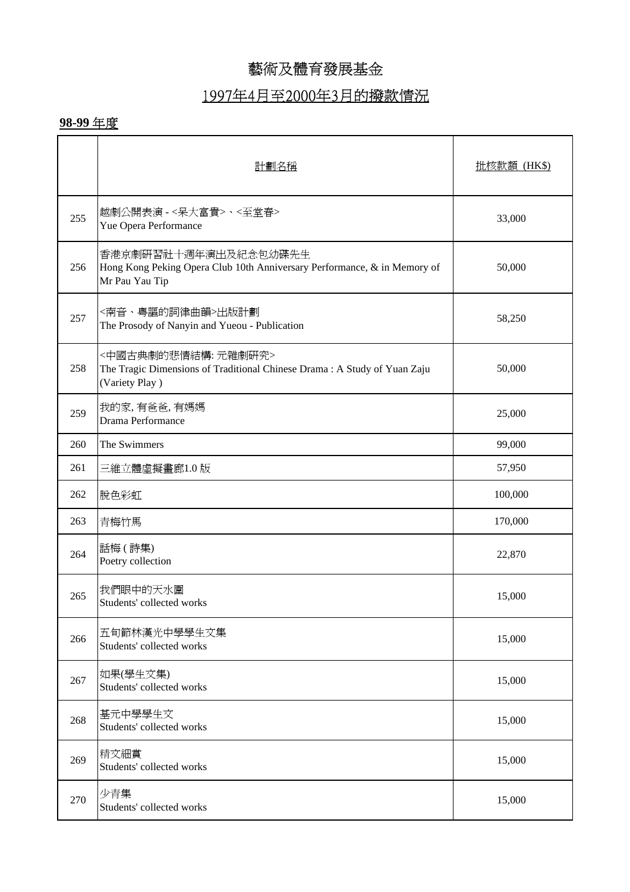# 1997年4月至2000年3月的撥款情況

|     | 計劃名稱                                                                                                               | 批核款額 (HK\$) |
|-----|--------------------------------------------------------------------------------------------------------------------|-------------|
| 255 | 越劇公開表演 - < 呆大富貴>、<至堂春><br>Yue Opera Performance                                                                    | 33,000      |
| 256 | 香港京劇研習社十週年演出及紀念包幼碟先生<br>Hong Kong Peking Opera Club 10th Anniversary Performance, & in Memory of<br>Mr Pau Yau Tip | 50,000      |
| 257 | <南音、粤謳的詞律曲韻>出版計劃<br>The Prosody of Nanyin and Yueou - Publication                                                  | 58,250      |
| 258 | <中國古典劇的悲情結構: 元雜劇硏究><br>The Tragic Dimensions of Traditional Chinese Drama: A Study of Yuan Zaju<br>(Variety Play)  | 50,000      |
| 259 | 我的家,有爸爸,有媽媽<br>Drama Performance                                                                                   | 25,000      |
| 260 | The Swimmers                                                                                                       | 99,000      |
| 261 | 三維立體虛擬畫廊1.0版                                                                                                       | 57,950      |
| 262 | 脫色彩虹                                                                                                               | 100,000     |
| 263 | 青梅竹馬                                                                                                               | 170,000     |
| 264 | 話梅 (詩集)<br>Poetry collection                                                                                       | 22,870      |
| 265 | 我們眼中的天水圍<br>Students' collected works                                                                              | 15,000      |
| 266 | 五旬節林漢光中學學生文集<br>Students' collected works                                                                          | 15,000      |
| 267 | 如果(學生文集)<br>Students' collected works                                                                              | 15,000      |
| 268 | 基元中學學生文<br>Students' collected works                                                                               | 15,000      |
| 269 | 精文細賞<br>Students' collected works                                                                                  | 15,000      |
| 270 | 少青集<br>Students' collected works                                                                                   | 15,000      |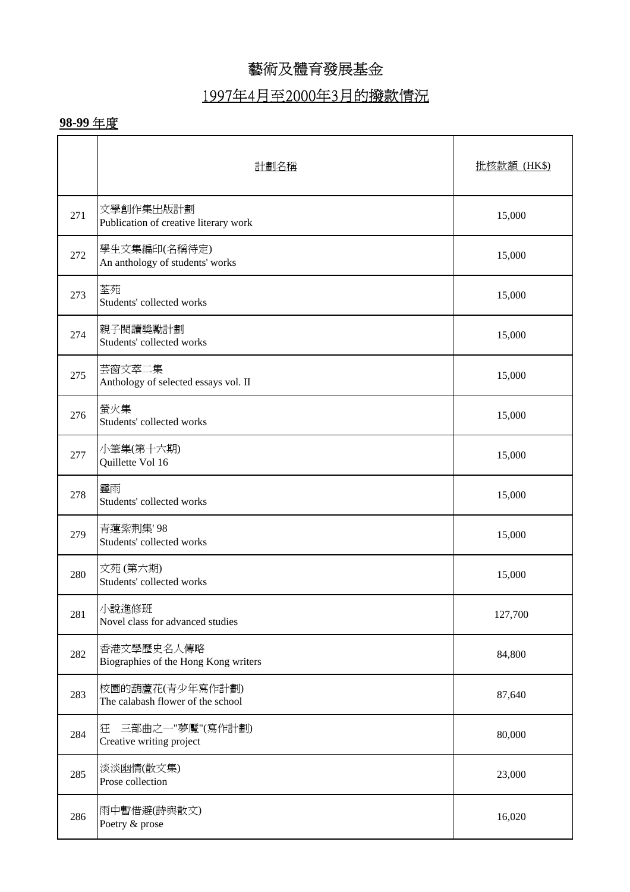# 1997年4月至2000年3月的撥款情況

|     | 計劃名稱                                                 | <u> 批核款額 (HK\$)</u> |
|-----|------------------------------------------------------|---------------------|
| 271 | 文學創作集出版計劃<br>Publication of creative literary work   | 15,000              |
| 272 | 學生文集編印(名稱待定)<br>An anthology of students' works      | 15,000              |
| 273 | 荃苑<br>Students' collected works                      | 15,000              |
| 274 | 親子閱讀獎勵計劃<br>Students' collected works                | 15,000              |
| 275 | 芸窗文萃二集<br>Anthology of selected essays vol. II       | 15,000              |
| 276 | 螢火集<br>Students' collected works                     | 15,000              |
| 277 | 小筆集(第十六期)<br>Quillette Vol 16                        | 15,000              |
| 278 | 靈雨<br>Students' collected works                      | 15,000              |
| 279 | 青蓮紫荆集'98<br>Students' collected works                | 15,000              |
| 280 | 文苑(第六期)<br>Students' collected works                 | 15,000              |
| 281 | 小說進修班<br>Novel class for advanced studies            | 127,700             |
| 282 | 香港文學歷史名人傳略<br>Biographies of the Hong Kong writers   | 84,800              |
| 283 | 校園的葫蘆花(青少年寫作計劃)<br>The calabash flower of the school | 87,640              |
| 284 | 三部曲之一"夢魘"(寫作計劃)<br>狂<br>Creative writing project     | 80,000              |
| 285 | 淡淡幽情(散文集)<br>Prose collection                        | 23,000              |
| 286 | 雨中暫借避(詩與散文)<br>Poetry & prose                        | 16,020              |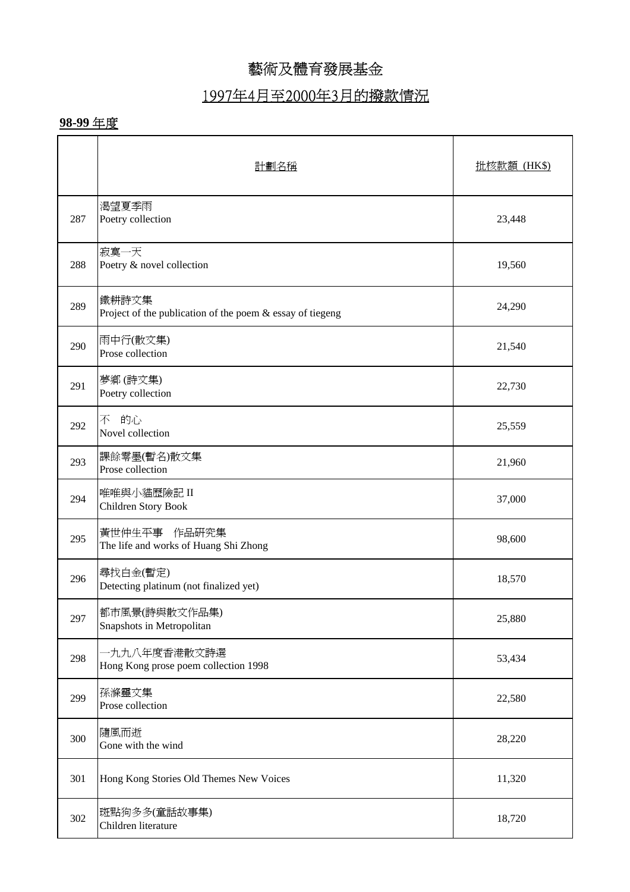# 1997年4月至2000年3月的撥款情況

|     | 計劃名稱                                                                  | <b>批核款額 (HK\$)</b> |
|-----|-----------------------------------------------------------------------|--------------------|
| 287 | 渴望夏季雨<br>Poetry collection                                            | 23,448             |
| 288 | 寂寞一天<br>Poetry & novel collection                                     | 19,560             |
| 289 | 鐵耕詩文集<br>Project of the publication of the poem $\&$ essay of tiegeng | 24,290             |
| 290 | 雨中行(散文集)<br>Prose collection                                          | 21,540             |
| 291 | 夢鄉(詩文集)<br>Poetry collection                                          | 22,730             |
| 292 | 的心<br>不<br>Novel collection                                           | 25,559             |
| 293 | 課餘零墨(暫名)散文集<br>Prose collection                                       | 21,960             |
| 294 | 唯唯與小貓歷險記 II<br>Children Story Book                                    | 37,000             |
| 295 | 黃世仲生平事 作品研究集<br>The life and works of Huang Shi Zhong                 | 98,600             |
| 296 | 尋找白金(暫定)<br>Detecting platinum (not finalized yet)                    | 18,570             |
| 297 | 都市風景(詩與散文作品集)<br>Snapshots in Metropolitan                            | 25,880             |
| 298 | 七九九八年度香港散文詩選<br>Hong Kong prose poem collection 1998                  | 53,434             |
| 299 | 孫滌靈文集<br>Prose collection                                             | 22,580             |
| 300 | 隨風而逝<br>Gone with the wind                                            | 28,220             |
| 301 | Hong Kong Stories Old Themes New Voices                               | 11,320             |
| 302 | 斑點狗多多(童話故事集)<br>Children literature                                   | 18,720             |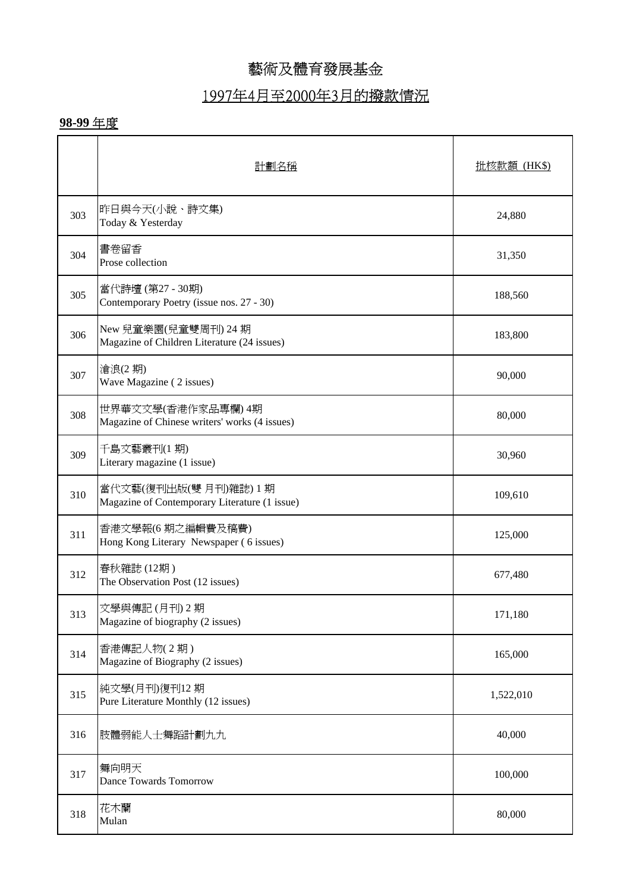# 1997年4月至2000年3月的撥款情況

|     | 計劃名稱                                                                 | <u> 批核款額 (HK\$)</u> |
|-----|----------------------------------------------------------------------|---------------------|
| 303 | 昨日與今天(小說、詩文集)<br>Today & Yesterday                                   | 24,880              |
| 304 | 書卷留香<br>Prose collection                                             | 31,350              |
| 305 | 當代詩壇 (第27 - 30期)<br>Contemporary Poetry (issue nos. 27 - 30)         | 188,560             |
| 306 | New 兒童樂園(兒童雙周刊) 24 期<br>Magazine of Children Literature (24 issues)  | 183,800             |
| 307 | 滄浪(2期)<br>Wave Magazine (2 issues)                                   | 90,000              |
| 308 | 世界華文文學(香港作家品專欄) 4期<br>Magazine of Chinese writers' works (4 issues)  | 80,000              |
| 309 | 千島文藝叢刊(1期)<br>Literary magazine (1 issue)                            | 30,960              |
| 310 | 當代文藝(復刊出版(雙月刊)雜誌)1期<br>Magazine of Contemporary Literature (1 issue) | 109,610             |
| 311 | 香港文學報(6期之編輯費及稿費)<br>Hong Kong Literary Newspaper (6 issues)          | 125,000             |
| 312 | 春秋雜誌(12期)<br>The Observation Post (12 issues)                        | 677,480             |
| 313 | 文學與傳記(月刊)2期<br>Magazine of biography (2 issues)                      | 171,180             |
| 314 | 香港傳記人物(2期)<br>Magazine of Biography (2 issues)                       | 165,000             |
| 315 | 純文學(月刊)復刊12期<br>Pure Literature Monthly (12 issues)                  | 1,522,010           |
| 316 | 肢體弱能人士舞蹈計劃九九                                                         | 40,000              |
| 317 | 舞向明天<br>Dance Towards Tomorrow                                       | 100,000             |
| 318 | 花木蘭<br>Mulan                                                         | 80,000              |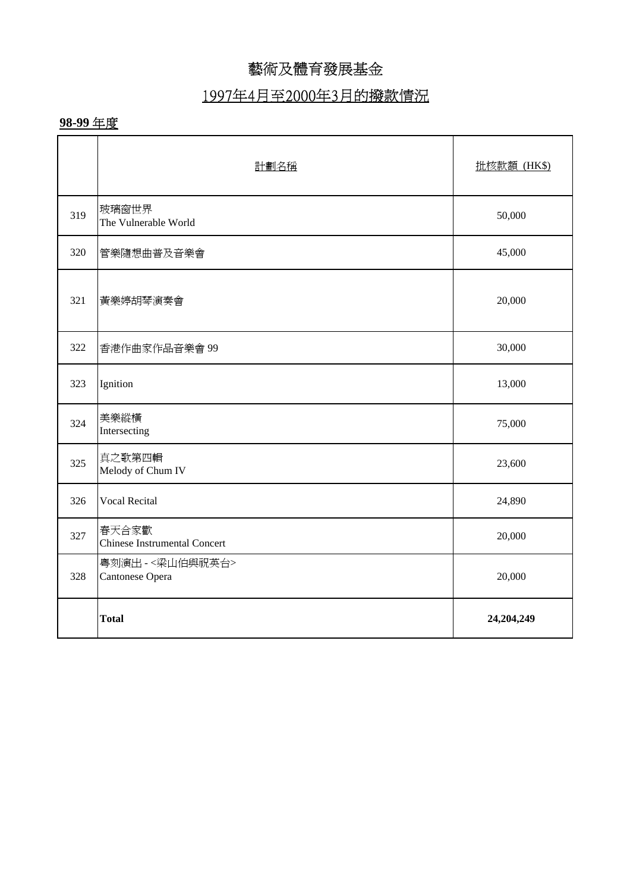### 1997年4月至2000年3月的撥款情況

|     | 計劃名稱                                         | 批核款額 (HK\$) |
|-----|----------------------------------------------|-------------|
| 319 | 玻璃窗世界<br>The Vulnerable World                | 50,000      |
| 320 | 管樂隨想曲普及音樂會                                   | 45,000      |
| 321 | 黃樂婷胡琴演奏會                                     | 20,000      |
| 322 | 香港作曲家作品音樂會 99                                | 30,000      |
| 323 | Ignition                                     | 13,000      |
| 324 | 美樂縱橫<br>Intersecting                         | 75,000      |
| 325 | 真之歌第四輯<br>Melody of Chum IV                  | 23,600      |
| 326 | <b>Vocal Recital</b>                         | 24,890      |
| 327 | 春天合家歡<br><b>Chinese Instrumental Concert</b> | 20,000      |
| 328 | 粤刻演出 -<梁山伯與祝英台><br>Cantonese Opera           | 20,000      |
|     | <b>Total</b>                                 | 24,204,249  |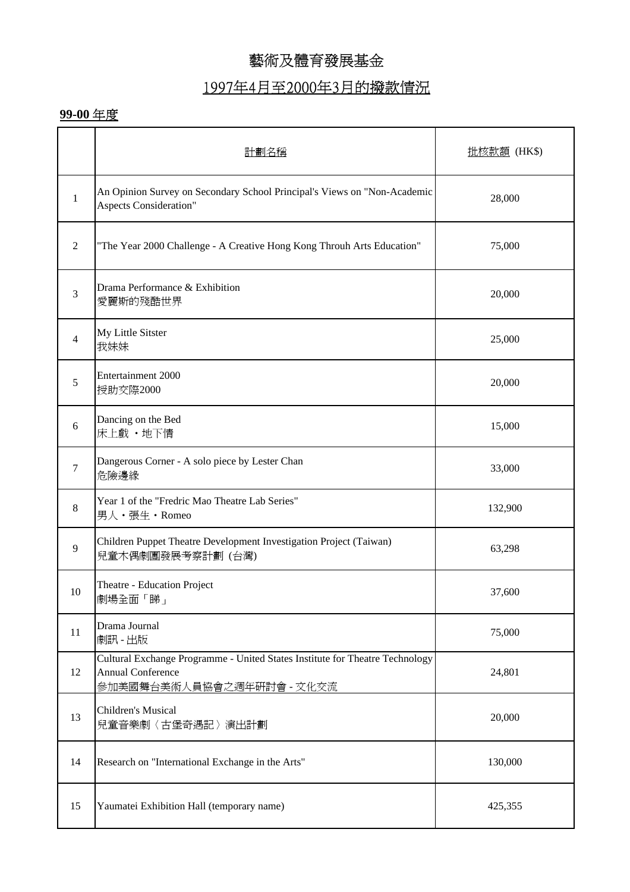# 1997年4月至2000年3月的撥款情況

|                | 計劃名稱                                                                                                                                  | 批核款額 (HK\$) |
|----------------|---------------------------------------------------------------------------------------------------------------------------------------|-------------|
| $\mathbf{1}$   | An Opinion Survey on Secondary School Principal's Views on "Non-Academic<br><b>Aspects Consideration"</b>                             | 28,000      |
| 2              | "The Year 2000 Challenge - A Creative Hong Kong Throuh Arts Education"                                                                | 75,000      |
| 3              | Drama Performance & Exhibition<br>愛麗斯的殘酷世界                                                                                            | 20,000      |
| $\overline{4}$ | My Little Sitster<br>我妹妹                                                                                                              | 25,000      |
| 5              | Entertainment 2000<br>授助交際2000                                                                                                        | 20,000      |
| 6              | Dancing on the Bed<br>床上戲·地下情                                                                                                         | 15,000      |
| $\tau$         | Dangerous Corner - A solo piece by Lester Chan<br>危險邊緣                                                                                | 33,000      |
| 8              | Year 1 of the "Fredric Mao Theatre Lab Series"<br>男人・張生・Romeo                                                                         | 132,900     |
| 9              | Children Puppet Theatre Development Investigation Project (Taiwan)<br>兒童木偶劇團發展考察計劃(台灣)                                                | 63,298      |
| 10             | Theatre - Education Project<br>劇場全面「睇」                                                                                                | 37,600      |
| 11             | Drama Journal<br>劇訊 - 出版                                                                                                              | 75,000      |
| 12             | Cultural Exchange Programme - United States Institute for Theatre Technology<br><b>Annual Conference</b><br>參加美國舞台美術人員協會之週年硏討會 - 文化交流 | 24,801      |
| 13             | <b>Children's Musical</b><br>兒童音樂劇〈古堡奇遇記〉演出計劃                                                                                         | 20,000      |
| 14             | Research on "International Exchange in the Arts"                                                                                      | 130,000     |
| 15             | Yaumatei Exhibition Hall (temporary name)                                                                                             | 425,355     |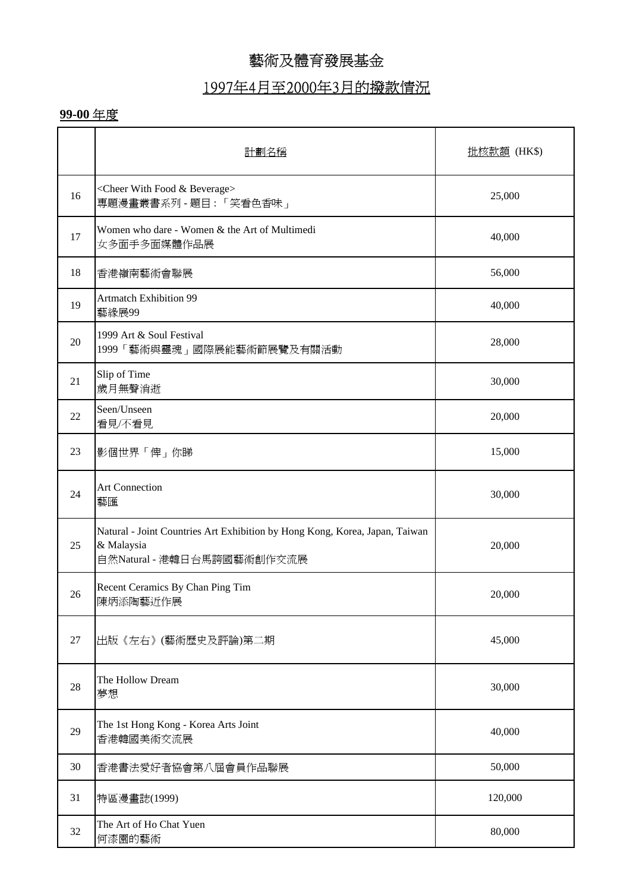### 1997年4月至2000年3月的撥款情況

|        | 計劃名稱                                                                                                                    | <u>批核款額</u> (HK\$) |
|--------|-------------------------------------------------------------------------------------------------------------------------|--------------------|
| 16     | <cheer &="" beverage="" food="" with=""><br/>專題漫畫叢書系列-題目:「笑看色香味」</cheer>                                                | 25,000             |
| 17     | Women who dare - Women & the Art of Multimedi<br>女多面手多面媒體作品展                                                            | 40,000             |
| 18     | 香港嶺南藝術會聯展                                                                                                               | 56,000             |
| 19     | <b>Artmatch Exhibition 99</b><br>藝緣展99                                                                                  | 40,000             |
| $20\,$ | 1999 Art & Soul Festival<br>1999「藝術與靈魂」國際展能藝術節展覽及有關活動                                                                   | 28,000             |
| 21     | Slip of Time<br>歲月無聲消逝                                                                                                  | 30,000             |
| 22     | Seen/Unseen<br>看見/不看見                                                                                                   | 20,000             |
| 23     | 影個世界「俾」你睇                                                                                                               | 15,000             |
| 24     | <b>Art Connection</b><br>藝匯                                                                                             | 30,000             |
| 25     | Natural - Joint Countries Art Exhibition by Hong Kong, Korea, Japan, Taiwan<br>& Malaysia<br>自然Natural - 港韓日台馬誇國藝術創作交流展 | 20,000             |
| 26     | Recent Ceramics By Chan Ping Tim<br>陳炳添陶藝近作展                                                                            | 20,000             |
| $27\,$ | 出版《左右》(藝術歷史及評論)第二期                                                                                                      | 45,000             |
| 28     | The Hollow Dream<br>夢想                                                                                                  | 30,000             |
| 29     | The 1st Hong Kong - Korea Arts Joint<br>香港韓國美術交流展                                                                       | 40,000             |
| 30     | 香港書法愛好者協會第八屆會員作品聯展                                                                                                      | 50,000             |
| 31     | 特區漫畫誌(1999)                                                                                                             | 120,000            |
| 32     | The Art of Ho Chat Yuen<br>何漆園的藝術                                                                                       | 80,000             |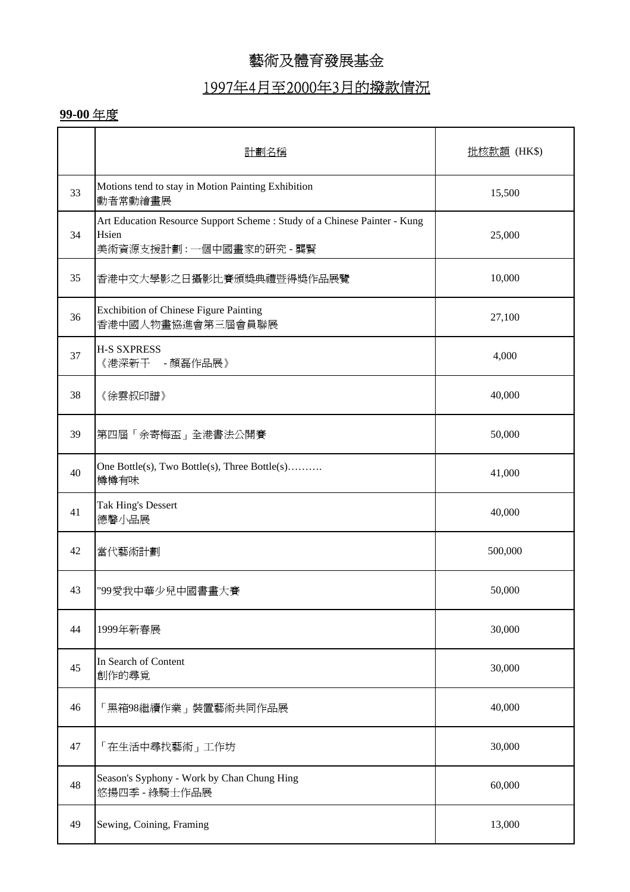### 1997年4月至2000年3月的撥款情況

|    | 計劃名種                                                                                                          | 批核款額 (HK\$) |
|----|---------------------------------------------------------------------------------------------------------------|-------------|
| 33 | Motions tend to stay in Motion Painting Exhibition<br>動者常動繪畫展                                                 | 15,500      |
| 34 | Art Education Resource Support Scheme : Study of a Chinese Painter - Kung<br>Hsien<br>美術資源支援計劃:一個中國畫家的硏究 - 龔賢 | 25,000      |
| 35 | 香港中文大學影之日攝影比賽頒獎典禮暨得獎作品展覽                                                                                      | 10,000      |
| 36 | Exchibition of Chinese Figure Painting<br>香港中國人物畫協進會第三屆會員聯展                                                   | 27,100      |
| 37 | <b>H-S SXPRESS</b><br>《港深新干 -顏磊作品展》                                                                           | 4,000       |
| 38 | 《徐雲叔印譜》                                                                                                       | 40,000      |
| 39 | 第四屆「余寄梅盃」全港書法公開賽                                                                                              | 50,000      |
| 40 | One Bottle(s), Two Bottle(s), Three Bottle(s)<br>樽樽有味                                                         | 41,000      |
| 41 | Tak Hing's Dessert<br>德馨小品展                                                                                   | 40,000      |
| 42 | 當代藝術計劃                                                                                                        | 500,000     |
| 43 | "99愛我中華少兒中國書畫大賽                                                                                               | 50,000      |
| 44 | 1999年新春展                                                                                                      | 30,000      |
| 45 | In Search of Content<br>創作的尋覓                                                                                 | 30,000      |
| 46 | 「黑箱98繼續作業」裝置藝術共同作品展                                                                                           | 40,000      |
| 47 | 「在生活中尋找藝術」工作坊                                                                                                 | 30,000      |
| 48 | Season's Syphony - Work by Chan Chung Hing<br>悠揚四季 - 綠騎士作品展                                                   | 60,000      |
| 49 | Sewing, Coining, Framing                                                                                      | 13,000      |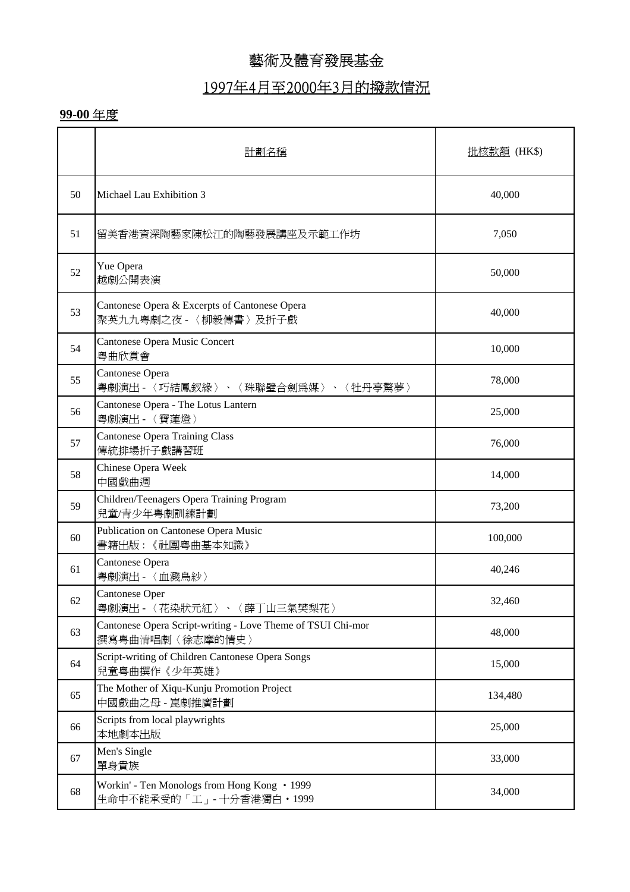### 1997年4月至2000年3月的撥款情況

|    | 計劃名種                                                                           | 批核款額 (HK\$) |
|----|--------------------------------------------------------------------------------|-------------|
| 50 | Michael Lau Exhibition 3                                                       | 40,000      |
| 51 | 留美香港資深陶藝家陳松江的陶藝發展講座及示範工作坊                                                      | 7,050       |
| 52 | Yue Opera<br>越劇公開表演                                                            | 50,000      |
| 53 | Cantonese Opera & Excerpts of Cantonese Opera<br>聚英九九粤劇之夜 - 〈柳毅傳書〉及折子戲         | 40,000      |
| 54 | Cantonese Opera Music Concert<br>粤曲欣賞會                                         | 10,000      |
| 55 | Cantonese Opera<br>粤劇演出 - 〈巧結鳳釵緣〉、〈珠聯璧合劍爲媒〉、〈牡丹亭驚夢〉                            | 78,000      |
| 56 | Cantonese Opera - The Lotus Lantern<br>粤劇演出 - 〈寶蓮燈〉                            | 25,000      |
| 57 | <b>Cantonese Opera Training Class</b><br>傳統排場折子戲講習班                            | 76,000      |
| 58 | Chinese Opera Week<br>中國戲曲週                                                    | 14,000      |
| 59 | Children/Teenagers Opera Training Program<br>兒童/青少年粵劇訓練計劃                      | 73,200      |
| 60 | Publication on Cantonese Opera Music<br>書籍出版:《社團粤曲基本知識》                        | 100,000     |
| 61 | Cantonese Opera<br>粤劇演出 - 〈血濺鳥紗〉                                               | 40,246      |
| 62 | Cantonese Oper<br>粤劇演出 - 〈花染狀元紅〉、〈薛丁山三氣樊梨花〉                                    | 32,460      |
| 63 | Cantonese Opera Script-writing - Love Theme of TSUI Chi-mor<br>撰寫粵曲清唱劇〈徐志摩的情史〉 | 48,000      |
| 64 | Script-writing of Children Cantonese Opera Songs<br>兒童粵曲撰作《少年英雄》               | 15,000      |
| 65 | The Mother of Xiqu-Kunju Promotion Project<br>中國戲曲之母 - 崑劇推廣計劃                  | 134,480     |
| 66 | Scripts from local playwrights<br>本地劇本出版                                       | 25,000      |
| 67 | Men's Single<br>單身貴族                                                           | 33,000      |
| 68 | Workin' - Ten Monologs from Hong Kong • 1999<br>生命中不能承受的「工」-十分香港獨白·1999        | 34,000      |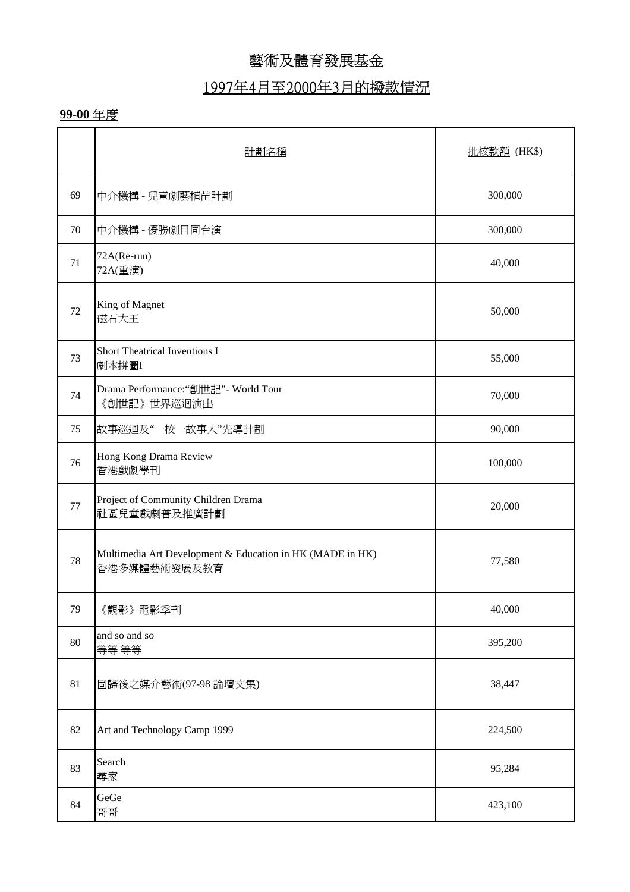## 1997年4月至2000年3月的撥款情況

|    | 計劃名稱                                                                      | 批核款額 (HK\$) |
|----|---------------------------------------------------------------------------|-------------|
| 69 | 中介機構 - 兒童劇藝植苗計劃                                                           | 300,000     |
| 70 | 中介機構 - 優勝劇目同台演                                                            | 300,000     |
| 71 | $72A(Re-run)$<br>72A(重演)                                                  | 40,000      |
| 72 | King of Magnet<br>磁石大王                                                    | 50,000      |
| 73 | Short Theatrical Inventions I<br>劇本拼圖I                                    | 55,000      |
| 74 | Drama Performance:"創世記"- World Tour<br>《創世記》世界巡迴演出                        | 70,000      |
| 75 | 故事巡迴及"一校一故事人"先導計劃                                                         | 90,000      |
| 76 | Hong Kong Drama Review<br>香港戲劇學刊                                          | 100,000     |
| 77 | Project of Community Children Drama<br>社區兒童戲劇普及推廣計劃                       | 20,000      |
| 78 | Multimedia Art Development & Education in HK (MADE in HK)<br>香港多媒體藝術發展及教育 | 77,580      |
| 79 | 《觀影》電影季刊                                                                  | 40,000      |
| 80 | and so and so<br>等等 等等                                                    | 395,200     |
| 81 | 固歸後之媒介藝術(97-98論壇文集)                                                       | 38,447      |
| 82 | Art and Technology Camp 1999                                              | 224,500     |
| 83 | Search<br>尋家                                                              | 95,284      |
| 84 | GeGe<br>哥哥                                                                | 423,100     |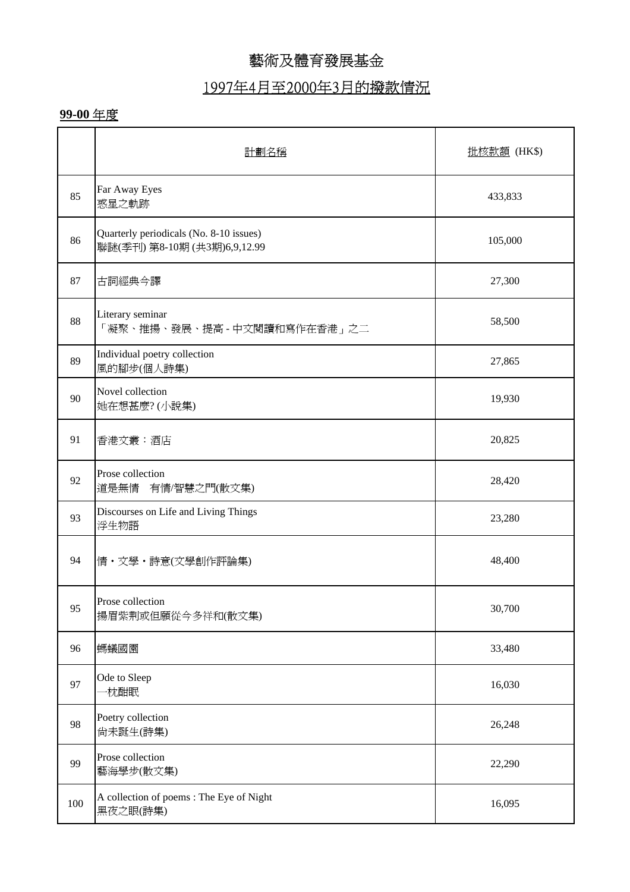### 1997年4月至2000年3月的撥款情況

|     | 計劃名稱                                                                    | <u>批核款額</u> (HK\$) |
|-----|-------------------------------------------------------------------------|--------------------|
| 85  | Far Away Eyes<br>惑星之軌跡                                                  | 433,833            |
| 86  | Quarterly periodicals (No. 8-10 issues)<br>聯謎(季刊) 第8-10期 (共3期)6,9,12.99 | 105,000            |
| 87  | 古詞經典今譯                                                                  | 27,300             |
| 88  | Literary seminar<br>「凝聚、推揚、發展、提高 - 中文閱讀和寫作在香港」之二                        | 58,500             |
| 89  | Individual poetry collection<br>風的腳步(個人詩集)                              | 27,865             |
| 90  | Novel collection<br>她在想甚麼?(小說集)                                         | 19,930             |
| 91  | 香港文叢:酒店                                                                 | 20,825             |
| 92  | Prose collection<br>道是無情 有情/智慧之門(散文集)                                   | 28,420             |
| 93  | Discourses on Life and Living Things<br>浮生物語                            | 23,280             |
| 94  | 情・文學・詩意(文學創作評論集)                                                        | 48,400             |
| 95  | Prose collection<br>揚眉紫荆或但願從今多祥和(散文集)                                   | 30,700             |
| 96  | 螞蟻國園                                                                    | 33,480             |
| 97  | Ode to Sleep<br>枕酣眠                                                     | 16,030             |
| 98  | Poetry collection<br>尚未誕生(詩集)                                           | 26,248             |
| 99  | Prose collection<br>藝海學步(散文集)                                           | 22,290             |
| 100 | A collection of poems: The Eye of Night<br>黑夜之眼(詩集)                     | 16,095             |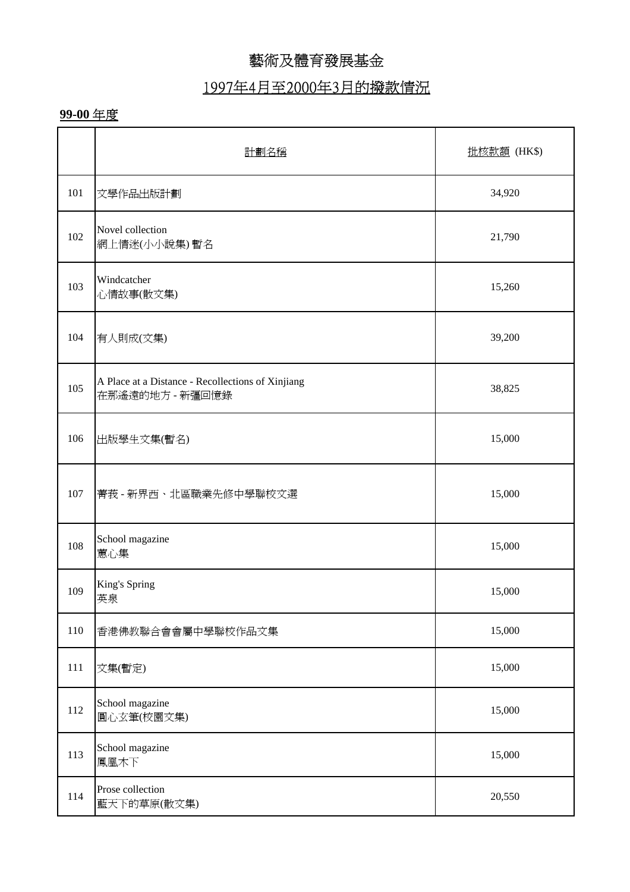# 1997年4月至2000年3月的撥款情況

|     | 計劃名稱                                                                 | 批核款額 (HK\$) |
|-----|----------------------------------------------------------------------|-------------|
| 101 | 文學作品出版計劃                                                             | 34,920      |
| 102 | Novel collection<br>網上情迷(小小說集)暫名                                     | 21,790      |
| 103 | Windcatcher<br>心情故事(散文集)                                             | 15,260      |
| 104 | 有人則成(文集)                                                             | 39,200      |
| 105 | A Place at a Distance - Recollections of Xinjiang<br>在那遙遠的地方 - 新彊回憶錄 | 38,825      |
| 106 | 出版學生文集(暫名)                                                           | 15,000      |
| 107 | 菁莪-新界西、北區職業先修中學聯校文選                                                  | 15,000      |
| 108 | School magazine<br>蕙心集                                               | 15,000      |
| 109 | King's Spring<br>英泉                                                  | 15,000      |
| 110 | 香港佛教聯合會會屬中學聯校作品文集                                                    | 15,000      |
| 111 | 文集(暫定)                                                               | 15,000      |
| 112 | School magazine<br>圓心玄筆(校園文集)                                        | 15,000      |
| 113 | School magazine<br>鳳凰木下                                              | 15,000      |
| 114 | Prose collection<br>藍天下的草原(散文集)                                      | 20,550      |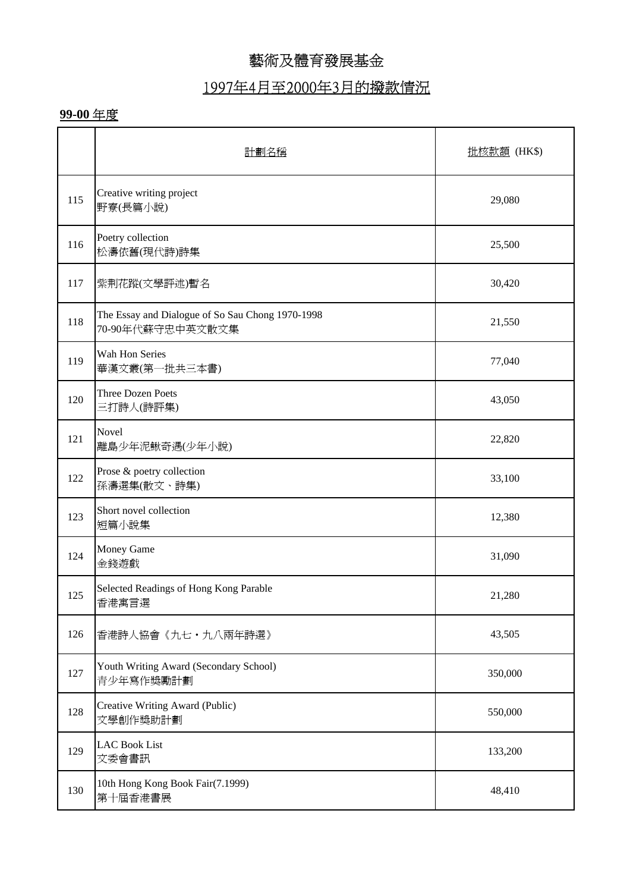## 1997年4月至2000年3月的撥款情況

|     | 計劃名稱                                                                 | <u>批核款額</u> (HK\$) |
|-----|----------------------------------------------------------------------|--------------------|
| 115 | Creative writing project<br>野寮(長篇小說)                                 | 29,080             |
| 116 | Poetry collection<br>松濤依舊(現代詩)詩集                                     | 25,500             |
| 117 | 紫荆花蹤(文學評述)暫名                                                         | 30,420             |
| 118 | The Essay and Dialogue of So Sau Chong 1970-1998<br>70-90年代蘇守忠中英文散文集 | 21,550             |
| 119 | Wah Hon Series<br>華漢文叢(第一批共三本書)                                      | 77,040             |
| 120 | <b>Three Dozen Poets</b><br>三打詩人(詩評集)                                | 43,050             |
| 121 | Novel<br>離島少年泥鰍奇遇(少年小說)                                              | 22,820             |
| 122 | Prose & poetry collection<br>孫濤選集(散文、詩集)                             | 33,100             |
| 123 | Short novel collection<br>短篇小說集                                      | 12,380             |
| 124 | Money Game<br>金錢遊戲                                                   | 31,090             |
| 125 | Selected Readings of Hong Kong Parable<br>香港寓言選                      | 21,280             |
| 126 | 香港詩人協會《九七·九八兩年詩選》                                                    | 43,505             |
| 127 | Youth Writing Award (Secondary School)<br>青少年寫作獎勵計劃                  | 350,000            |
| 128 | Creative Writing Award (Public)<br>文學創作獎助計劃                          | 550,000            |
| 129 | <b>LAC Book List</b><br>文委會書訊                                        | 133,200            |
| 130 | 10th Hong Kong Book Fair(7.1999)<br>第十屆香港書展                          | 48,410             |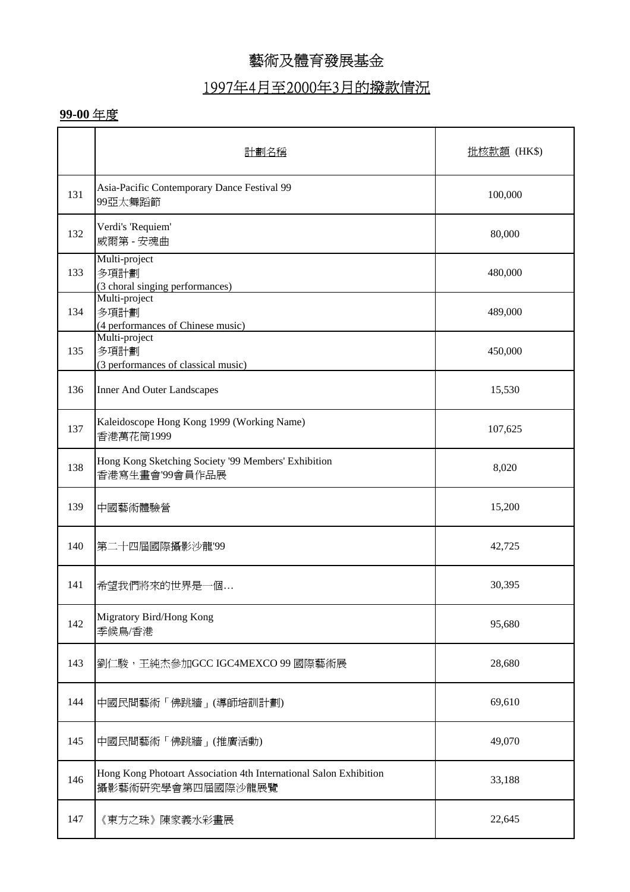### 1997年4月至2000年3月的撥款情況

|     | 計劃名種                                                                                   | 批核款額 (HK\$) |
|-----|----------------------------------------------------------------------------------------|-------------|
| 131 | Asia-Pacific Contemporary Dance Festival 99<br>99亞太舞蹈節                                 | 100,000     |
| 132 | Verdi's 'Requiem'<br>威爾第 - 安魂曲                                                         | 80,000      |
| 133 | Multi-project<br>多項計劃<br>(3 choral singing performances)                               | 480,000     |
| 134 | Multi-project<br>多項計劃<br>(4 performances of Chinese music)                             | 489,000     |
| 135 | Multi-project<br>多項計劃<br>(3 performances of classical music)                           | 450,000     |
| 136 | <b>Inner And Outer Landscapes</b>                                                      | 15,530      |
| 137 | Kaleidoscope Hong Kong 1999 (Working Name)<br>香港萬花筒1999                                | 107,625     |
| 138 | Hong Kong Sketching Society '99 Members' Exhibition<br>香港寫生畫會'99會員作品展                  | 8,020       |
| 139 | 中國藝術體驗營                                                                                | 15,200      |
| 140 | 第二十四屆國際攝影沙龍'99                                                                         | 42,725      |
| 141 | 希望我們將來的世界是一個                                                                           | 30,395      |
| 142 | Migratory Bird/Hong Kong<br>季候鳥/香港                                                     | 95,680      |
| 143 | 劉仁駿,王純杰參加GCC IGC4MEXCO 99 國際藝術展                                                        | 28,680      |
| 144 | 中國民間藝術「佛跳牆」(導師培訓計劃)                                                                    | 69,610      |
| 145 | 中國民間藝術「佛跳牆」(推廣活動)                                                                      | 49,070      |
| 146 | Hong Kong Photoart Association 4th International Salon Exhibition<br>攝影藝術研究學會第四屆國際沙龍展覽 | 33,188      |
| 147 | 《東方之珠》陳家義水彩畫展                                                                          | 22,645      |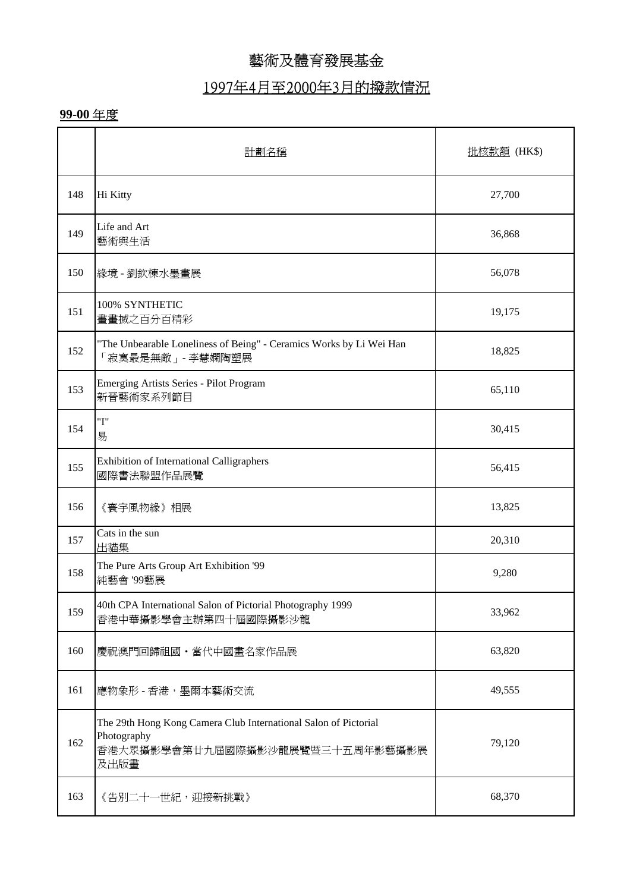## 1997年4月至2000年3月的撥款情況

|     | 計劃名種                                                                                                                      | 批核款額 (HK\$) |
|-----|---------------------------------------------------------------------------------------------------------------------------|-------------|
| 148 | Hi Kitty                                                                                                                  | 27,700      |
| 149 | Life and Art<br>藝術與生活                                                                                                     | 36,868      |
| 150 | 緣境 - 劉欽棟水墨畫展                                                                                                              | 56,078      |
| 151 | 100% SYNTHETIC<br>畫畫搣之百分百精彩                                                                                               | 19,175      |
| 152 | "The Unbearable Loneliness of Being" - Ceramics Works by Li Wei Han<br>「寂寞最是無敵」 - 李慧嫻陶塑展                                  | 18,825      |
| 153 | <b>Emerging Artists Series - Pilot Program</b><br>新晉藝術家系列節目                                                               | 65,110      |
| 154 | "I"<br>易                                                                                                                  | 30,415      |
| 155 | <b>Exhibition of International Calligraphers</b><br>國際書法聯盟作品展覽                                                            | 56,415      |
| 156 | 《寰宇風物緣》相展                                                                                                                 | 13,825      |
| 157 | Cats in the sun<br>出貓集                                                                                                    | 20,310      |
| 158 | The Pure Arts Group Art Exhibition '99<br>純藝會 '99藝展                                                                       | 9,280       |
| 159 | 40th CPA International Salon of Pictorial Photography 1999<br>香港中華攝影學會主辦第四十屆國際攝影沙龍                                        | 33,962      |
| 160 | 慶祝澳門回歸祖國・當代中國畫名家作品展                                                                                                       | 63,820      |
| 161 | 應物象形 - 香港, 墨爾本藝術交流                                                                                                        | 49,555      |
| 162 | The 29th Hong Kong Camera Club International Salon of Pictorial<br>Photography<br>香港大眾攝影學會第廿九屆國際攝影沙龍展覽暨三十五周年影藝攝影展<br>及出版畫 | 79,120      |
| 163 | 《告別二十一世紀,迎接新挑戰》                                                                                                           | 68,370      |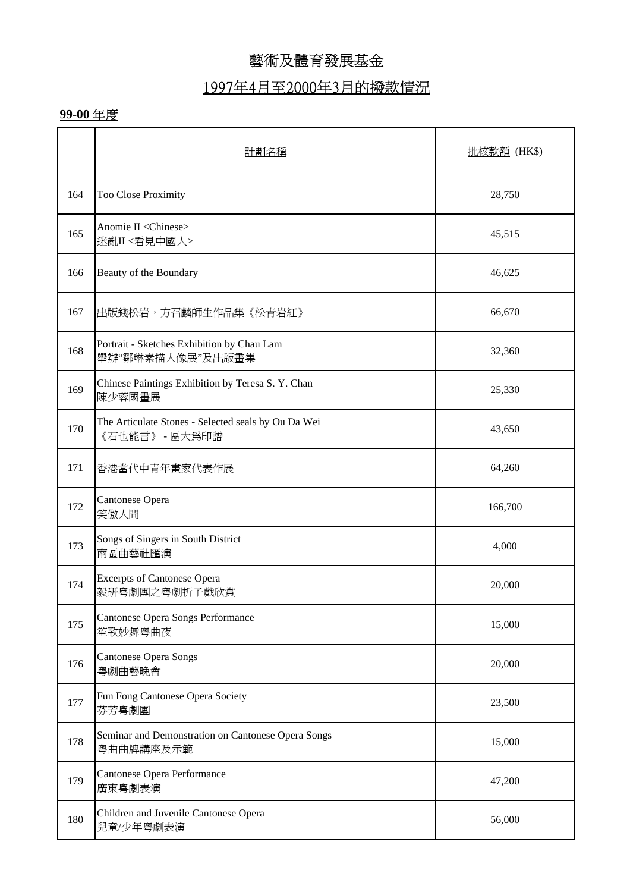### 1997年4月至2000年3月的撥款情況

|     | 計劃名稱                                                                  | <u>批核款額</u> (HK\$) |
|-----|-----------------------------------------------------------------------|--------------------|
| 164 | Too Close Proximity                                                   | 28,750             |
| 165 | Anomie II <chinese><br/>迷亂II&lt;看見中國人&gt;</chinese>                   | 45,515             |
| 166 | Beauty of the Boundary                                                | 46,625             |
| 167 | 出版錢松岩,方召麟師生作品集《松青岩紅》                                                  | 66,670             |
| 168 | Portrait - Sketches Exhibition by Chau Lam<br>舉辦"鄒琳素描人像展"及出版畫集        | 32,360             |
| 169 | Chinese Paintings Exhibition by Teresa S.Y. Chan<br>陳少蓉國畫展            | 25,330             |
| 170 | The Articulate Stones - Selected seals by Ou Da Wei<br>《石也能言》 - 區大爲印譜 | 43,650             |
| 171 | 香港當代中青年畫家代表作展                                                         | 64,260             |
| 172 | Cantonese Opera<br>笑傲人間                                               | 166,700            |
| 173 | Songs of Singers in South District<br>南區曲藝社匯演                         | 4,000              |
| 174 | <b>Excerpts of Cantonese Opera</b><br>毅研粤劇團之粤劇折子戲欣賞                   | 20,000             |
| 175 | Cantonese Opera Songs Performance<br>笙歌妙舞粤曲夜                          | 15,000             |
| 176 | <b>Cantonese Opera Songs</b><br>粤劇曲藝晩會                                | 20,000             |
| 177 | Fun Fong Cantonese Opera Society<br>芬芳粤劇團                             | 23,500             |
| 178 | Seminar and Demonstration on Cantonese Opera Songs<br>粤曲曲牌講座及示範       | 15,000             |
| 179 | Cantonese Opera Performance<br>廣東粵劇表演                                 | 47,200             |
| 180 | Children and Juvenile Cantonese Opera<br>兒童/少年粤劇表演                    | 56,000             |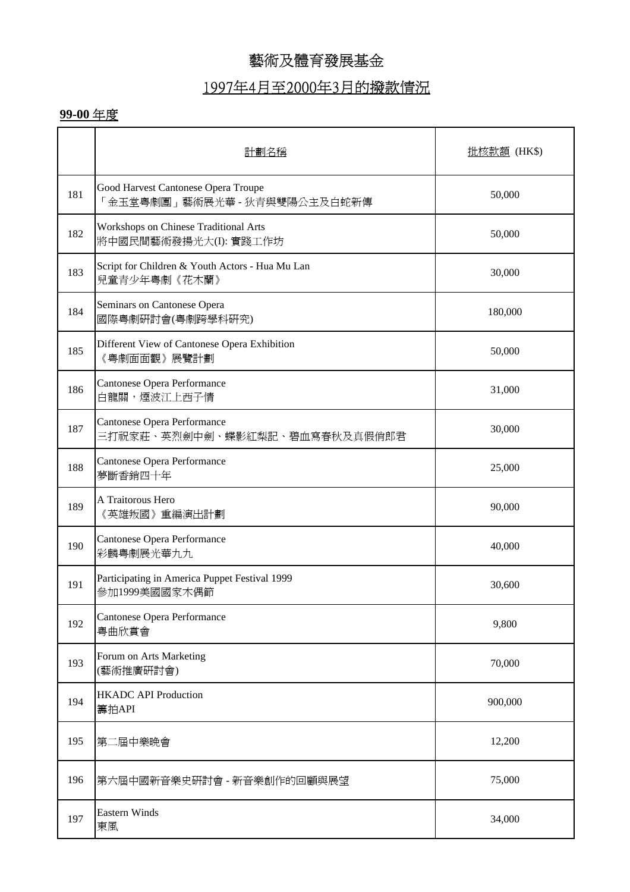### 1997年4月至2000年3月的撥款情況

|     | 計劃名種                                                                | 批核款額 (HK\$) |
|-----|---------------------------------------------------------------------|-------------|
| 181 | Good Harvest Cantonese Opera Troupe<br>「金玉堂粤劇團」藝術展光華 - 狄青與雙陽公主及白蛇新傳 | 50,000      |
| 182 | Workshops on Chinese Traditional Arts<br>將中國民間藝術發揚光大(I): 實踐工作坊      | 50,000      |
| 183 | Script for Children & Youth Actors - Hua Mu Lan<br>兒童青少年粤劇《花木蘭》     | 30,000      |
| 184 | Seminars on Cantonese Opera<br>國際粵劇研討會(粤劇跨學科研究)                     | 180,000     |
| 185 | Different View of Cantonese Opera Exhibition<br>《粤劇面面觀》展覽計劃         | 50,000      |
| 186 | Cantonese Opera Performance<br>白龍關,煙波江上西子情                          | 31,000      |
| 187 | Cantonese Opera Performance<br>三打祝家莊、英烈劍中劍、蝶影紅梨記、碧血寫春秋及真假俏郎君        | 30,000      |
| 188 | Cantonese Opera Performance<br>夢斷香銷四十年                              | 25,000      |
| 189 | A Traitorous Hero<br>《英雄叛國》重編演出計劃                                   | 90,000      |
| 190 | Cantonese Opera Performance<br>彩麟粤劇展光華九九                            | 40,000      |
| 191 | Participating in America Puppet Festival 1999<br>參加1999美國國家木偶節      | 30,600      |
| 192 | Cantonese Opera Performance<br>粤曲欣賞會                                | 9,800       |
| 193 | Forum on Arts Marketing<br>(藝術推廣硏討會)                                | 70,000      |
| 194 | <b>HKADC API Production</b><br>籌拍API                                | 900,000     |
| 195 | 第二屆中樂晚會                                                             | 12,200      |
| 196 | 第六屆中國新音樂史硏討會 - 新音樂創作的回顧與展望                                          | 75,000      |
| 197 | <b>Eastern Winds</b><br>東風                                          | 34,000      |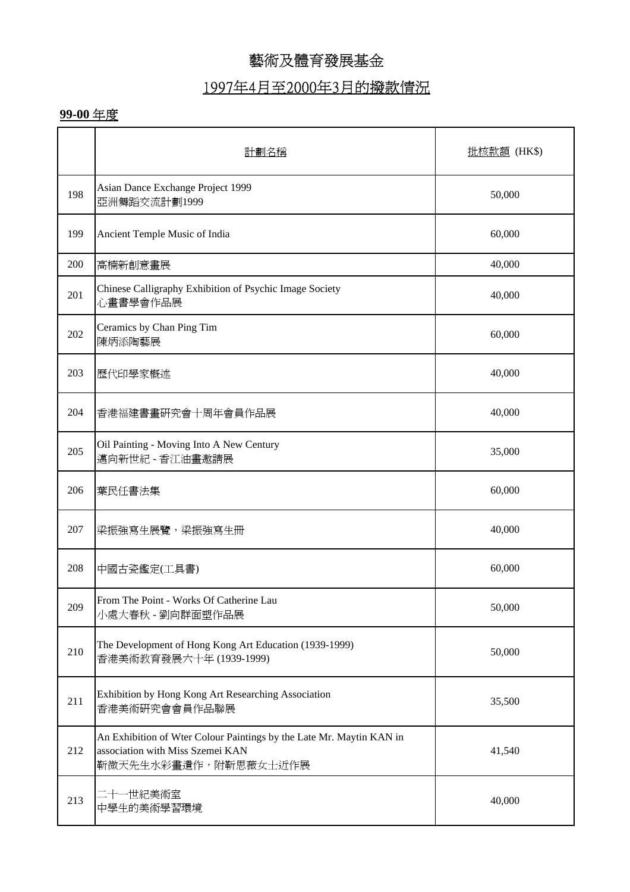## 1997年4月至2000年3月的撥款情況

|     | 計劃名種                                                                                                                             | 批核款額 (HK\$) |
|-----|----------------------------------------------------------------------------------------------------------------------------------|-------------|
| 198 | Asian Dance Exchange Project 1999<br>亞洲舞蹈交流計劃1999                                                                                | 50,000      |
| 199 | Ancient Temple Music of India                                                                                                    | 60,000      |
| 200 | 高楠新創意畫展                                                                                                                          | 40,000      |
| 201 | Chinese Calligraphy Exhibition of Psychic Image Society<br>心畫書學會作品展                                                              | 40,000      |
| 202 | Ceramics by Chan Ping Tim<br>陳炳添陶藝展                                                                                              | 60,000      |
| 203 | 歷代印學家概述                                                                                                                          | 40,000      |
| 204 | 香港福建書畫研究會十周年會員作品展                                                                                                                | 40,000      |
| 205 | Oil Painting - Moving Into A New Century<br>邁向新世紀 - 香江油畫邀請展                                                                      | 35,000      |
| 206 | 葉民任書法集                                                                                                                           | 60,000      |
| 207 | 梁振強寫生展覽,梁振強寫生冊                                                                                                                   | 40,000      |
| 208 | 中國古瓷鑑定(工具書)                                                                                                                      | 60,000      |
| 209 | From The Point - Works Of Catherine Lau<br>小處大春秋 - 劉向群面塑作品展                                                                      | 50,000      |
| 210 | The Development of Hong Kong Art Education (1939-1999)<br>香港美術教育發展六十年 (1939-1999)                                                | 50,000      |
| 211 | Exhibition by Hong Kong Art Researching Association<br>香港美術研究會會員作品聯展                                                             | 35,500      |
| 212 | An Exhibition of Wter Colour Paintings by the Late Mr. Maytin KAN in<br>association with Miss Szemei KAN<br>靳微天先生水彩畫遺作,附靳思薇女士近作展 | 41,540      |
| 213 | 二十一世紀美術室<br>中學生的美術學習環境                                                                                                           | 40,000      |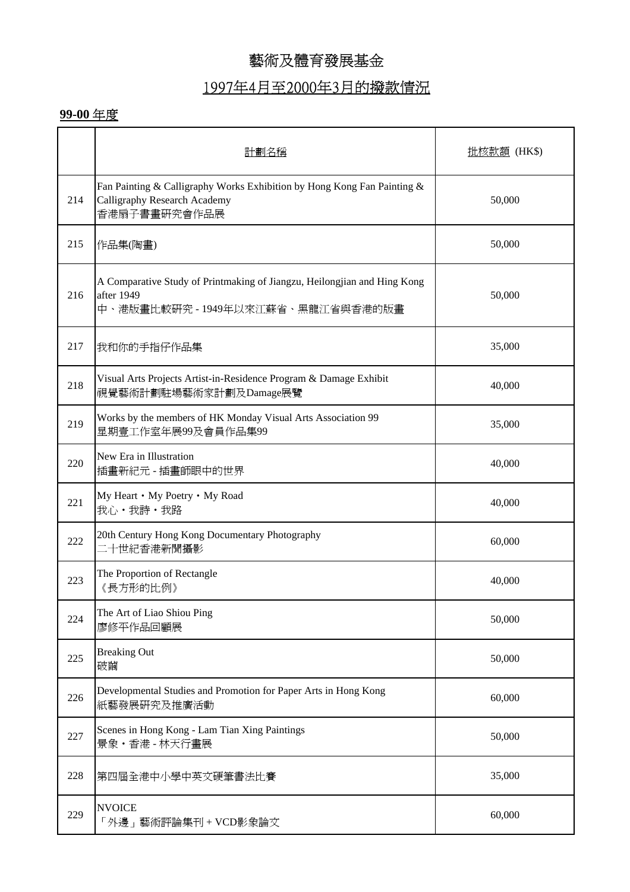# 1997年4月至2000年3月的撥款情況

|     | 計劃名稱                                                                                                                        | 批核款額 (HK\$) |
|-----|-----------------------------------------------------------------------------------------------------------------------------|-------------|
| 214 | Fan Painting & Calligraphy Works Exhibition by Hong Kong Fan Painting &<br>Calligraphy Research Academy<br>香港扇子書畫研究會作品展     | 50,000      |
| 215 | 作品集(陶畫)                                                                                                                     | 50,000      |
| 216 | A Comparative Study of Printmaking of Jiangzu, Heilongjian and Hing Kong<br>after 1949<br>中、港版畫比較研究 - 1949年以來江蘇省、黑龍江省與香港的版畫 | 50,000      |
| 217 | 我和你的手指仔作品集                                                                                                                  | 35,000      |
| 218 | Visual Arts Projects Artist-in-Residence Program & Damage Exhibit<br>視覺藝術計劃駐場藝術家計劃及Damage展覽                                 | 40,000      |
| 219 | Works by the members of HK Monday Visual Arts Association 99<br>星期壹工作室年展99及會員作品集99                                          | 35,000      |
| 220 | New Era in Illustration<br>插畫新紀元 - 插畫師眼中的世界                                                                                 | 40,000      |
| 221 | My Heart • My Poetry • My Road<br>我心・我詩・我路                                                                                  | 40,000      |
| 222 | 20th Century Hong Kong Documentary Photography<br>二十世紀香港新聞攝影                                                                | 60,000      |
| 223 | The Proportion of Rectangle<br>《長方形的比例》                                                                                     | 40,000      |
| 224 | The Art of Liao Shiou Ping<br>廖修平作品回顧展                                                                                      | 50,000      |
| 225 | <b>Breaking Out</b><br>破繭                                                                                                   | 50,000      |
| 226 | Developmental Studies and Promotion for Paper Arts in Hong Kong<br>紙藝發展研究及推廣活動                                              | 60,000      |
| 227 | Scenes in Hong Kong - Lam Tian Xing Paintings<br>景象·香港-林天行畫展                                                                | 50,000      |
| 228 | 第四屆全港中小學中英文硬筆書法比賽                                                                                                           | 35,000      |
| 229 | <b>NVOICE</b><br>「外邊」藝術評論集刊+VCD影象論文                                                                                         | 60,000      |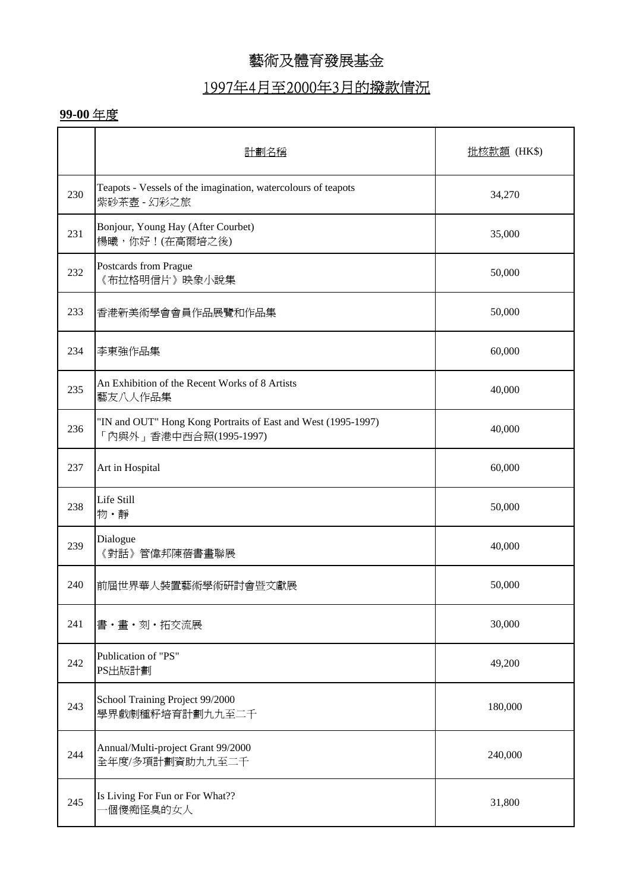### 1997年4月至2000年3月的撥款情況

|     | 計劃名稱                                                                                    | 批核款額 (HK\$) |
|-----|-----------------------------------------------------------------------------------------|-------------|
| 230 | Teapots - Vessels of the imagination, watercolours of teapots<br>紫砂茶壺 - 幻彩之旅            | 34,270      |
| 231 | Bonjour, Young Hay (After Courbet)<br>楊曦,你好!(在高爾培之後)                                    | 35,000      |
| 232 | Postcards from Prague<br>《布拉格明信片》映象小說集                                                  | 50,000      |
| 233 | 香港新美術學會會員作品展覽和作品集                                                                       | 50,000      |
| 234 | 李東強作品集                                                                                  | 60,000      |
| 235 | An Exhibition of the Recent Works of 8 Artists<br>藝友八人作品集                               | 40,000      |
| 236 | "IN and OUT" Hong Kong Portraits of East and West (1995-1997)<br>「內與外」香港中西合照(1995-1997) | 40,000      |
| 237 | Art in Hospital                                                                         | 60,000      |
| 238 | Life Still<br>物·靜                                                                       | 50,000      |
| 239 | Dialogue<br>《對話》管偉邦陳蓓書畫聯展                                                               | 40,000      |
| 240 | 前屆世界華人裝置藝術學術研討會暨文獻展                                                                     | 50,000      |
| 241 | 書・畫・刻・拓交流展                                                                              | 30,000      |
| 242 | Publication of "PS"<br>PS出版計劃                                                           | 49,200      |
| 243 | School Training Project 99/2000<br>學界戲劇種籽培育計劃九九至二千                                      | 180,000     |
| 244 | Annual/Multi-project Grant 99/2000<br>全年度/多項計劃資助九九至二千                                   | 240,000     |
| 245 | Is Living For Fun or For What??<br>個傻痴怪臭的女人                                             | 31,800      |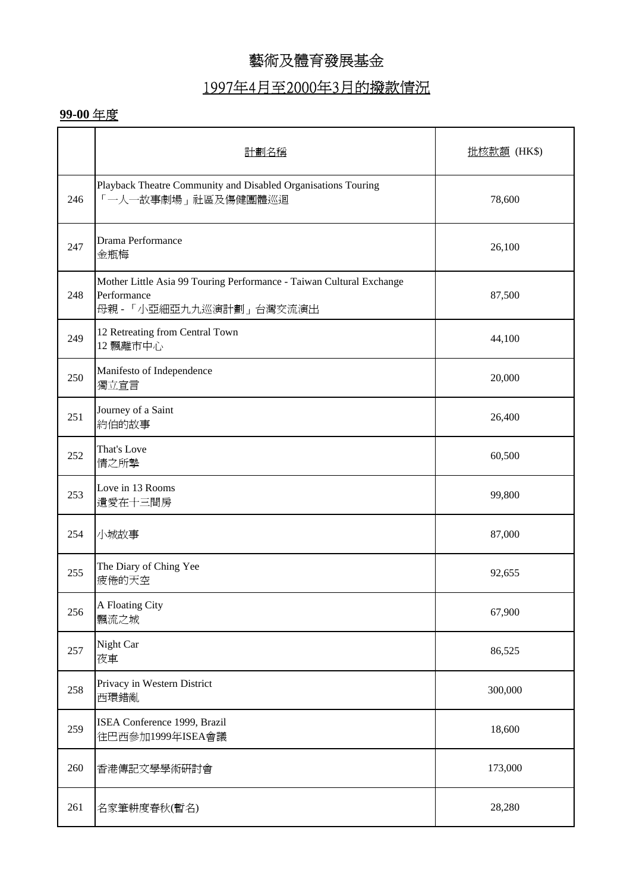## 1997年4月至2000年3月的撥款情況

|     | 計劃名稱                                                                                                           | 批核款額 (HK\$) |
|-----|----------------------------------------------------------------------------------------------------------------|-------------|
| 246 | Playback Theatre Community and Disabled Organisations Touring<br>「一人一故事劇場」社區及傷健團體巡迴                            | 78,600      |
| 247 | Drama Performance<br>金瓶梅                                                                                       | 26,100      |
| 248 | Mother Little Asia 99 Touring Performance - Taiwan Cultural Exchange<br>Performance<br>母親 - 「小亞細亞九九巡演計劃」台灣交流演出 | 87,500      |
| 249 | 12 Retreating from Central Town<br>12 飄離市中心                                                                    | 44,100      |
| 250 | Manifesto of Independence<br>獨立宣言                                                                              | 20,000      |
| 251 | Journey of a Saint<br>約伯的故事                                                                                    | 26,400      |
| 252 | That's Love<br>情之所摯                                                                                            | 60,500      |
| 253 | Love in 13 Rooms<br>遺愛在十三間房                                                                                    | 99,800      |
| 254 | 小城故事                                                                                                           | 87,000      |
| 255 | The Diary of Ching Yee<br>疲倦的天空                                                                                | 92,655      |
| 256 | A Floating City<br>飄流之城                                                                                        | 67,900      |
| 257 | Night Car<br>夜車                                                                                                | 86,525      |
| 258 | Privacy in Western District<br>西環錯亂                                                                            | 300,000     |
| 259 | ISEA Conference 1999, Brazil<br>往巴西參加1999年ISEA會議                                                               | 18,600      |
| 260 | 香港傳記文學學術研討會                                                                                                    | 173,000     |
| 261 | 名家筆耕度春秋(暫名)                                                                                                    | 28,280      |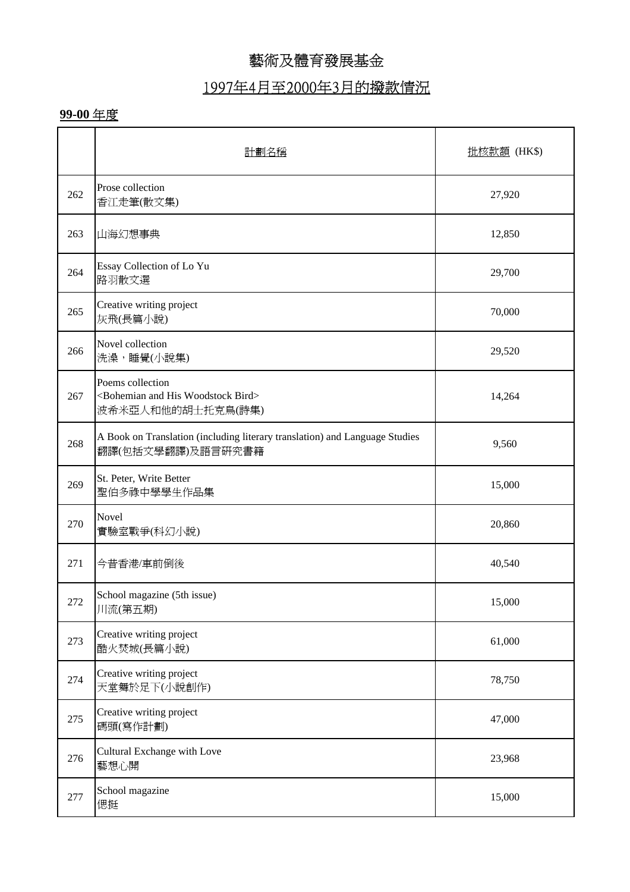## 1997年4月至2000年3月的撥款情況

|     | 計劃名種                                                                                               | 批核款額 (HK\$) |
|-----|----------------------------------------------------------------------------------------------------|-------------|
| 262 | Prose collection<br>香江走筆(散文集)                                                                      | 27,920      |
| 263 | 山海幻想事典                                                                                             | 12,850      |
| 264 | Essay Collection of Lo Yu<br>路羽散文選                                                                 | 29,700      |
| 265 | Creative writing project<br>灰飛(長篇小說)                                                               | 70,000      |
| 266 | Novel collection<br>洗澡,睡覺(小說集)                                                                     | 29,520      |
| 267 | Poems collection<br><bohemian and="" bird="" his="" woodstock=""><br/>波希米亞人和他的胡士托克鳥(詩集)</bohemian> | 14,264      |
| 268 | A Book on Translation (including literary translation) and Language Studies<br>翻譯(包括文學翻譯)及語言研究書籍   | 9,560       |
| 269 | St. Peter, Write Better<br>聖伯多祿中學學生作品集                                                             | 15,000      |
| 270 | Novel<br>實驗室戰爭(科幻小說)                                                                               | 20,860      |
| 271 | 今昔香港/車前倒後                                                                                          | 40,540      |
| 272 | School magazine (5th issue)<br>川流(第五期)                                                             | 15,000      |
| 273 | Creative writing project<br>酷火焚城(長篇小說)                                                             | 61,000      |
| 274 | Creative writing project<br>天堂舞於足下(小說創作)                                                           | 78,750      |
| 275 | Creative writing project<br>碼頭(寫作計劃)                                                               | 47,000      |
| 276 | Cultural Exchange with Love<br>藝想心開                                                                | 23,968      |
| 277 | School magazine<br>偲挺                                                                              | 15,000      |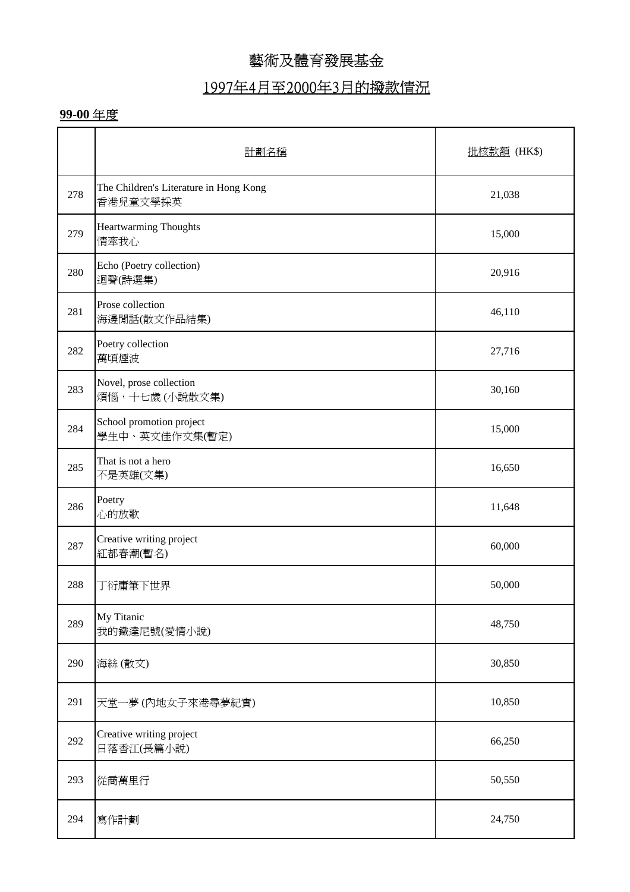### 1997年4月至2000年3月的撥款情況

|     | 計劃名稱                                               | 批核款額 (HK\$) |
|-----|----------------------------------------------------|-------------|
| 278 | The Children's Literature in Hong Kong<br>香港兒童文學採英 | 21,038      |
| 279 | Heartwarming Thoughts<br>情牽我心                      | 15,000      |
| 280 | Echo (Poetry collection)<br>迴聲(詩選集)                | 20,916      |
| 281 | Prose collection<br>海邊閒話(散文作品結集)                   | 46,110      |
| 282 | Poetry collection<br>萬頃煙波                          | 27,716      |
| 283 | Novel, prose collection<br>煩惱,十七歲(小說散文集)           | 30,160      |
| 284 | School promotion project<br>學生中、英文佳作文集(暫定)         | 15,000      |
| 285 | That is not a hero<br>不是英雄(文集)                     | 16,650      |
| 286 | Poetry<br>心的放歌                                     | 11,648      |
| 287 | Creative writing project<br>紅都春潮(暫名)               | 60,000      |
| 288 | 丁衍庸筆下世界                                            | 50,000      |
| 289 | My Titanic<br>我的鐵達尼號(愛情小說)                         | 48,750      |
| 290 | 海絲(散文)                                             | 30,850      |
| 291 | 天堂一夢(內地女子來港尋夢紀實)                                   | 10,850      |
| 292 | Creative writing project<br>日落香江(長篇小說)             | 66,250      |
| 293 | 從商萬里行                                              | 50,550      |
| 294 | 寫作計劃                                               | 24,750      |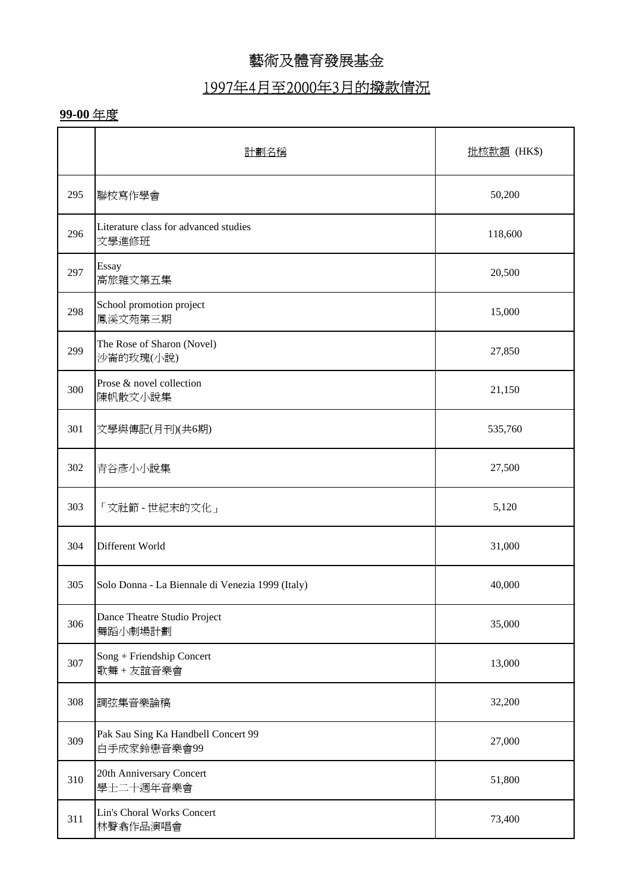### 1997年4月至2000年3月的撥款情況

|     | 計劃名稱                                               | 批核款額 (HK\$) |
|-----|----------------------------------------------------|-------------|
| 295 | 聯校寫作學會                                             | 50,200      |
| 296 | Literature class for advanced studies<br>文學進修班     | 118,600     |
| 297 | Essay<br>高旅雜文第五集                                   | 20,500      |
| 298 | School promotion project<br>鳳溪文苑第三期                | 15,000      |
| 299 | The Rose of Sharon (Novel)<br>沙崙的玫瑰(小說)            | 27,850      |
| 300 | Prose & novel collection<br>陳帆散文小說集                | 21,150      |
| 301 | 文學與傳記(月刊)(共6期)                                     | 535,760     |
| 302 | 青谷彥小小說集                                            | 27,500      |
| 303 | 「文社節 - 世紀末的文化」                                     | 5,120       |
| 304 | Different World                                    | 31,000      |
| 305 | Solo Donna - La Biennale di Venezia 1999 (Italy)   | 40,000      |
| 306 | Dance Theatre Studio Project<br>舞蹈小劇場計劃            | 35,000      |
| 307 | Song + Friendship Concert<br>歌舞+友誼音樂會              | 13,000      |
| 308 | 調弦集音樂論稿                                            | 32,200      |
| 309 | Pak Sau Sing Ka Handbell Concert 99<br>白手成家鈴戀音樂會99 | 27,000      |
| 310 | 20th Anniversary Concert<br>學士二十週年音樂會              | 51,800      |
| 311 | Lin's Choral Works Concert<br>林聲翕作品演唱會             | 73,400      |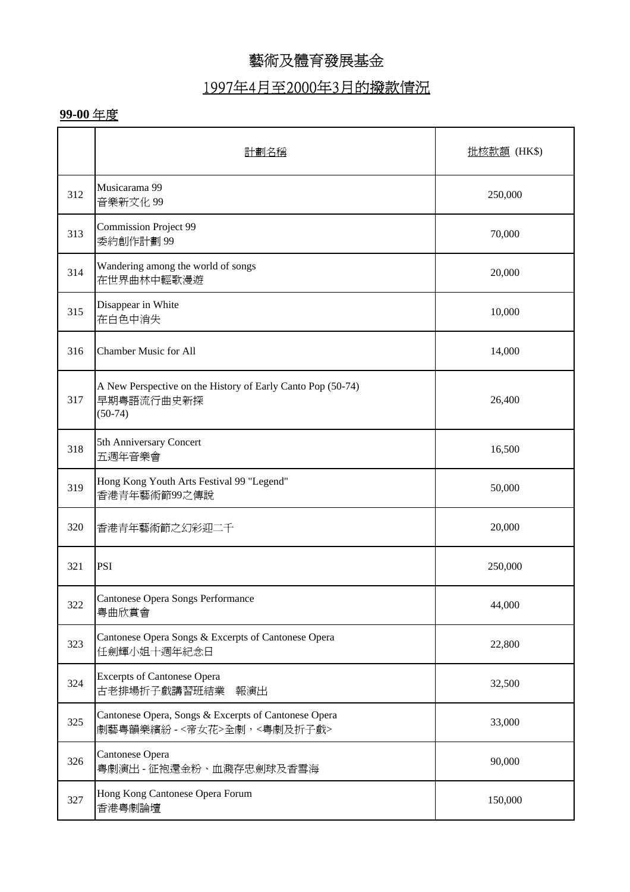### 1997年4月至2000年3月的撥款情況

|     | 計劃名稱                                                                                   | 批核款額 (HK\$) |
|-----|----------------------------------------------------------------------------------------|-------------|
| 312 | Musicarama 99<br>音樂新文化 99                                                              | 250,000     |
| 313 | <b>Commission Project 99</b><br>委約創作計劃99                                               | 70,000      |
| 314 | Wandering among the world of songs<br>在世界曲林中輕歌漫遊                                       | 20,000      |
| 315 | Disappear in White<br>在白色中消失                                                           | 10,000      |
| 316 | <b>Chamber Music for All</b>                                                           | 14,000      |
| 317 | A New Perspective on the History of Early Canto Pop (50-74)<br>早期粤語流行曲史新探<br>$(50-74)$ | 26,400      |
| 318 | 5th Anniversary Concert<br>五週年音樂會                                                      | 16,500      |
| 319 | Hong Kong Youth Arts Festival 99 "Legend"<br>香港青年藝術節99之傳說                              | 50,000      |
| 320 | 香港青年藝術節之幻彩迎二千                                                                          | 20,000      |
| 321 | <b>PSI</b>                                                                             | 250,000     |
| 322 | Cantonese Opera Songs Performance<br>粤曲欣賞會                                             | 44,000      |
| 323 | Cantonese Opera Songs & Excerpts of Cantonese Opera<br>任劍輝小姐十週年紀念日                     | 22,800      |
| 324 | <b>Excerpts of Cantonese Opera</b><br>古老排場折子戲講習班結業<br>報演出                              | 32,500      |
| 325 | Cantonese Opera, Songs & Excerpts of Cantonese Opera<br>劇藝粤韻樂繽紛 - <帝女花>全劇,<粤劇及折子戲>     | 33,000      |
| 326 | Cantonese Opera<br>粤劇演出 - 征袍還金粉、血濺存忠劍球及香雪海                                             | 90,000      |
| 327 | Hong Kong Cantonese Opera Forum<br>香港粤劇論壇                                              | 150,000     |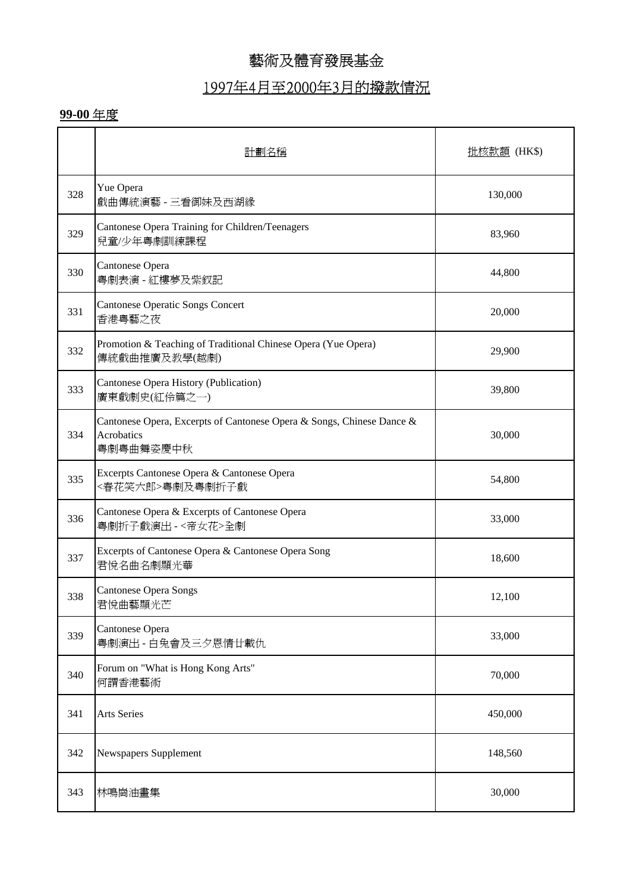### 1997年4月至2000年3月的撥款情況

|     | 計劃名種                                                                                             | 批核款額 (HK\$) |
|-----|--------------------------------------------------------------------------------------------------|-------------|
| 328 | Yue Opera<br>戲曲傳統演藝 - 三看御妹及西湖緣                                                                   | 130,000     |
| 329 | Cantonese Opera Training for Children/Teenagers<br>兒童/少年粵劇訓練課程                                   | 83,960      |
| 330 | Cantonese Opera<br>粤劇表演 - 紅樓夢及紫釵記                                                                | 44,800      |
| 331 | <b>Cantonese Operatic Songs Concert</b><br>香港粤藝之夜                                                | 20,000      |
| 332 | Promotion & Teaching of Traditional Chinese Opera (Yue Opera)<br>傳統戲曲推廣及教學(越劇)                   | 29,900      |
| 333 | Cantonese Opera History (Publication)<br>廣東戲劇史(紅伶篇之一)                                            | 39,800      |
| 334 | Cantonese Opera, Excerpts of Cantonese Opera & Songs, Chinese Dance &<br>Acrobatics<br>粵劇粵曲舞姿慶中秋 | 30,000      |
| 335 | Excerpts Cantonese Opera & Cantonese Opera<br><春花笑六郎>粤劇及粤劇折子戲                                    | 54,800      |
| 336 | Cantonese Opera & Excerpts of Cantonese Opera<br>粤劇折子戲演出 - <帝女花>全劇                               | 33,000      |
| 337 | Excerpts of Cantonese Opera & Cantonese Opera Song<br>君悅名曲名劇顯光華                                  | 18,600      |
| 338 | <b>Cantonese Opera Songs</b><br>君悅曲藝顯光芒                                                          | 12,100      |
| 339 | Cantonese Opera<br>粤劇演出-白兔會及三夕恩情廿載仇                                                              | 33,000      |
| 340 | Forum on "What is Hong Kong Arts"<br>何謂香港藝術                                                      | 70,000      |
| 341 | <b>Arts Series</b>                                                                               | 450,000     |
| 342 | Newspapers Supplement                                                                            | 148,560     |
| 343 | 林鳴崗油畫集                                                                                           | 30,000      |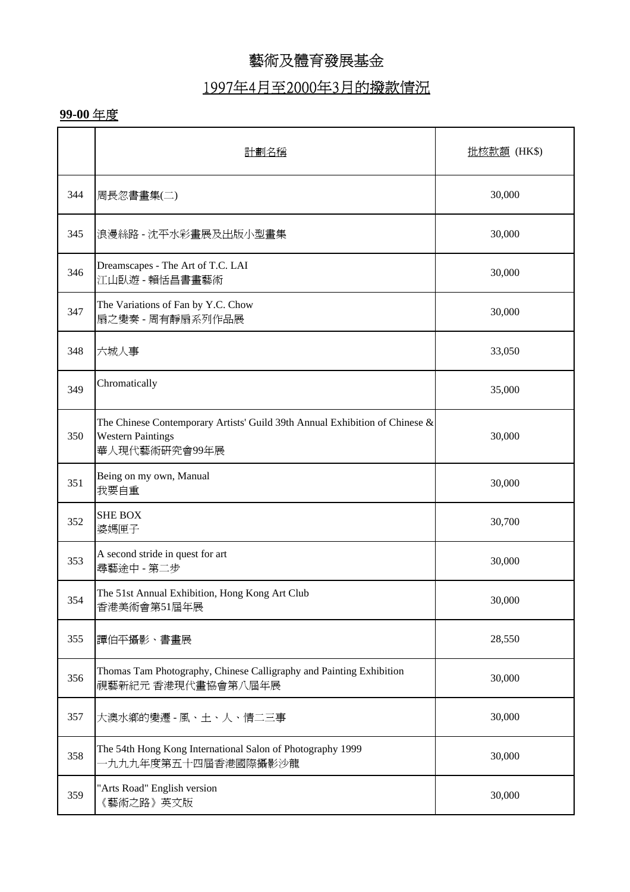### 1997年4月至2000年3月的撥款情況

|     | 計劃名稱                                                                                                                     | <u>批核款額</u> (HK\$) |
|-----|--------------------------------------------------------------------------------------------------------------------------|--------------------|
| 344 | 周長忽書畫集(二)                                                                                                                | 30,000             |
| 345 | 浪漫絲路 - 沈平水彩畫展及出版小型畫集                                                                                                     | 30,000             |
| 346 | Dreamscapes - The Art of T.C. LAI<br>江山臥遊 - 賴恬昌書畫藝術                                                                      | 30,000             |
| 347 | The Variations of Fan by Y.C. Chow<br>扇之變奏 - 周有靜扇系列作品展                                                                   | 30,000             |
| 348 | 六城人事                                                                                                                     | 33,050             |
| 349 | Chromatically                                                                                                            | 35,000             |
| 350 | The Chinese Contemporary Artists' Guild 39th Annual Exhibition of Chinese &<br><b>Western Paintings</b><br>華人現代藝術研究會99年展 | 30,000             |
| 351 | Being on my own, Manual<br>我要自重                                                                                          | 30,000             |
| 352 | <b>SHE BOX</b><br>婆媽匣子                                                                                                   | 30,700             |
| 353 | A second stride in quest for art<br>尋藝途中 - 第二步                                                                           | 30,000             |
| 354 | The 51st Annual Exhibition, Hong Kong Art Club<br>香港美術會第51屆年展                                                            | 30,000             |
| 355 | 譚伯平攝影、書畫展                                                                                                                | 28,550             |
| 356 | Thomas Tam Photography, Chinese Calligraphy and Painting Exhibition<br>視藝新紀元 香港現代畫協會第八屆年展                                | 30,000             |
| 357 | 大澳水鄉的變遷 - 風、土、人、情二三事                                                                                                     | 30,000             |
| 358 | The 54th Hong Kong International Salon of Photography 1999<br>一九九九年度第五十四屆香港國際攝影沙龍                                        | 30,000             |
| 359 | "Arts Road" English version<br>《藝術之路》英文版                                                                                 | 30,000             |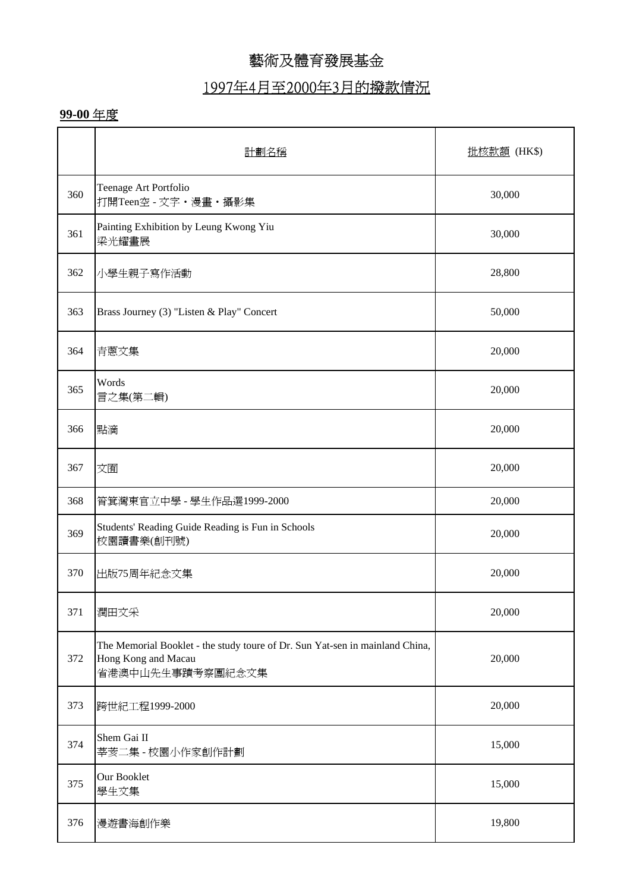# 1997年4月至2000年3月的撥款情況

|     | 計劃名稱                                                                                                                    | <u>批核款額</u> (HK\$) |
|-----|-------------------------------------------------------------------------------------------------------------------------|--------------------|
| 360 | Teenage Art Portfolio<br>打開Teen空 - 文字·漫畫·攝影集                                                                            | 30,000             |
| 361 | Painting Exhibition by Leung Kwong Yiu<br>梁光耀畫展                                                                         | 30,000             |
| 362 | 小學生親子寫作活動                                                                                                               | 28,800             |
| 363 | Brass Journey (3) "Listen & Play" Concert                                                                               | 50,000             |
| 364 | 青蔥文集                                                                                                                    | 20,000             |
| 365 | Words<br>言之集(第二輯)                                                                                                       | 20,000             |
| 366 | 點滴                                                                                                                      | 20,000             |
| 367 | 文囿                                                                                                                      | 20,000             |
| 368 | 筲箕灣東官立中學 - 學生作品選1999-2000                                                                                               | 20,000             |
| 369 | Students' Reading Guide Reading is Fun in Schools<br>校園讀書樂(創刊號)                                                         | 20,000             |
| 370 | 出版75周年紀念文集                                                                                                              | 20,000             |
| 371 | 潤田文采                                                                                                                    | 20,000             |
| 372 | The Memorial Booklet - the study toure of Dr. Sun Yat-sen in mainland China,<br>Hong Kong and Macau<br>省港澳中山先生事蹟考察團紀念文集 | 20,000             |
| 373 | 跨世紀工程1999-2000                                                                                                          | 20,000             |
| 374 | Shem Gai II<br>莘荄二集 - 校園小作家創作計劃                                                                                         | 15,000             |
| 375 | Our Booklet<br>學生文集                                                                                                     | 15,000             |
| 376 | 漫遊書海創作樂                                                                                                                 | 19,800             |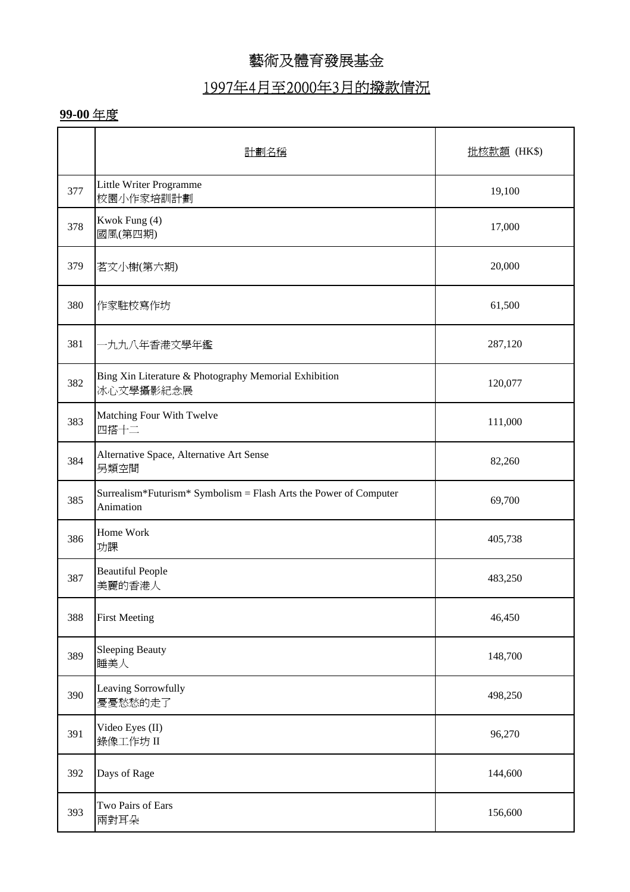### 1997年4月至2000年3月的撥款情況

|     | 計劃名稱                                                                           | 批核款額 (HK\$) |
|-----|--------------------------------------------------------------------------------|-------------|
| 377 | Little Writer Programme<br>校園小作家培訓計劃                                           | 19,100      |
| 378 | Kwok Fung (4)<br>國風(第四期)                                                       | 17,000      |
| 379 | 茗文小榭(第六期)                                                                      | 20,000      |
| 380 | 作家駐校寫作坊                                                                        | 61,500      |
| 381 | 九九八年香港文學年鑑                                                                     | 287,120     |
| 382 | Bing Xin Literature & Photography Memorial Exhibition<br>冰心文學攝影紀念展             | 120,077     |
| 383 | Matching Four With Twelve<br>四搭十二                                              | 111,000     |
| 384 | Alternative Space, Alternative Art Sense<br>另類空間                               | 82,260      |
| 385 | Surrealism*Futurism* Symbolism = Flash Arts the Power of Computer<br>Animation | 69,700      |
| 386 | Home Work<br>功課                                                                | 405,738     |
| 387 | <b>Beautiful People</b><br>美麗的香港人                                              | 483,250     |
| 388 | <b>First Meeting</b>                                                           | 46,450      |
| 389 | <b>Sleeping Beauty</b><br>睡美人                                                  | 148,700     |
| 390 | Leaving Sorrowfully<br>憂憂愁愁的走了                                                 | 498,250     |
| 391 | Video Eyes (II)<br>錄像工作坊 II                                                    | 96,270      |
| 392 | Days of Rage                                                                   | 144,600     |
| 393 | Two Pairs of Ears<br>兩對耳朵                                                      | 156,600     |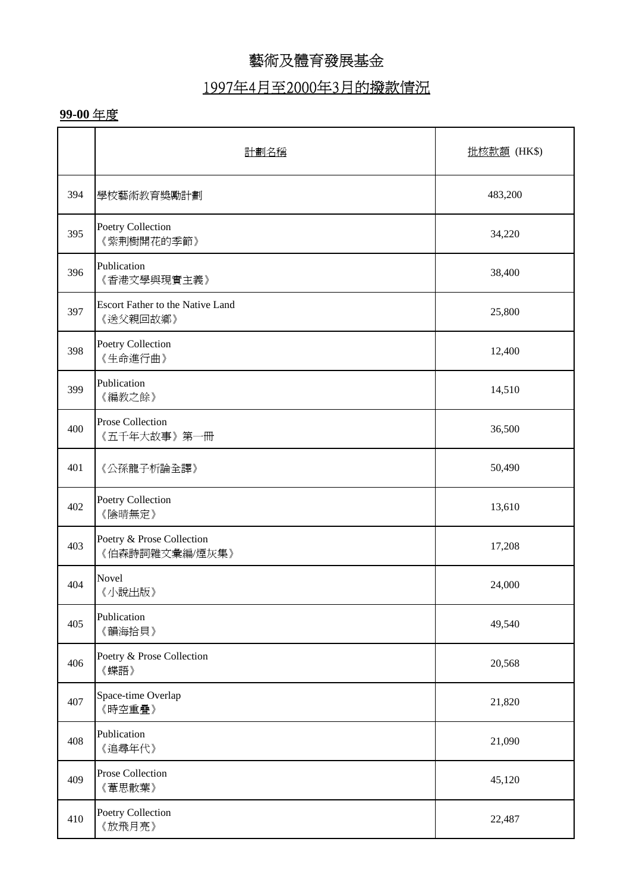## 1997年4月至2000年3月的撥款情況

|     | 計劃名稱                                         | 批核款額 (HK\$) |
|-----|----------------------------------------------|-------------|
| 394 | 學校藝術教育獎勵計劃                                   | 483,200     |
| 395 | Poetry Collection<br>《紫荆樹開花的季節》              | 34,220      |
| 396 | Publication<br>《香港文學與現實主義》                   | 38,400      |
| 397 | Escort Father to the Native Land<br>《送父親回故鄉》 | 25,800      |
| 398 | Poetry Collection<br>《生命進行曲》                 | 12,400      |
| 399 | Publication<br>《編教之餘》                        | 14,510      |
| 400 | Prose Collection<br>《五千年大故事》第一冊              | 36,500      |
| 401 | 《公孫龍子析論全譯》                                   | 50,490      |
| 402 | Poetry Collection<br>《陰晴無定》                  | 13,610      |
| 403 | Poetry & Prose Collection<br>《伯森詩詞雜文彙編/煙灰集》  | 17,208      |
| 404 | Novel<br>《小說出版》                              | 24,000      |
| 405 | Publication<br>《韻海拾貝》                        | 49,540      |
| 406 | Poetry & Prose Collection<br>《蝶語》            | 20,568      |
| 407 | Space-time Overlap<br>《時空重疊》                 | 21,820      |
| 408 | Publication<br>《追尋年代》                        | 21,090      |
| 409 | Prose Collection<br>《葦思散葉》                   | 45,120      |
| 410 | Poetry Collection<br>《放飛月亮》                  | 22,487      |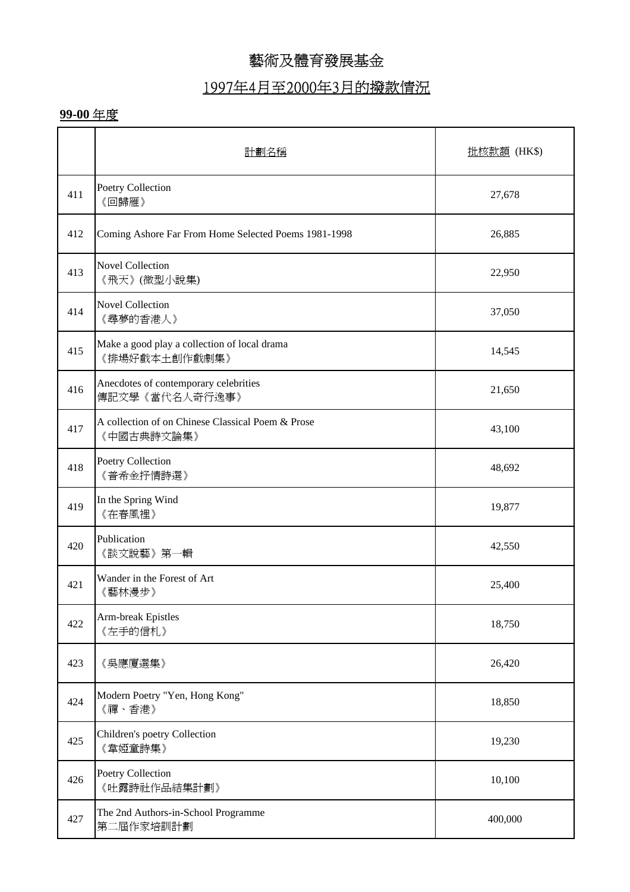## 1997年4月至2000年3月的撥款情況

|     | 計劃名稱                                                            | 批核款額 (HK\$) |
|-----|-----------------------------------------------------------------|-------------|
| 411 | Poetry Collection<br>《回歸雁》                                      | 27,678      |
| 412 | Coming Ashore Far From Home Selected Poems 1981-1998            | 26,885      |
| 413 | <b>Novel Collection</b><br>《飛天》(微型小說集)                          | 22,950      |
| 414 | <b>Novel Collection</b><br>《尋夢的香港人》                             | 37,050      |
| 415 | Make a good play a collection of local drama<br>《排場好戲本土創作戲劇集》   | 14,545      |
| 416 | Anecdotes of contemporary celebrities<br>傳記文學《當代名人奇行逸事》         | 21,650      |
| 417 | A collection of on Chinese Classical Poem & Prose<br>《中國古典詩文論集》 | 43,100      |
| 418 | Poetry Collection<br>《普希金抒情詩選》                                  | 48,692      |
| 419 | In the Spring Wind<br>《在春風裡》                                    | 19,877      |
| 420 | Publication<br>《談文說藝》第一輯                                        | 42,550      |
| 421 | Wander in the Forest of Art<br>《藝林漫步》                           | 25,400      |
| 422 | Arm-break Epistles<br>《左手的信札》                                   | 18,750      |
| 423 | 《吳應廈選集》                                                         | 26,420      |
| 424 | Modern Poetry "Yen, Hong Kong"<br>《禪、香港》                        | 18,850      |
| 425 | Children's poetry Collection<br>《韋婭童詩集》                         | 19,230      |
| 426 | Poetry Collection<br>《吐露詩社作品結集計劃》                               | 10,100      |
| 427 | The 2nd Authors-in-School Programme<br>第二屆作家培訓計劃                | 400,000     |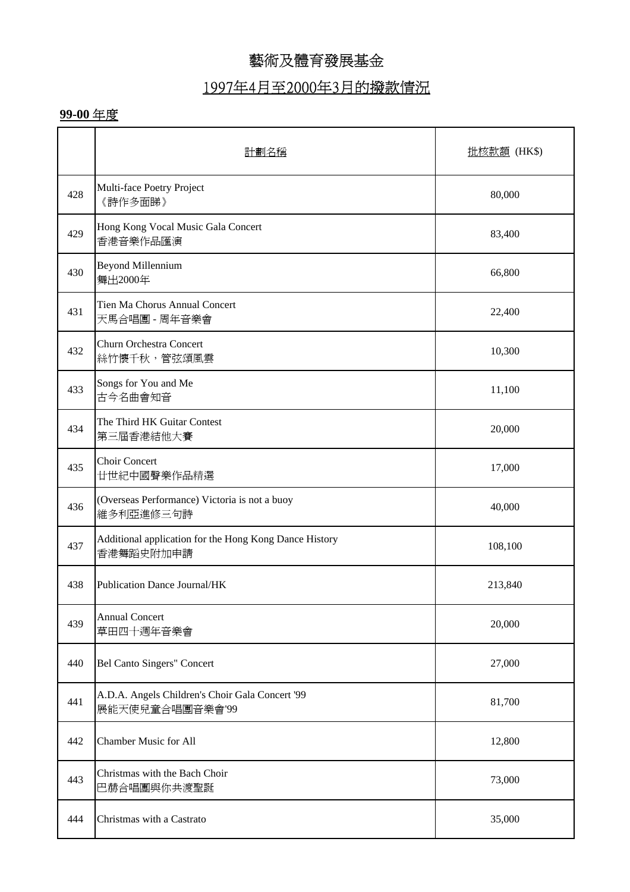## 1997年4月至2000年3月的撥款情況

|     | 計劃名稱                                                                | 批核款額 (HK\$) |
|-----|---------------------------------------------------------------------|-------------|
| 428 | Multi-face Poetry Project<br>《詩作多面睇》                                | 80,000      |
| 429 | Hong Kong Vocal Music Gala Concert<br>香港音樂作品匯演                      | 83,400      |
| 430 | <b>Beyond Millennium</b><br>舞出2000年                                 | 66,800      |
| 431 | Tien Ma Chorus Annual Concert<br>天馬合唱團 - 周年音樂會                      | 22,400      |
| 432 | <b>Churn Orchestra Concert</b><br>絲竹懷千秋,管弦頌風雲                       | 10,300      |
| 433 | Songs for You and Me<br>古今名曲會知音                                     | 11,100      |
| 434 | The Third HK Guitar Contest<br>第三屆香港結他大賽                            | 20,000      |
| 435 | <b>Choir Concert</b><br>廿世紀中國聲樂作品精選                                 | 17,000      |
| 436 | (Overseas Performance) Victoria is not a buoy<br>維多利亞進修三句詩          | 40,000      |
| 437 | Additional application for the Hong Kong Dance History<br>香港舞蹈史附加申請 | 108,100     |
| 438 | <b>Publication Dance Journal/HK</b>                                 | 213,840     |
| 439 | <b>Annual Concert</b><br>草田四十週年音樂會                                  | 20,000      |
| 440 | <b>Bel Canto Singers" Concert</b>                                   | 27,000      |
| 441 | A.D.A. Angels Children's Choir Gala Concert '99<br>展能天使兒童合唱團音樂會'99  | 81,700      |
| 442 | <b>Chamber Music for All</b>                                        | 12,800      |
| 443 | Christmas with the Bach Choir<br>巴赫合唱團與你共渡聖誕                        | 73,000      |
| 444 | Christmas with a Castrato                                           | 35,000      |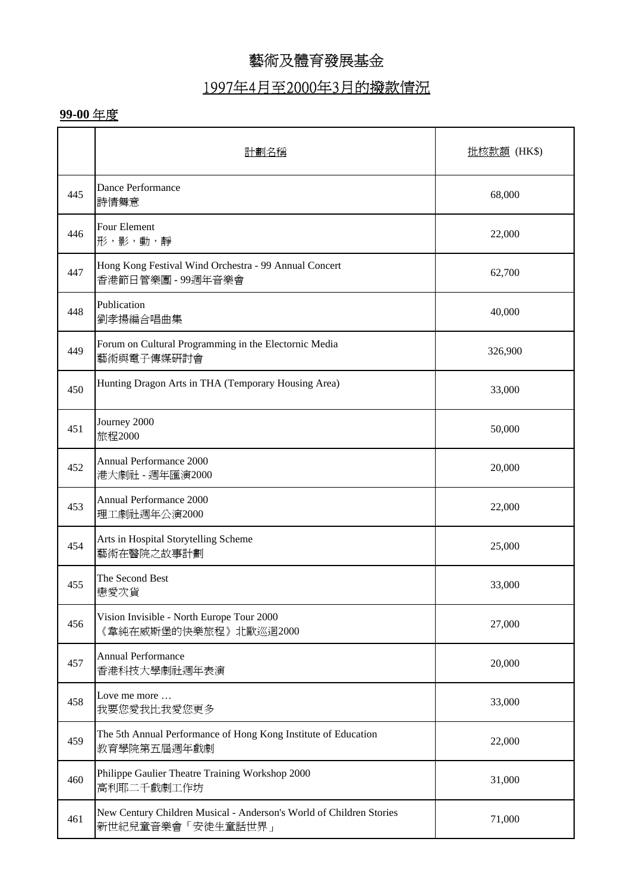## 1997年4月至2000年3月的撥款情況

|     | 計劃名稱                                                                                     | 批核款額 (HK\$) |
|-----|------------------------------------------------------------------------------------------|-------------|
| 445 | Dance Performance<br>詩情舞意                                                                | 68,000      |
| 446 | Four Element<br>形,影,動,靜                                                                  | 22,000      |
| 447 | Hong Kong Festival Wind Orchestra - 99 Annual Concert<br>香港節日管樂團 - 99週年音樂會               | 62,700      |
| 448 | Publication<br>劉孝揚編合唱曲集                                                                  | 40,000      |
| 449 | Forum on Cultural Programming in the Electornic Media<br>藝術與電子傳媒研討會                      | 326,900     |
| 450 | Hunting Dragon Arts in THA (Temporary Housing Area)                                      | 33,000      |
| 451 | Journey 2000<br>旅程2000                                                                   | 50,000      |
| 452 | Annual Performance 2000<br>港大劇社 - 週年匯演2000                                               | 20,000      |
| 453 | Annual Performance 2000<br>理工劇社週年公演2000                                                  | 22,000      |
| 454 | Arts in Hospital Storytelling Scheme<br>藝術在醫院之故事計劃                                       | 25,000      |
| 455 | The Second Best<br>戀愛次貨                                                                  | 33,000      |
| 456 | Vision Invisible - North Europe Tour 2000<br>《韋純在威斯堡的快樂旅程》北歐巡迴2000                       | 27,000      |
| 457 | <b>Annual Performance</b><br>香港科技大學劇社週年表演                                                | 20,000      |
| 458 | Love me more<br>我要您愛我比我愛您更多                                                              | 33,000      |
| 459 | The 5th Annual Performance of Hong Kong Institute of Education<br>教育學院第五屆週年戲劇            | 22,000      |
| 460 | Philippe Gaulier Theatre Training Workshop 2000<br>高利耶二千戲劇工作坊                            | 31,000      |
| 461 | New Century Children Musical - Anderson's World of Children Stories<br>新世紀兒童音樂會「安徒生童話世界」 | 71,000      |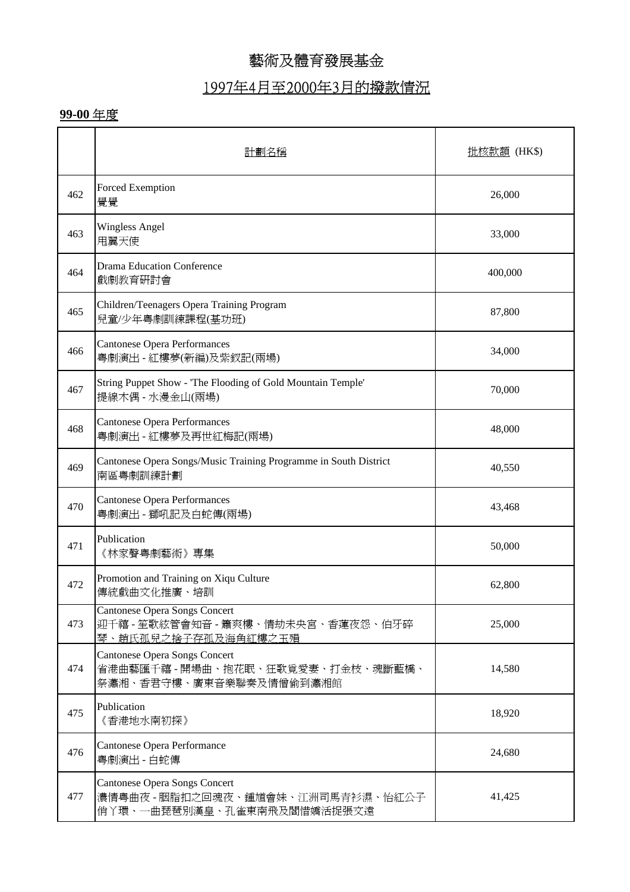### 1997年4月至2000年3月的撥款情況

|     | 計劃名稱                                                                                                    | <u> 批核款額</u> (HK\$) |
|-----|---------------------------------------------------------------------------------------------------------|---------------------|
| 462 | Forced Exemption<br>覺覺                                                                                  | 26,000              |
| 463 | <b>Wingless Angel</b><br>甩翼天使                                                                           | 33,000              |
| 464 | <b>Drama Education Conference</b><br>戲劇教育研討會                                                            | 400,000             |
| 465 | Children/Teenagers Opera Training Program<br>兒童/少年粤劇訓練課程(基功班)                                           | 87,800              |
| 466 | <b>Cantonese Opera Performances</b><br>粤劇演出 - 紅樓夢(新編)及紫釵記(兩場)                                           | 34,000              |
| 467 | String Puppet Show - 'The Flooding of Gold Mountain Temple'<br>提線木偶 - 水漫金山(兩場)                          | 70,000              |
| 468 | <b>Cantonese Opera Performances</b><br>粤劇演出 - 紅樓夢及再世紅梅記(兩場)                                             | 48,000              |
| 469 | Cantonese Opera Songs/Music Training Programme in South District<br>南區粵劇訓練計劃                            | 40,550              |
| 470 | <b>Cantonese Opera Performances</b><br>粤劇演出 - 獅吼記及白蛇傳(兩場)                                               | 43,468              |
| 471 | Publication<br>《林家聲粵劇藝術》專集                                                                              | 50,000              |
| 472 | Promotion and Training on Xiqu Culture<br>傳統戲曲文化推廣、培訓                                                   | 62,800              |
| 473 | <b>Cantonese Opera Songs Concert</b><br>迎千禧 - 笙歌絃管會知音 - 簫爽樓、情劫未央宮、香蓮夜怨、伯牙碎<br>琴、趙氏孤兒之捨子存孤及海角紅樓之玉殞       | 25,000              |
| 474 | <b>Cantonese Opera Songs Concert</b><br>省港曲藝匯千禧 - 開場曲、抱花眠、狂歌覓愛妻、打金枝、魂斷藍橋、<br>祭瀟湘、香君守樓、廣東音樂聯奏及情僧偷到瀟湘館    | 14,580              |
| 475 | Publication<br>《香港地水南初探》                                                                                | 18,920              |
| 476 | Cantonese Opera Performance<br>粤劇演出 - 白蛇傳                                                               | 24,680              |
| 477 | <b>Cantonese Opera Songs Concert</b><br>濃情粤曲夜 - 胭脂扣之回魂夜、鍾馗會妹、江洲司馬青衫濕、怡紅公子<br>俏丫環、一曲琵琶別漢皇、孔雀東南飛及閻惜嬌活捉張文遠 | 41,425              |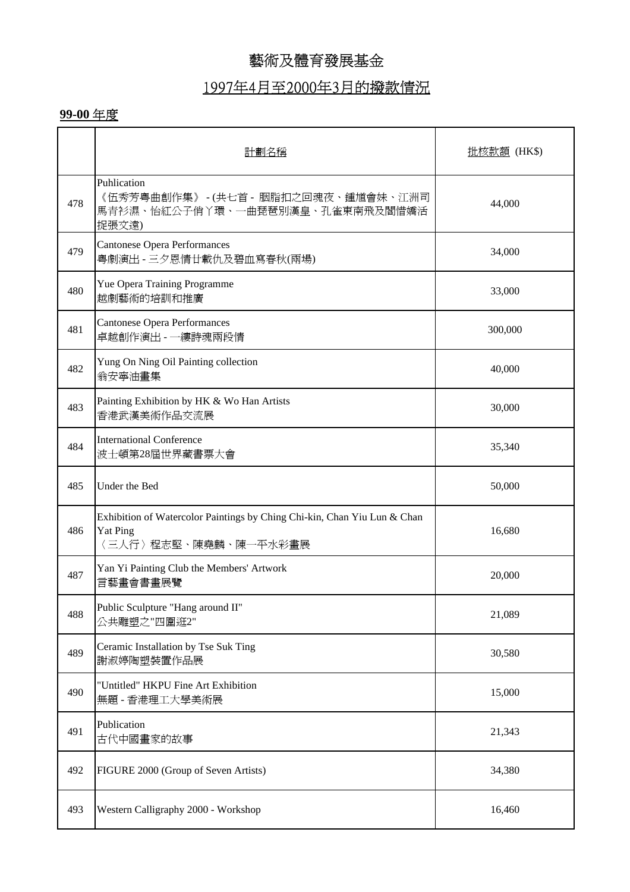## 1997年4月至2000年3月的撥款情況

|     | 計劃名稱                                                                                                                | 批核款額 (HK\$) |
|-----|---------------------------------------------------------------------------------------------------------------------|-------------|
| 478 | Puhlication<br>《伍秀芳粤曲創作集》 -(共七首 - 胭脂扣之回魂夜、鍾馗會妹、江洲司<br>馬青衫濕、怡紅公子俏丫環、一曲琵琶別漢皇、孔雀東南飛及閻惜嬌活<br>捉張文遠)                      | 44,000      |
| 479 | <b>Cantonese Opera Performances</b><br>粤劇演出 - 三夕恩情廿載仇及碧血寫春秋(兩場)                                                     | 34,000      |
| 480 | Yue Opera Training Programme<br>越劇藝術的培訓和推廣                                                                          | 33,000      |
| 481 | <b>Cantonese Opera Performances</b><br>卓越創作演出 - 一縷詩魂兩段情                                                             | 300,000     |
| 482 | Yung On Ning Oil Painting collection<br>翁安寧油畫集                                                                      | 40,000      |
| 483 | Painting Exhibition by HK & Wo Han Artists<br>香港武漢美術作品交流展                                                           | 30,000      |
| 484 | <b>International Conference</b><br>波士頓第28屆世界藏書票大會                                                                   | 35,340      |
| 485 | Under the Bed                                                                                                       | 50,000      |
| 486 | Exhibition of Watercolor Paintings by Ching Chi-kin, Chan Yiu Lun & Chan<br><b>Yat Ping</b><br>〈三人行〉程志堅、陳堯麟、陳一平水彩畫展 | 16,680      |
| 487 | Yan Yi Painting Club the Members' Artwork<br>言藝畫會書畫展覽                                                               | 20,000      |
| 488 | Public Sculpture "Hang around II"<br>公共雕塑之"四圍逛2"                                                                    | 21,089      |
| 489 | Ceramic Installation by Tse Suk Ting<br>謝淑婷陶塑裝置作品展                                                                  | 30,580      |
| 490 | "Untitled" HKPU Fine Art Exhibition<br>無題 - 香港理工大學美術展                                                               | 15,000      |
| 491 | Publication<br>古代中國畫家的故事                                                                                            | 21,343      |
| 492 | FIGURE 2000 (Group of Seven Artists)                                                                                | 34,380      |
| 493 | Western Calligraphy 2000 - Workshop                                                                                 | 16,460      |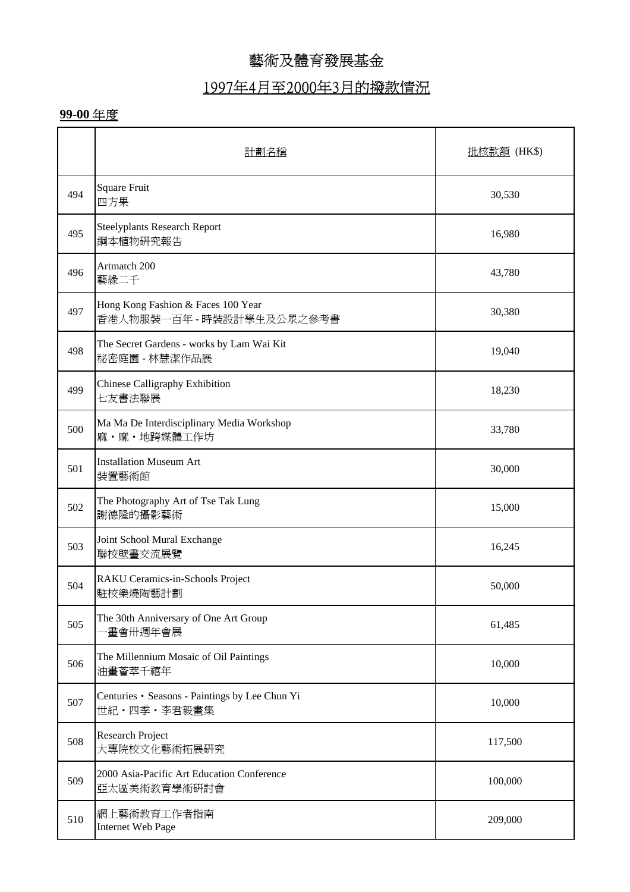### 1997年4月至2000年3月的撥款情況

|     | 計劃名種                                                            | <u> 批核款額</u> (HK\$) |  |
|-----|-----------------------------------------------------------------|---------------------|--|
| 494 | <b>Square Fruit</b><br>四方果                                      | 30,530              |  |
| 495 | <b>Steelyplants Research Report</b><br>鋼本植物研究報告                 | 16,980              |  |
| 496 | Artmatch 200<br>藝緣二千                                            | 43,780              |  |
| 497 | Hong Kong Fashion & Faces 100 Year<br>香港人物服裝一百年 - 時裝設計學生及公眾之參考書 | 30,380              |  |
| 498 | The Secret Gardens - works by Lam Wai Kit<br>秘密庭園 - 林慧潔作品展      | 19,040              |  |
| 499 | Chinese Calligraphy Exhibition<br>七友書法聯展                        | 18,230              |  |
| 500 | Ma Ma De Interdisciplinary Media Workshop<br>麻·麻·地跨媒體工作坊        | 33,780              |  |
| 501 | <b>Installation Museum Art</b><br>裝置藝術館                         | 30,000              |  |
| 502 | The Photography Art of Tse Tak Lung<br>謝德隆的攝影藝術                 | 15,000              |  |
| 503 | Joint School Mural Exchange<br>聯校壁畫交流展覽                         | 16,245              |  |
| 504 | RAKU Ceramics-in-Schools Project<br>駐校樂燒陶藝計劃                    | 50,000              |  |
| 505 | The 30th Anniversary of One Art Group<br>畫會卅週年會展                | 61,485              |  |
| 506 | The Millennium Mosaic of Oil Paintings<br>油畫薈萃千禧年               | 10,000              |  |
| 507 | Centuries · Seasons - Paintings by Lee Chun Yi<br>世紀・四季・李君毅畫集   | 10,000              |  |
| 508 | Research Project<br>大專院校文化藝術拓展研究                                | 117,500             |  |
| 509 | 2000 Asia-Pacific Art Education Conference<br>亞太區美術教育學術研討會      | 100,000             |  |
| 510 | 網上藝術教育工作者指南<br><b>Internet Web Page</b>                         | 209,000             |  |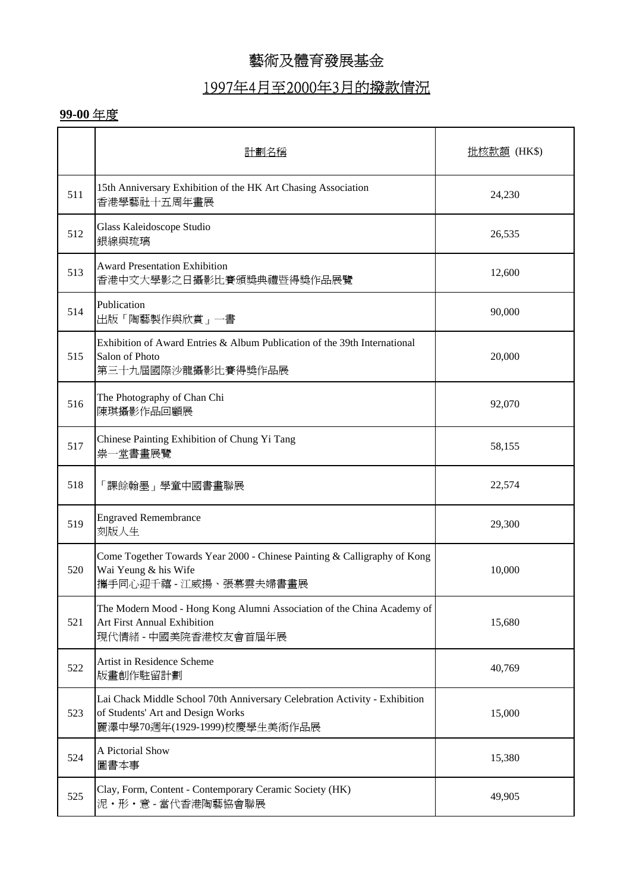# 1997年4月至2000年3月的撥款情況

|     | 計劃名稱                                                                                                                                            | <u> 批核款額</u> (HK\$) |
|-----|-------------------------------------------------------------------------------------------------------------------------------------------------|---------------------|
| 511 | 15th Anniversary Exhibition of the HK Art Chasing Association<br>香港學藝社十五周年畫展                                                                    | 24,230              |
| 512 | Glass Kaleidoscope Studio<br>銀線與琉璃                                                                                                              | 26,535              |
| 513 | <b>Award Presentation Exhibition</b><br>香港中文大學影之日攝影比賽頒獎典禮暨得獎作品展覽                                                                                | 12,600              |
| 514 | Publication<br>出版「陶藝製作與欣賞」一書                                                                                                                    | 90,000              |
| 515 | Exhibition of Award Entries & Album Publication of the 39th International<br>Salon of Photo<br>第三十九屆國際沙龍攝影比賽得獎作品展                               | 20,000              |
| 516 | The Photography of Chan Chi<br>陳琪攝影作品回顧展                                                                                                        | 92,070              |
| 517 | Chinese Painting Exhibition of Chung Yi Tang<br>祟一堂書畫展覽                                                                                         | 58,155              |
| 518 | 「課餘翰墨」學童中國書畫聯展                                                                                                                                  | 22,574              |
| 519 | <b>Engraved Remembrance</b><br>刻版人生                                                                                                             | 29,300              |
| 520 | Come Together Towards Year 2000 - Chinese Painting & Calligraphy of Kong<br>Wai Yeung & his Wife<br>攜手同心迎千禧 - 江威揚、張慕雲夫婦書畫展                      | 10,000              |
| 521 | The Modern Mood - Hong Kong Alumni Association of the China Academy of<br><b>Art First Annual Exhibition</b><br>現代情緒 - 中國美院香港校友會首屆年展            | 15,680              |
| 522 | Artist in Residence Scheme<br>版畫創作駐留計劃                                                                                                          | 40,769              |
| 523 | Lai Chack Middle School 70th Anniversary Celebration Activity - Exhibition<br>of Students' Art and Design Works<br>麗澤中學70週年(1929-1999)校慶學生美術作品展 | 15,000              |
| 524 | A Pictorial Show<br>圖書本事                                                                                                                        | 15,380              |
| 525 | Clay, Form, Content - Contemporary Ceramic Society (HK)<br>泥·形·意-當代香港陶藝協會聯展                                                                     | 49,905              |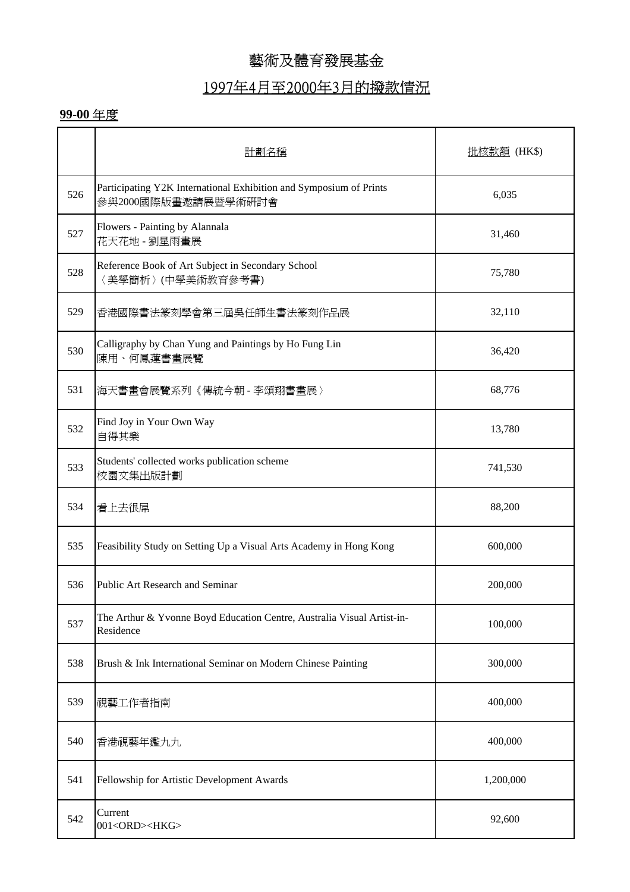# 1997年4月至2000年3月的撥款情況

|     | 計劃名稱                                                                                      | <u> 批核款額</u> (HK\$) |
|-----|-------------------------------------------------------------------------------------------|---------------------|
| 526 | Participating Y2K International Exhibition and Symposium of Prints<br>參與2000國際版畫邀請展暨學術研討會 | 6,035               |
| 527 | Flowers - Painting by Alannala<br>花天花地 - 劉星雨畫展                                            | 31,460              |
| 528 | Reference Book of Art Subject in Secondary School<br>〈美學簡析〉(中學美術教育參考書)                    | 75,780              |
| 529 | 香港國際書法篆刻學會第三屆吳任師生書法篆刻作品展                                                                  | 32,110              |
| 530 | Calligraphy by Chan Yung and Paintings by Ho Fung Lin<br>陳用、何鳳蓮書畫展覽                       | 36,420              |
| 531 | 海天書畫會展覽系列《傳統今朝 - 李頌翔書畫展》                                                                  | 68,776              |
| 532 | Find Joy in Your Own Way<br>自得其樂                                                          | 13,780              |
| 533 | Students' collected works publication scheme<br>校園文集出版計劃                                  | 741,530             |
| 534 | 看上去很屌                                                                                     | 88,200              |
| 535 | Feasibility Study on Setting Up a Visual Arts Academy in Hong Kong                        | 600,000             |
| 536 | Public Art Research and Seminar                                                           | 200,000             |
| 537 | The Arthur & Yvonne Boyd Education Centre, Australia Visual Artist-in-<br>Residence       | 100,000             |
| 538 | Brush & Ink International Seminar on Modern Chinese Painting                              | 300,000             |
| 539 | 視藝工作者指南                                                                                   | 400,000             |
| 540 | 香港視藝年鑑九九                                                                                  | 400,000             |
| 541 | Fellowship for Artistic Development Awards                                                | 1,200,000           |
| 542 | Current<br>001 <ord><hkg></hkg></ord>                                                     | 92,600              |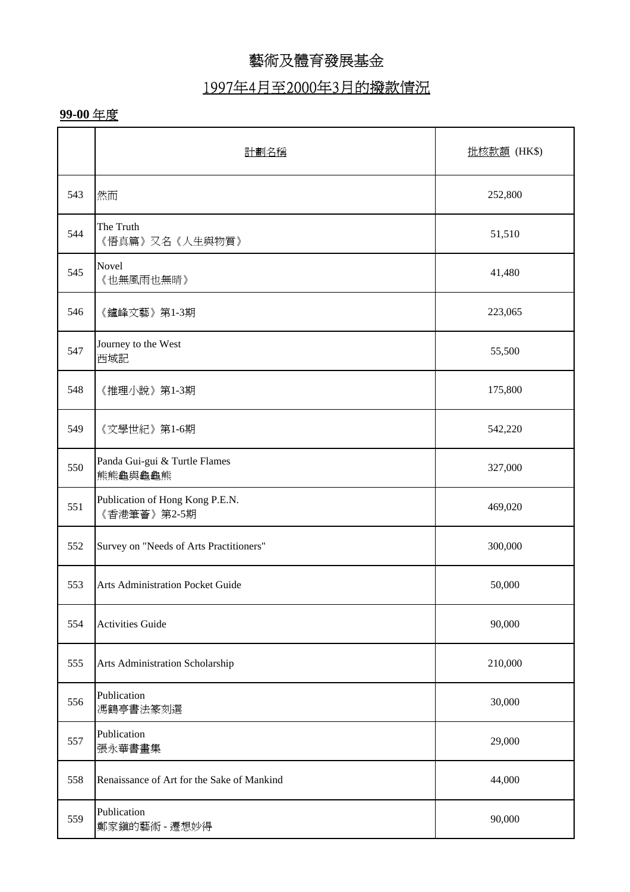### 1997年4月至2000年3月的撥款情況

|     | 計劃名稱                                           | <u>批核款額</u> (HK\$) |
|-----|------------------------------------------------|--------------------|
| 543 | 然而                                             | 252,800            |
| 544 | The Truth<br>《悟真篇》又名《人生與物質》                    | 51,510             |
| 545 | Novel<br>《也無風雨也無晴》                             | 41,480             |
| 546 | 《鑪峰文藝》第1-3期                                    | 223,065            |
| 547 | Journey to the West<br>西域記                     | 55,500             |
| 548 | 《推理小說》第1-3期                                    | 175,800            |
| 549 | 《文學世紀》第1-6期                                    | 542,220            |
| 550 | Panda Gui-gui & Turtle Flames<br>熊熊龜與龜龜熊       | 327,000            |
| 551 | Publication of Hong Kong P.E.N.<br>《香港筆薈》第2-5期 | 469,020            |
| 552 | Survey on "Needs of Arts Practitioners"        | 300,000            |
| 553 | <b>Arts Administration Pocket Guide</b>        | 50,000             |
| 554 | <b>Activities Guide</b>                        | 90,000             |
| 555 | Arts Administration Scholarship                | 210,000            |
| 556 | Publication<br>馮鶴亭書法篆刻選                        | 30,000             |
| 557 | Publication<br>張永華書畫集                          | 29,000             |
| 558 | Renaissance of Art for the Sake of Mankind     | 44,000             |
| 559 | Publication<br>鄭家鎭的藝術 - 遷想妙得                   | 90,000             |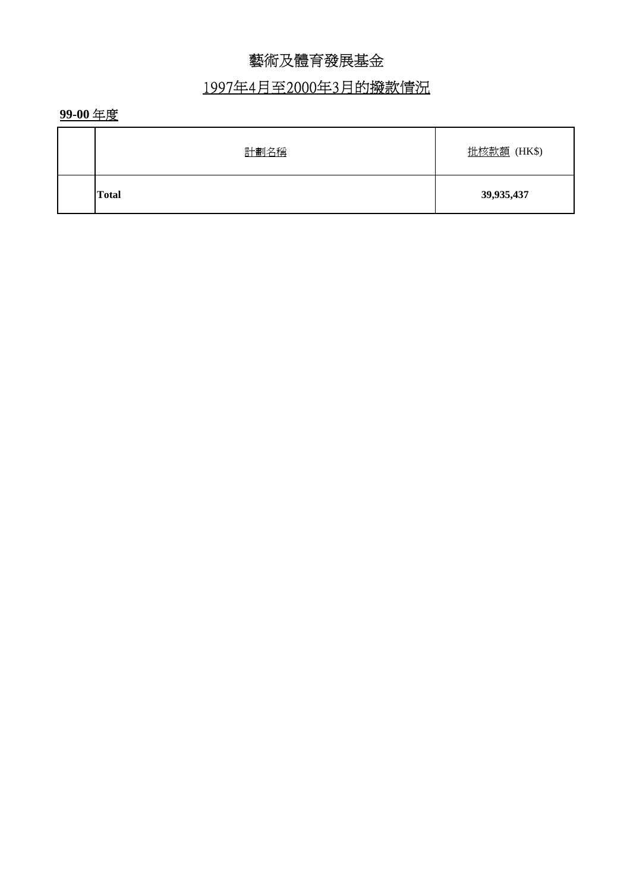# 1997年4月至2000年3月的撥款情況

| <b>Total</b> | 39,935,437  |
|--------------|-------------|
| 計劃名稱         | 批核款額 (HK\$) |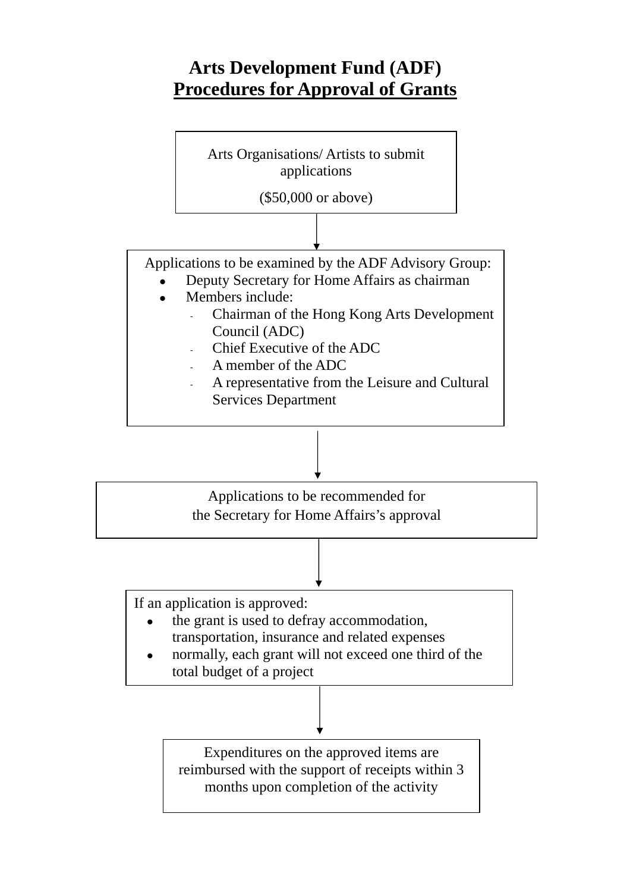# **Arts Development Fund (ADF) Procedures for Approval of Grants**

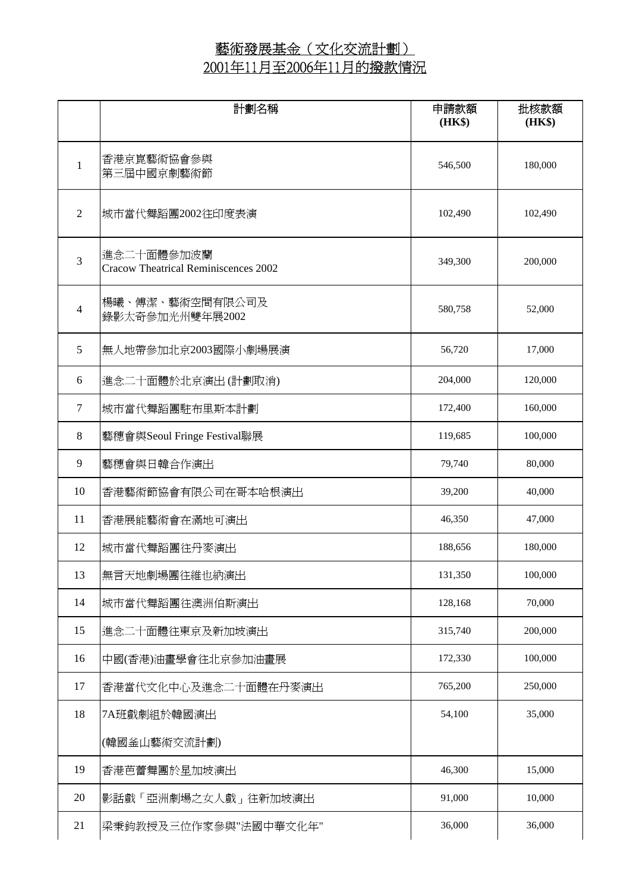|                | 計劃名稱                                                      | 申請款額<br>(HK\$) | 批核款額<br>(HK\$) |
|----------------|-----------------------------------------------------------|----------------|----------------|
| $\mathbf{1}$   | 香港京崑藝術協會參與<br>第三屆中國京劇藝術節                                  | 546,500        | 180,000        |
| $\overline{c}$ | 城市當代舞蹈團2002往印度表演                                          | 102,490        | 102,490        |
| 3              | 進念二十面體參加波蘭<br><b>Cracow Theatrical Reminiscences 2002</b> | 349,300        | 200,000        |
| $\overline{4}$ | 楊曦、傅潔、藝術空間有限公司及<br>錄影太奇參加光州雙年展2002                        | 580,758        | 52,000         |
| 5              | 無人地帶參加北京2003國際小劇場展演                                       | 56,720         | 17,000         |
| 6              | 進念二十面體於北京演出(計劃取消)                                         | 204,000        | 120,000        |
| $\tau$         | 城市當代舞蹈團駐布里斯本計劃                                            | 172,400        | 160,000        |
| $\,8\,$        | 藝穗會與Seoul Fringe Festival聯展                               | 119,685        | 100,000        |
| 9              | 藝穗會與日韓合作演出                                                | 79,740         | 80,000         |
| 10             | 香港藝術節協會有限公司在哥本哈根演出                                        | 39,200         | 40,000         |
| 11             | 香港展能藝術會在滿地可演出                                             | 46,350         | 47,000         |
| 12             | 城市當代舞蹈團往丹麥演出                                              | 188,656        | 180,000        |
| 13             | 無言天地劇場團往維也納演出                                             | 131,350        | 100,000        |
| 14             | 城市當代舞蹈團往澳洲伯斯演出                                            | 128,168        | 70,000         |
| 15             | 進念二十面體往東京及新加坡演出                                           | 315,740        | 200,000        |
| 16             | 中國(香港)油畫學會往北京參加油畫展                                        | 172,330        | 100,000        |
| 17             | 香港當代文化中心及進念二十面體在丹麥演出                                      | 765,200        | 250,000        |
| 18             | 7A班戲劇組於韓國演出                                               | 54,100         | 35,000         |
|                | (韓國釜山藝術交流計劃)                                              |                |                |
| 19             | 香港芭蕾舞團於星加坡演出                                              | 46,300         | 15,000         |
| 20             | 影話戲「亞洲劇場之女人戲」往新加坡演出                                       | 91,000         | 10,000         |
| 21             | 梁秉鈞教授及三位作家參與"法國中華文化年"                                     | 36,000         | 36,000         |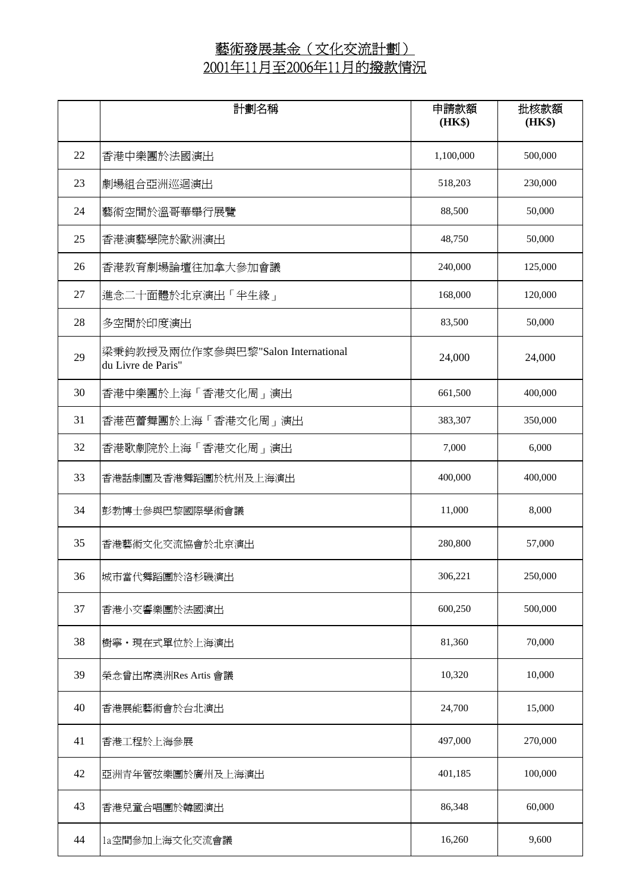|    | 計劃名稱                                                     | 申請款額<br>(HK\$) | 批核款額<br>(HK\$) |
|----|----------------------------------------------------------|----------------|----------------|
| 22 | 香港中樂團於法國演出                                               | 1,100,000      | 500,000        |
| 23 | 劇場組合亞洲巡迴演出                                               | 518,203        | 230,000        |
| 24 | 藝術空間於溫哥華舉行展覽                                             | 88,500         | 50,000         |
| 25 | 香港演藝學院於歐洲演出                                              | 48,750         | 50,000         |
| 26 | 香港教育劇場論壇往加拿大參加會議                                         | 240,000        | 125,000        |
| 27 | 進念二十面體於北京演出「半生緣」                                         | 168,000        | 120,000        |
| 28 | 多空間於印度演出                                                 | 83,500         | 50,000         |
| 29 | 梁秉鈞教授及兩位作家參與巴黎"Salon International<br>du Livre de Paris" | 24,000         | 24,000         |
| 30 | 香港中樂團於上海「香港文化周」演出                                        | 661,500        | 400,000        |
| 31 | 香港芭蕾舞團於上海「香港文化周」演出                                       | 383,307        | 350,000        |
| 32 | 香港歌劇院於上海「香港文化周」演出                                        | 7,000          | 6,000          |
| 33 | 香港話劇團及香港舞蹈團於杭州及上海演出                                      | 400,000        | 400,000        |
| 34 | 彭勃博士參與巴黎國際學術會議                                           | 11,000         | 8,000          |
| 35 | 香港藝術文化交流協會於北京演出                                          | 280,800        | 57,000         |
| 36 | 城市當代舞蹈團於洛杉磯演出                                            | 306,221        | 250,000        |
| 37 | 香港小交響樂團於法國演出                                             | 600,250        | 500,000        |
| 38 | 樹寧·現在式單位於上海演出                                            | 81,360         | 70,000         |
| 39 | 榮念曾出席澳洲Res Artis 會議                                      | 10,320         | 10,000         |
| 40 | 香港展能藝術會於台北演出                                             | 24,700         | 15,000         |
| 41 | 香港工程於上海參展                                                | 497,000        | 270,000        |
| 42 | 亞洲青年管弦樂團於廣州及上海演出                                         | 401,185        | 100,000        |
| 43 | 香港兒童合唱團於韓國演出                                             | 86,348         | 60,000         |
| 44 | 1a空間參加上海文化交流會議                                           | 16,260         | 9,600          |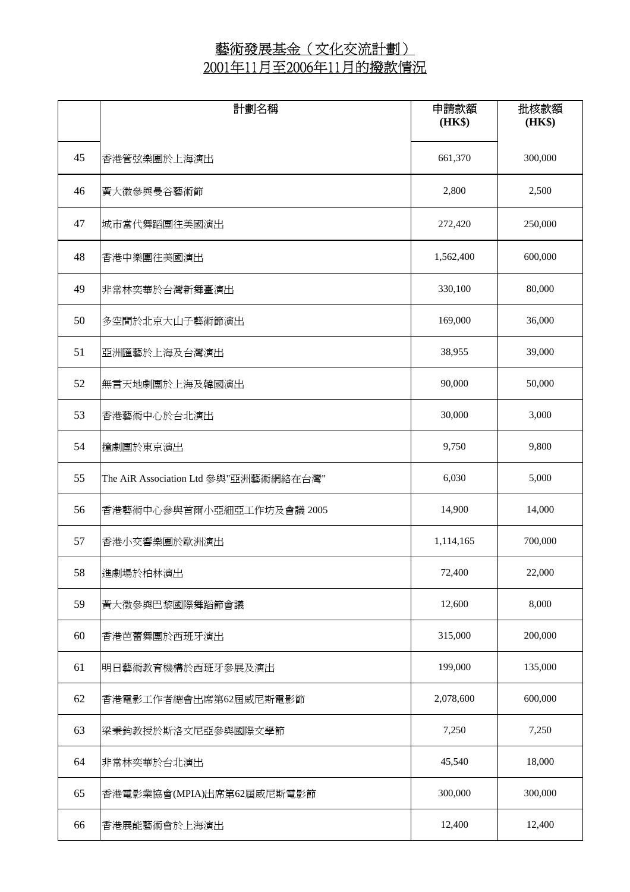|    | 計劃名稱                                  | 申請款額<br>(HK\$) | 批核款額<br>(HK\$) |
|----|---------------------------------------|----------------|----------------|
| 45 | 香港管弦樂團於上海演出                           | 661,370        | 300,000        |
| 46 | 黃大徽參與曼谷藝術節                            | 2,800          | 2,500          |
| 47 | 城市當代舞蹈團往美國演出                          | 272,420        | 250,000        |
| 48 | 香港中樂團往美國演出                            | 1,562,400      | 600,000        |
| 49 | 非常林奕華於台灣新舞臺演出                         | 330,100        | 80,000         |
| 50 | 多空間於北京大山子藝術節演出                        | 169,000        | 36,000         |
| 51 | 亞洲匯藝於上海及台灣演出                          | 38,955         | 39,000         |
| 52 | 無言天地劇團於上海及韓國演出                        | 90,000         | 50,000         |
| 53 | 香港藝術中心於台北演出                           | 30,000         | 3,000          |
| 54 | 撞劇團於東京演出                              | 9,750          | 9,800          |
| 55 | The AiR Association Ltd 參與"亞洲藝術網絡在台灣" | 6,030          | 5,000          |
| 56 | 香港藝術中心參與首爾小亞細亞工作坊及會議 2005             | 14,900         | 14,000         |
| 57 | 香港小交響樂團於歐洲演出                          | 1,114,165      | 700,000        |
| 58 | 進劇場於柏林演出                              | 72,400         | 22,000         |
| 59 | 黃大徵參與巴黎國際舞蹈節會議                        | 12,600         | 8,000          |
| 60 | 香港芭蕾舞團於西班牙演出                          | 315,000        | 200,000        |
| 61 | 明日藝術教育機構於西班牙參展及演出                     | 199,000        | 135,000        |
| 62 | 香港電影工作者總會出席第62屆威尼斯電影節                 | 2,078,600      | 600,000        |
| 63 | 梁秉鈞教授於斯洛文尼亞參與國際文學節                    | 7,250          | 7,250          |
| 64 | 非常林奕華於台北演出                            | 45,540         | 18,000         |
| 65 | 香港電影業協會(MPIA)出席第62屆威尼斯電影節             | 300,000        | 300,000        |
| 66 | 香港展能藝術會於上海演出                          | 12,400         | 12,400         |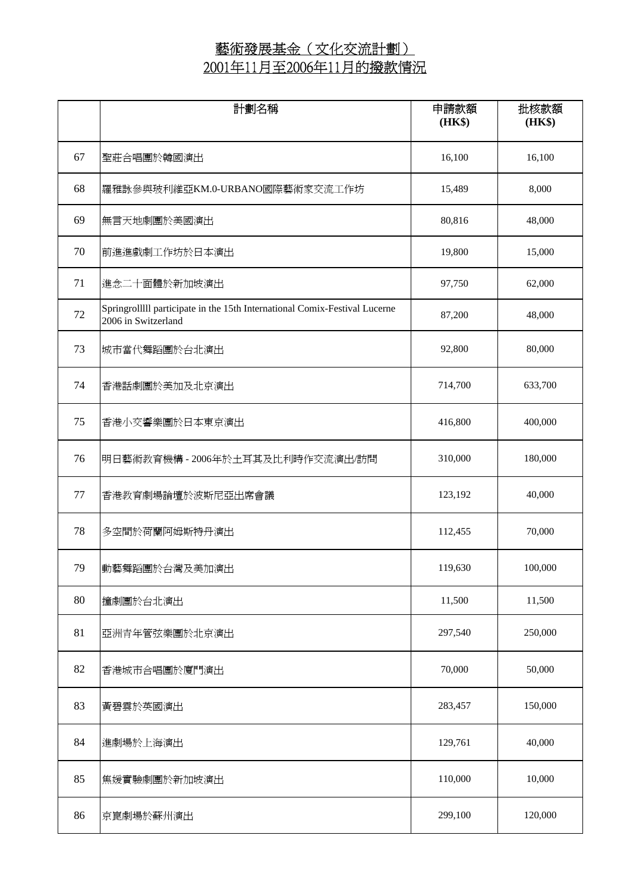|    | 計劃名稱                                                                                              | 申請款額<br>(HK\$) | 批核款額<br>(HK\$) |
|----|---------------------------------------------------------------------------------------------------|----------------|----------------|
| 67 | 聖莊合唱團於韓國演出                                                                                        | 16,100         | 16,100         |
| 68 | 羅雅詠參與玻利維亞KM.0-URBANO國際藝術家交流工作坊                                                                    | 15,489         | 8,000          |
| 69 | 無言天地劇團於美國演出                                                                                       | 80,816         | 48,000         |
| 70 | 前進進戲劇工作坊於日本演出                                                                                     | 19,800         | 15,000         |
| 71 | 進念二十面體於新加坡演出                                                                                      | 97,750         | 62,000         |
| 72 | Springrolllll participate in the 15th International Comix-Festival Lucerne<br>2006 in Switzerland | 87,200         | 48,000         |
| 73 | 城市當代舞蹈團於台北演出                                                                                      | 92,800         | 80,000         |
| 74 | 香港話劇團於美加及北京演出                                                                                     | 714,700        | 633,700        |
| 75 | 香港小交響樂團於日本東京演出                                                                                    | 416,800        | 400,000        |
| 76 | 明日藝術教育機構 - 2006年於土耳其及比利時作交流演出/訪問                                                                  | 310,000        | 180,000        |
| 77 | 香港教育劇場論壇於波斯尼亞出席會議                                                                                 | 123,192        | 40,000         |
| 78 | 多空間於荷蘭阿姆斯特丹演出                                                                                     | 112,455        | 70,000         |
| 79 | 動藝舞蹈團於台灣及美加演出                                                                                     | 119,630        | 100,000        |
| 80 | 撞劇團於台北演出                                                                                          | 11,500         | 11,500         |
| 81 | 亞洲青年管弦樂團於北京演出                                                                                     | 297,540        | 250,000        |
| 82 | 香港城市合唱團於廈門演出                                                                                      | 70,000         | 50,000         |
| 83 | 黃碧雲於英國演出                                                                                          | 283,457        | 150,000        |
| 84 | 進劇場於上海演出                                                                                          | 129,761        | 40,000         |
| 85 | 焦媛實驗劇團於新加坡演出                                                                                      | 110,000        | 10,000         |
| 86 | 京崑劇場於蘇州演出                                                                                         | 299,100        | 120,000        |